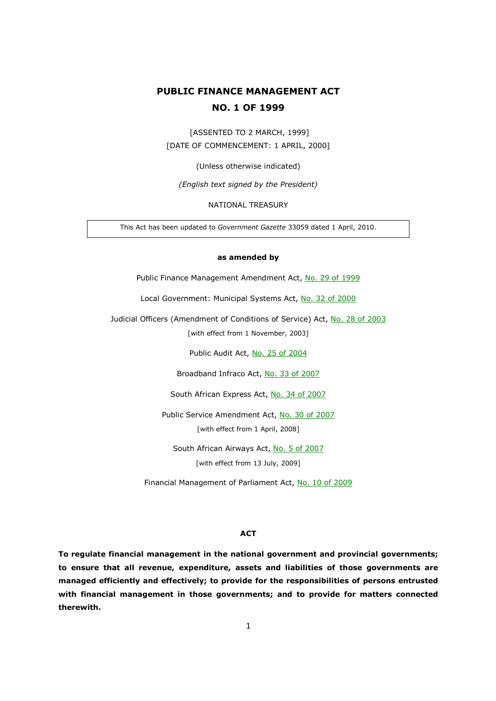# **PUBLIC FINANCE MANAGEMENT ACT NO. 1 OF 1999**

 [ASSENTED TO 2 MARCH, 1999] [DATE OF COMMENCEMENT: 1 APRIL, 2000]

(Unless otherwise indicated)

*(English text signed by the President)* 

NATIONAL TREASURY

This Act has been updated to *Government Gazette* 33059 dated 1 April, 2010.

#### **as amended by**

Public Finance Management Amendment Act, No. 29 of 1999

Local Government: Municipal Systems Act, No. 32 of 2000

Judicial Officers (Amendment of Conditions of Service) Act, No. 28 of 2003

[with effect from 1 November, 2003]

Public Audit Act, No. 25 of 2004

Broadband Infraco Act, No. 33 of 2007

South African Express Act, No. 34 of 2007

Public Service Amendment Act, No. 30 of 2007 [with effect from 1 April, 2008]

South African Airways Act, No. 5 of 2007 [with effect from 13 July, 2009]

Financial Management of Parliament Act, No. 10 of 2009

#### **ACT**

**To regulate financial management in the national government and provincial governments; to ensure that all revenue, expenditure, assets and liabilities of those governments are managed efficiently and effectively; to provide for the responsibilities of persons entrusted with financial management in those governments; and to provide for matters connected therewith.**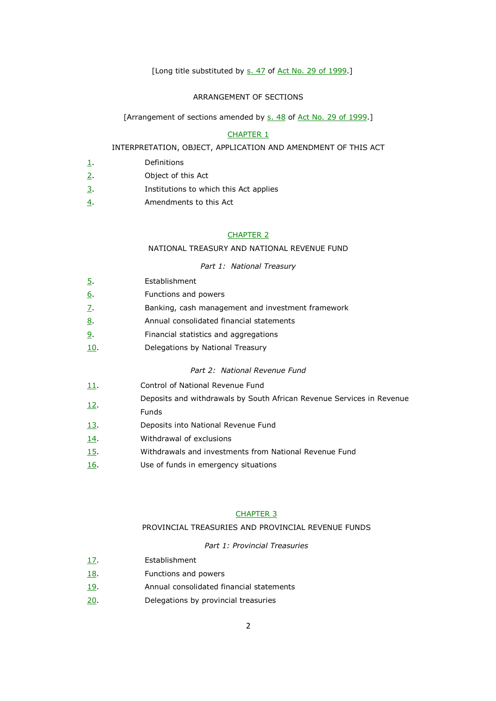# [Long title substituted by s. 47 of Act No. 29 of 1999.]

# ARRANGEMENT OF SECTIONS

## [Arrangement of sections amended by s. 48 of Act No. 29 of 1999.]

#### CHAPTER 1

## INTERPRETATION, OBJECT, APPLICATION AND AMENDMENT OF THIS ACT

- 1. Definitions
- 2. Object of this Act
- 3. Institutions to which this Act applies
- 4. Amendments to this Act

## CHAPTER 2

## NATIONAL TREASURY AND NATIONAL REVENUE FUND

#### *Part 1: National Treasury*

| Part 1: National Treasury |             |                                                                       |  |
|---------------------------|-------------|-----------------------------------------------------------------------|--|
|                           | <u>5</u> .  | Establishment                                                         |  |
|                           | <u>6</u> .  | Functions and powers                                                  |  |
|                           | Z.          | Banking, cash management and investment framework                     |  |
|                           | <u>8</u> .  | Annual consolidated financial statements                              |  |
|                           | <u>9</u> .  | Financial statistics and aggregations                                 |  |
|                           | <u>10</u> . | Delegations by National Treasury                                      |  |
|                           |             | Part 2: National Revenue Fund                                         |  |
|                           | 11.         | Control of National Revenue Fund                                      |  |
|                           | <u>12.</u>  | Deposits and withdrawals by South African Revenue Services in Revenue |  |
|                           |             | <b>Funds</b>                                                          |  |
|                           | 13.         | Deposits into National Revenue Fund                                   |  |
|                           |             |                                                                       |  |

- 14. Withdrawal of exclusions
- 15. Withdrawals and investments from National Revenue Fund
- 16. Use of funds in emergency situations

## CHAPTER 3

# PROVINCIAL TREASURIES AND PROVINCIAL REVENUE FUNDS

# *Part 1: Provincial Treasuries*

- 17. Establishment
- 18. Functions and powers
- 19. Annual consolidated financial statements
- 20. Delegations by provincial treasuries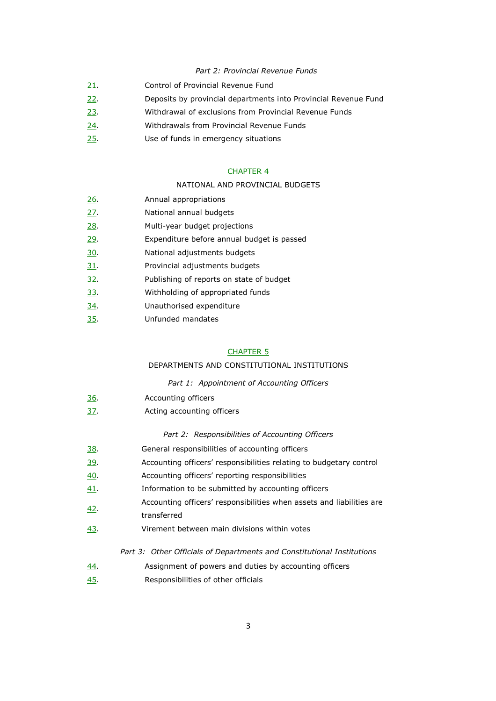# *Part 2: Provincial Revenue Funds*

- 21. Control of Provincial Revenue Fund
- 22. Deposits by provincial departments into Provincial Revenue Fund
- 23. Withdrawal of exclusions from Provincial Revenue Funds
- 24. Withdrawals from Provincial Revenue Funds
- 25. Use of funds in emergency situations

## CHAPTER 4

#### NATIONAL AND PROVINCIAL BUDGETS

- 26. **Annual appropriations**
- 27. National annual budgets
- 28. Multi-year budget projections
- 29. Expenditure before annual budget is passed
- 30. National adjustments budgets
- 31. Provincial adjustments budgets
- 32. Publishing of reports on state of budget
- 33. Withholding of appropriated funds
- 34. Unauthorised expenditure
- 35. Unfunded mandates

#### CHAPTER 5

# DEPARTMENTS AND CONSTITUTIONAL INSTITUTIONS

#### *Part 1: Appointment of Accounting Officers*

- 36. Accounting officers
- 37. Acting accounting officers

## *Part 2: Responsibilities of Accounting Officers*

- 38. General responsibilities of accounting officers
- 39. Accounting officers' responsibilities relating to budgetary control
- 40. Accounting officers' reporting responsibilities
- 41. Information to be submitted by accounting officers
- 42. Accounting officers' responsibilities when assets and liabilities are
- transferred
- 43. Virement between main divisions within votes

## *Part 3: Other Officials of Departments and Constitutional Institutions*

- 44. Assignment of powers and duties by accounting officers
- 45. Responsibilities of other officials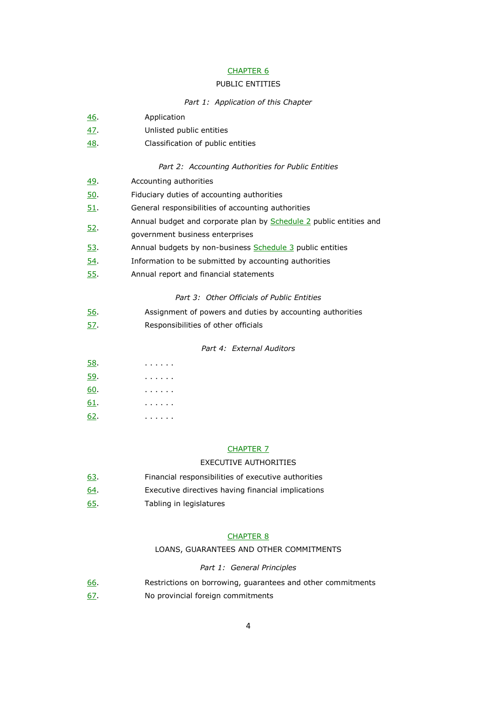# CHAPTER 6

#### PUBLIC ENTITIES

*Part 1: Application of this Chapter* 

- 46. Application 47. Unlisted public entities 48. Classification of public entities *Part 2: Accounting Authorities for Public Entities* 49. Accounting authorities 50. Fiduciary duties of accounting authorities 51. General responsibilities of accounting authorities 52. Annual budget and corporate plan by **Schedule 2** public entities and government business enterprises 53. Annual budgets by non-business Schedule 3 public entities 54. Information to be submitted by accounting authorities 55. Annual report and financial statements *Part 3: Other Officials of Public Entities*  56. Assignment of powers and duties by accounting authorities
- 57. Responsibilities of other officials

# *Part 4: External Auditors*

| 58. |                |  | . |  |  |
|-----|----------------|--|---|--|--|
| 59. | $\blacksquare$ |  | . |  |  |

- 60. . . . . . .
- 61. . . . . . .
- 62. . . . . . .

#### CHAPTER 7

## EXECUTIVE AUTHORITIES

- 63. Financial responsibilities of executive authorities
- 64. Executive directives having financial implications
- 65. Tabling in legislatures

## CHAPTER 8

#### LOANS, GUARANTEES AND OTHER COMMITMENTS

#### *Part 1: General Principles*

- 66. Restrictions on borrowing, guarantees and other commitments
- 67. No provincial foreign commitments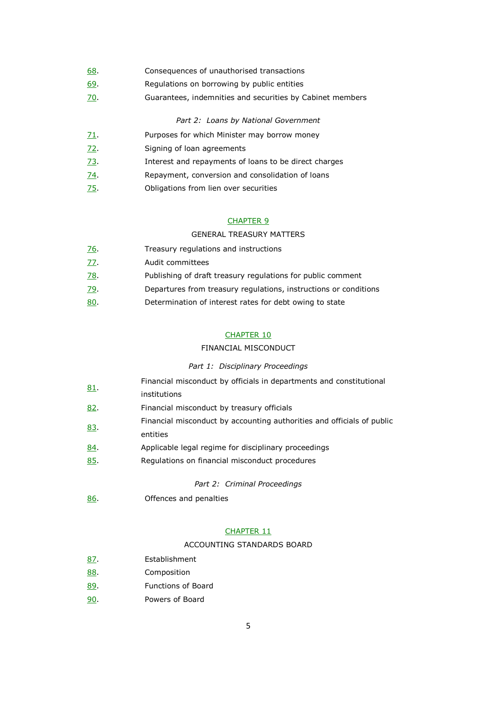- 68. Consequences of unauthorised transactions
- 69. Regulations on borrowing by public entities
- 70. Guarantees, indemnities and securities by Cabinet members

## *Part 2: Loans by National Government*

- $71.$  Purposes for which Minister may borrow money
- 72. Signing of loan agreements
- 73. Interest and repayments of loans to be direct charges
- 74. Repayment, conversion and consolidation of loans
- 75. Obligations from lien over securities

# CHAPTER 9

# GENERAL TREASURY MATTERS

| <u>76</u> . | Treasury regulations and instructions                            |
|-------------|------------------------------------------------------------------|
| <u>77.</u>  | Audit committees                                                 |
| <u>78</u> . | Publishing of draft treasury regulations for public comment      |
| <u>79</u> . | Departures from treasury regulations, instructions or conditions |
| <u>80</u> . | Determination of interest rates for debt owing to state          |

## CHAPTER 10

## FINANCIAL MISCONDUCT

#### *Part 1: Disciplinary Proceedings*

|             | Financial misconduct by officials in departments and constitutional    |
|-------------|------------------------------------------------------------------------|
| 81          | institutions                                                           |
| 82.         | Financial misconduct by treasury officials                             |
| 83.         | Financial misconduct by accounting authorities and officials of public |
|             | entities                                                               |
| <u>84</u> . | Applicable legal regime for disciplinary proceedings                   |
| <u>85.</u>  | Regulations on financial misconduct procedures                         |
|             |                                                                        |

*Part 2: Criminal Proceedings* 

86. Offences and penalties

# CHAPTER 11

#### ACCOUNTING STANDARDS BOARD

- 87. Establishment
- 88. Composition
- 89. Functions of Board
- 90. Powers of Board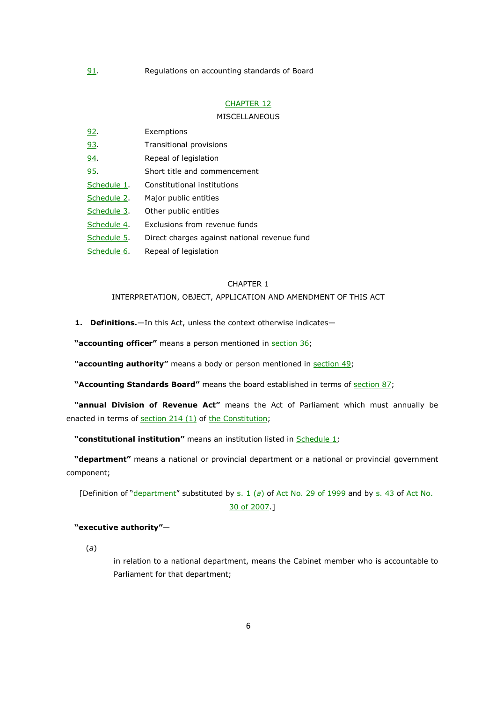## CHAPTER 12

### **MISCELLANEOUS**

| <u>92.</u>  | Exemptions                                   |
|-------------|----------------------------------------------|
| 93.         | Transitional provisions                      |
| 94.         | Repeal of legislation                        |
| <u>95</u> . | Short title and commencement                 |
| Schedule 1. | Constitutional institutions                  |
| Schedule 2. | Major public entities                        |
| Schedule 3. | Other public entities                        |
| Schedule 4. | Exclusions from revenue funds                |
| Schedule 5. | Direct charges against national revenue fund |
| Schedule 6. | Repeal of legislation                        |

## CHAPTER 1

# INTERPRETATION, OBJECT, APPLICATION AND AMENDMENT OF THIS ACT

**1. Definitions.**—In this Act, unless the context otherwise indicates—

**"accounting officer"** means a person mentioned in section 36;

**"accounting authority"** means a body or person mentioned in section 49;

**"Accounting Standards Board"** means the board established in terms of section 87;

**"annual Division of Revenue Act"** means the Act of Parliament which must annually be enacted in terms of section 214 (1) of the Constitution;

**"constitutional institution"** means an institution listed in Schedule 1;

**"department"** means a national or provincial department or a national or provincial government component;

[Definition of "department" substituted by s. 1 (a) of Act No. 29 of 1999 and by s. 43 of Act No. 30 of 2007.]

# **"executive authority"**—

(*a*)

in relation to a national department, means the Cabinet member who is accountable to Parliament for that department;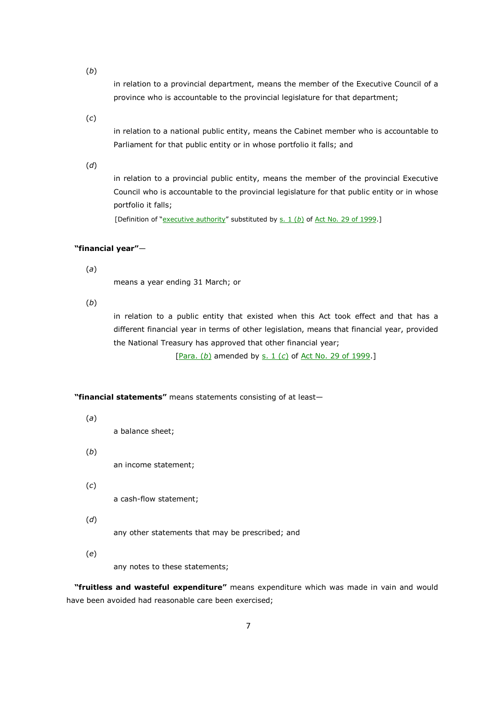(*b*)

in relation to a provincial department, means the member of the Executive Council of a province who is accountable to the provincial legislature for that department;

(*c*)

in relation to a national public entity, means the Cabinet member who is accountable to Parliament for that public entity or in whose portfolio it falls; and

(*d*)

in relation to a provincial public entity, means the member of the provincial Executive Council who is accountable to the provincial legislature for that public entity or in whose portfolio it falls;

[Definition of "executive authority" substituted by s. 1 (b) of Act No. 29 of 1999.]

# **"financial year"**—

(*a*)

means a year ending 31 March; or

(*b*)

in relation to a public entity that existed when this Act took effect and that has a different financial year in terms of other legislation, means that financial year, provided the National Treasury has approved that other financial year;

[Para. (*b*) amended by s. 1 (*c*) of Act No. 29 of 1999.]

**"financial statements"** means statements consisting of at least—

(*a*)

a balance sheet;

(*b*)

an income statement;

(*c*)

a cash-flow statement;

(*d*)

any other statements that may be prescribed; and

(*e*)

any notes to these statements;

**"fruitless and wasteful expenditure"** means expenditure which was made in vain and would have been avoided had reasonable care been exercised;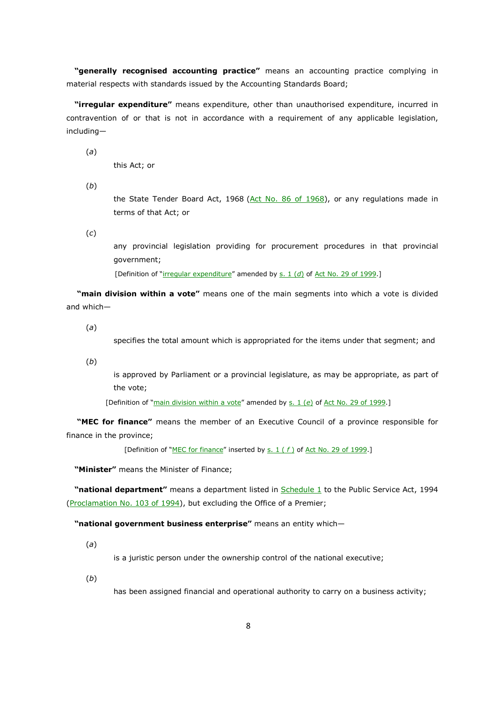**"generally recognised accounting practice"** means an accounting practice complying in material respects with standards issued by the Accounting Standards Board;

**"irregular expenditure"** means expenditure, other than unauthorised expenditure, incurred in contravention of or that is not in accordance with a requirement of any applicable legislation, including—

(*a*)

this Act; or

(*b*)

the State Tender Board Act, 1968 (Act No. 86 of 1968), or any regulations made in terms of that Act; or

(*c*)

any provincial legislation providing for procurement procedures in that provincial government;

[Definition of "irregular expenditure" amended by s. 1 (d) of Act No. 29 of 1999.]

 **"main division within a vote"** means one of the main segments into which a vote is divided and which—

(*a*)

specifies the total amount which is appropriated for the items under that segment; and

(*b*)

is approved by Parliament or a provincial legislature, as may be appropriate, as part of the vote;

[Definition of "main division within a vote" amended by s. 1 (e) of Act No. 29 of 1999.]

 **"MEC for finance"** means the member of an Executive Council of a province responsible for finance in the province;

[Definition of "MEC for finance" inserted by s. 1 (f) of Act No. 29 of 1999.]

**"Minister"** means the Minister of Finance;

**"national department"** means a department listed in Schedule 1 to the Public Service Act, 1994 (Proclamation No. 103 of 1994), but excluding the Office of a Premier;

**"national government business enterprise"** means an entity which—

(*a*)

is a juristic person under the ownership control of the national executive;

(*b*)

has been assigned financial and operational authority to carry on a business activity;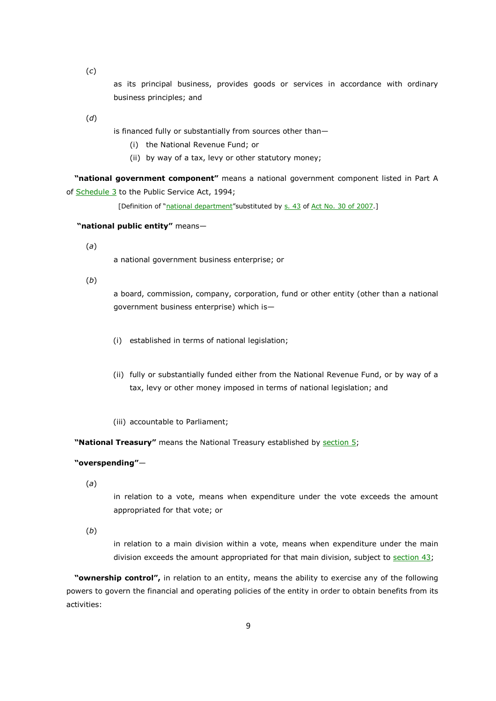(*c*)

as its principal business, provides goods or services in accordance with ordinary business principles; and

(*d*)

is financed fully or substantially from sources other than—

- (i) the National Revenue Fund; or
- (ii) by way of a tax, levy or other statutory money;

**"national government component"** means a national government component listed in Part A of **Schedule 3** to the Public Service Act, 1994;

[Definition of "national department" substituted by s. 43 of Act No. 30 of 2007.]

 **"national public entity"** means—

(*a*)

a national government business enterprise; or

(*b*)

a board, commission, company, corporation, fund or other entity (other than a national government business enterprise) which is—

- (i) established in terms of national legislation;
- (ii) fully or substantially funded either from the National Revenue Fund, or by way of a tax, levy or other money imposed in terms of national legislation; and
- (iii) accountable to Parliament;

**"National Treasury"** means the National Treasury established by section 5;

## **"overspending"**—

(*a*)

in relation to a vote, means when expenditure under the vote exceeds the amount appropriated for that vote; or

(*b*)

in relation to a main division within a vote, means when expenditure under the main division exceeds the amount appropriated for that main division, subject to section  $43$ ;

**"ownership control",** in relation to an entity, means the ability to exercise any of the following powers to govern the financial and operating policies of the entity in order to obtain benefits from its activities: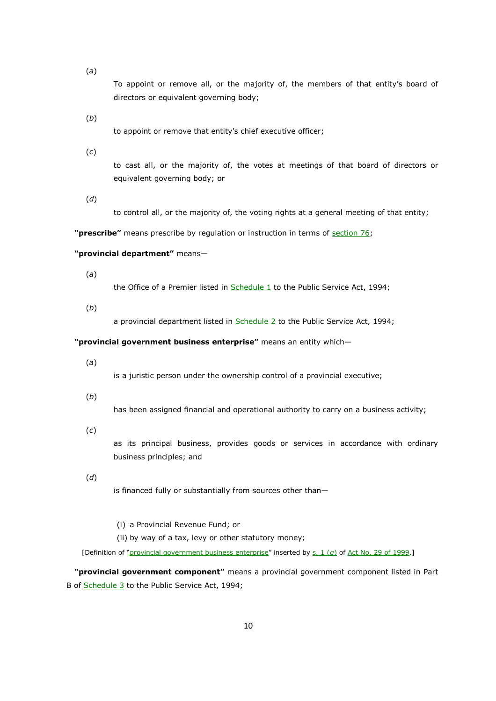(*a*)

To appoint or remove all, or the majority of, the members of that entity's board of directors or equivalent governing body;

(*b*)

to appoint or remove that entity's chief executive officer;

(*c*)

to cast all, or the majority of, the votes at meetings of that board of directors or equivalent governing body; or

(*d*)

to control all, or the majority of, the voting rights at a general meeting of that entity;

**"prescribe"** means prescribe by regulation or instruction in terms of section 76;

#### **"provincial department"** means—

(*a*)

the Office of a Premier listed in Schedule 1 to the Public Service Act, 1994;

(*b*)

a provincial department listed in Schedule 2 to the Public Service Act, 1994;

# **"provincial government business enterprise"** means an entity which—

(*a*)

is a juristic person under the ownership control of a provincial executive;

(*b*)

has been assigned financial and operational authority to carry on a business activity;

(*c*)

as its principal business, provides goods or services in accordance with ordinary business principles; and

(*d*)

is financed fully or substantially from sources other than—

- (i) a Provincial Revenue Fund; or
- (ii) by way of a tax, levy or other statutory money;

[Definition of "provincial government business enterprise" inserted by s. 1 (*g*) of Act No. 29 of 1999.]

**"provincial government component"** means a provincial government component listed in Part B of Schedule 3 to the Public Service Act, 1994;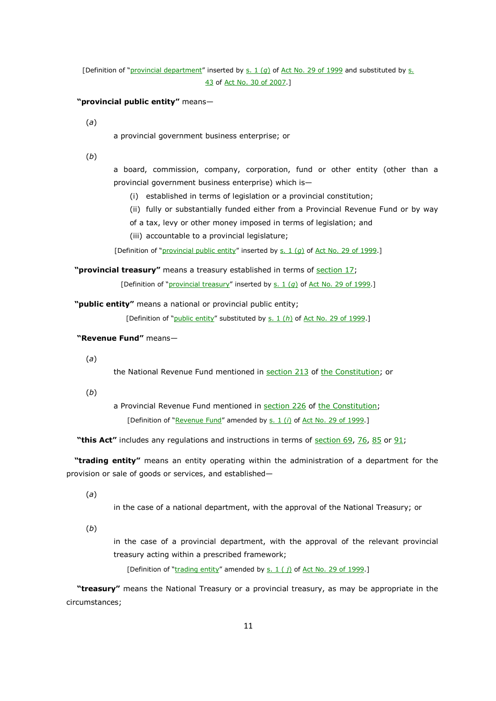[Definition of "provincial department" inserted by s. 1 (*g*) of Act No. 29 of 1999 and substituted by s. 43 of Act No. 30 of 2007.]

#### **"provincial public entity"** means—

(*a*)

a provincial government business enterprise; or

(*b*)

a board, commission, company, corporation, fund or other entity (other than a provincial government business enterprise) which is—

(i) established in terms of legislation or a provincial constitution;

(ii) fully or substantially funded either from a Provincial Revenue Fund or by way

of a tax, levy or other money imposed in terms of legislation; and

(iii) accountable to a provincial legislature;

[Definition of "provincial public entity" inserted by s. 1 (*q*) of Act No. 29 of 1999.]

**"provincial treasury"** means a treasury established in terms of section 17;

[Definition of "provincial treasury" inserted by s. 1 (q) of Act No. 29 of 1999.]

**"public entity"** means a national or provincial public entity;

[Definition of "public entity" substituted by s. 1 (*h*) of Act No. 29 of 1999.]

 **"Revenue Fund"** means—

(*a*)

the National Revenue Fund mentioned in section 213 of the Constitution; or

(*b*)

a Provincial Revenue Fund mentioned in section 226 of the Constitution; [Definition of "Revenue Fund" amended by s. 1 (*i*) of Act No. 29 of 1999.]

 **"this Act"** includes any regulations and instructions in terms of section 69, 76, 85 or 91;

**"trading entity"** means an entity operating within the administration of a department for the provision or sale of goods or services, and established—

(*a*)

in the case of a national department, with the approval of the National Treasury; or

(*b*)

in the case of a provincial department, with the approval of the relevant provincial treasury acting within a prescribed framework;

[Definition of "trading entity" amended by s. 1 (*j*) of Act No. 29 of 1999.]

 **"treasury"** means the National Treasury or a provincial treasury, as may be appropriate in the circumstances;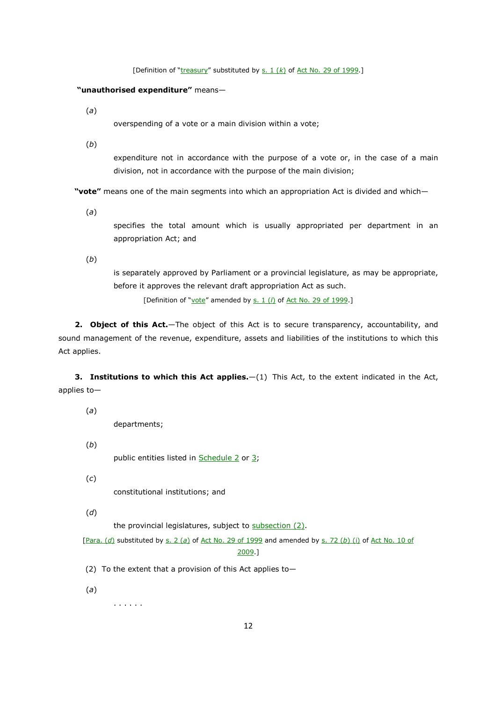[Definition of "treasury" substituted by s. 1 (*k*) of Act No. 29 of 1999.]

#### **"unauthorised expenditure"** means—

(*a*)

overspending of a vote or a main division within a vote;

(*b*)

expenditure not in accordance with the purpose of a vote or, in the case of a main division, not in accordance with the purpose of the main division;

**"vote"** means one of the main segments into which an appropriation Act is divided and which—

(*a*)

specifies the total amount which is usually appropriated per department in an appropriation Act; and

(*b*)

is separately approved by Parliament or a provincial legislature, as may be appropriate, before it approves the relevant draft appropriation Act as such.

[Definition of "vote" amended by s. 1 (*l*) of Act No. 29 of 1999.]

**2. Object of this Act.**—The object of this Act is to secure transparency, accountability, and sound management of the revenue, expenditure, assets and liabilities of the institutions to which this Act applies.

**3. Institutions to which this Act applies.**—(1) This Act, to the extent indicated in the Act, applies to—

(*a*)

departments;

(*b*) public entities listed in **Schedule 2** or 3;

(*c*)

constitutional institutions; and

(*d*)

the provincial legislatures, subject to subsection (2).

[Para. (*d*) substituted by s. 2 (*a*) of Act No. 29 of 1999 and amended by s. 72 (*b*) (i) of Act No. 10 of 2009.]

(2) To the extent that a provision of this Act applies to—

(*a*)

. . . . . .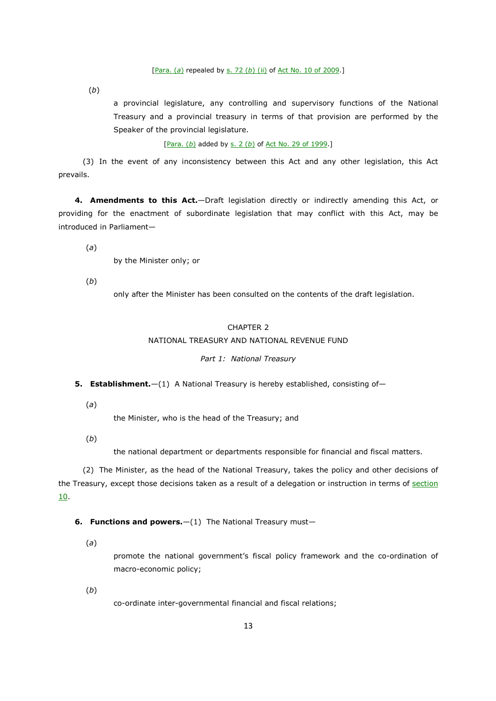#### [Para. (*a*) repealed by s. 72 (*b*) (ii) of Act No. 10 of 2009.]

(*b*)

a provincial legislature, any controlling and supervisory functions of the National Treasury and a provincial treasury in terms of that provision are performed by the Speaker of the provincial legislature.

[Para. (*b*) added by s. 2 (*b*) of Act No. 29 of 1999.]

(3) In the event of any inconsistency between this Act and any other legislation, this Act prevails.

**4. Amendments to this Act.**—Draft legislation directly or indirectly amending this Act, or providing for the enactment of subordinate legislation that may conflict with this Act, may be introduced in Parliament—

(*a*)

by the Minister only; or

(*b*)

only after the Minister has been consulted on the contents of the draft legislation.

# CHAPTER 2

## NATIONAL TREASURY AND NATIONAL REVENUE FUND

## *Part 1: National Treasury*

- **5. Establishment.**—(1) A National Treasury is hereby established, consisting of—
	- (*a*)

the Minister, who is the head of the Treasury; and

(*b*)

the national department or departments responsible for financial and fiscal matters.

(2) The Minister, as the head of the National Treasury, takes the policy and other decisions of the Treasury, except those decisions taken as a result of a delegation or instruction in terms of section 10.

**6. Functions and powers.** - (1) The National Treasury must-

(*a*)

promote the national government's fiscal policy framework and the co-ordination of macro-economic policy;

(*b*)

co-ordinate inter-governmental financial and fiscal relations;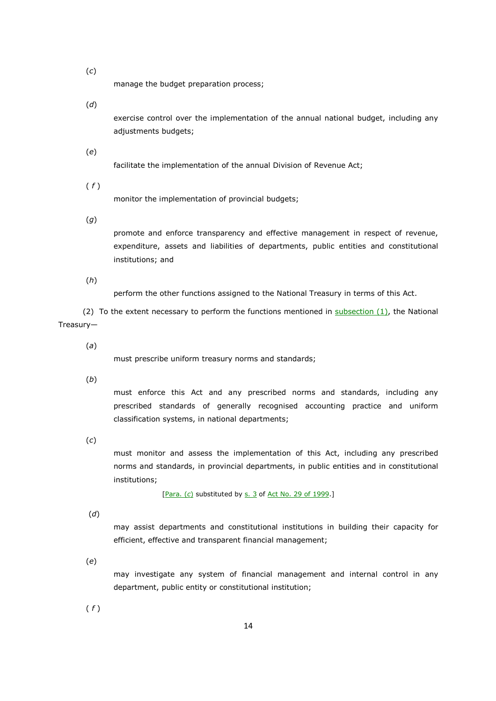(*c*)

manage the budget preparation process;

(*d*)

exercise control over the implementation of the annual national budget, including any adjustments budgets;

facilitate the implementation of the annual Division of Revenue Act;

( *f* )

(*e*)

monitor the implementation of provincial budgets;

(*g*)

promote and enforce transparency and effective management in respect of revenue, expenditure, assets and liabilities of departments, public entities and constitutional institutions; and

(*h*)

perform the other functions assigned to the National Treasury in terms of this Act.

(2) To the extent necessary to perform the functions mentioned in  $subsection (1)$ , the National Treasury—

(*a*)

must prescribe uniform treasury norms and standards;

(*b*)

must enforce this Act and any prescribed norms and standards, including any prescribed standards of generally recognised accounting practice and uniform classification systems, in national departments;

(*c*)

must monitor and assess the implementation of this Act, including any prescribed norms and standards, in provincial departments, in public entities and in constitutional institutions;

[Para. (c) substituted by s. 3 of Act No. 29 of 1999.]

(*d*)

may assist departments and constitutional institutions in building their capacity for efficient, effective and transparent financial management;

(*e*)

may investigate any system of financial management and internal control in any department, public entity or constitutional institution;

( *f* )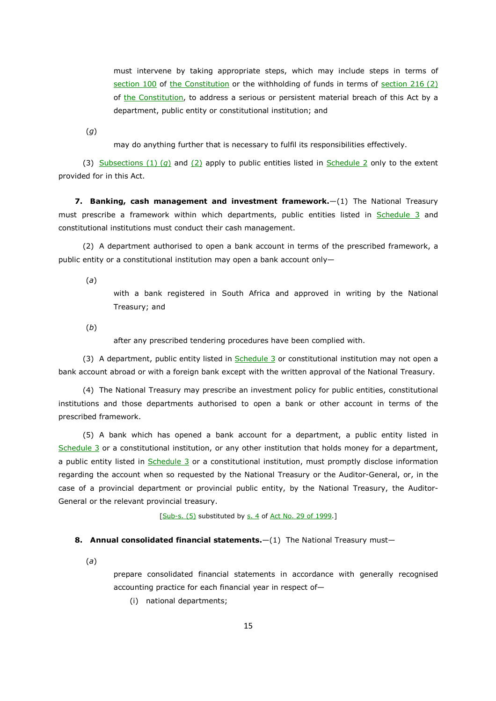must intervene by taking appropriate steps, which may include steps in terms of section 100 of the Constitution or the withholding of funds in terms of section 216 (2) of the Constitution, to address a serious or persistent material breach of this Act by a department, public entity or constitutional institution; and

(*g*)

may do anything further that is necessary to fulfil its responsibilities effectively.

(3) Subsections (1) (*g*) and (2) apply to public entities listed in Schedule 2 only to the extent provided for in this Act.

**7. Banking, cash management and investment framework.**—(1) The National Treasury must prescribe a framework within which departments, public entities listed in Schedule 3 and constitutional institutions must conduct their cash management.

(2) A department authorised to open a bank account in terms of the prescribed framework, a public entity or a constitutional institution may open a bank account only—

(*a*)

with a bank registered in South Africa and approved in writing by the National Treasury; and

(*b*)

after any prescribed tendering procedures have been complied with.

(3) A department, public entity listed in Schedule 3 or constitutional institution may not open a bank account abroad or with a foreign bank except with the written approval of the National Treasury.

(4) The National Treasury may prescribe an investment policy for public entities, constitutional institutions and those departments authorised to open a bank or other account in terms of the prescribed framework.

(5) A bank which has opened a bank account for a department, a public entity listed in Schedule 3 or a constitutional institution, or any other institution that holds money for a department, a public entity listed in Schedule 3 or a constitutional institution, must promptly disclose information regarding the account when so requested by the National Treasury or the Auditor-General, or, in the case of a provincial department or provincial public entity, by the National Treasury, the Auditor-General or the relevant provincial treasury.

 $[Sub-s. (5)$  substituted by  $s. 4$  of Act No. 29 of 1999.]

#### **8. Annual consolidated financial statements.**  $-(1)$  The National Treasury must-

(*a*)

prepare consolidated financial statements in accordance with generally recognised accounting practice for each financial year in respect of—

(i) national departments;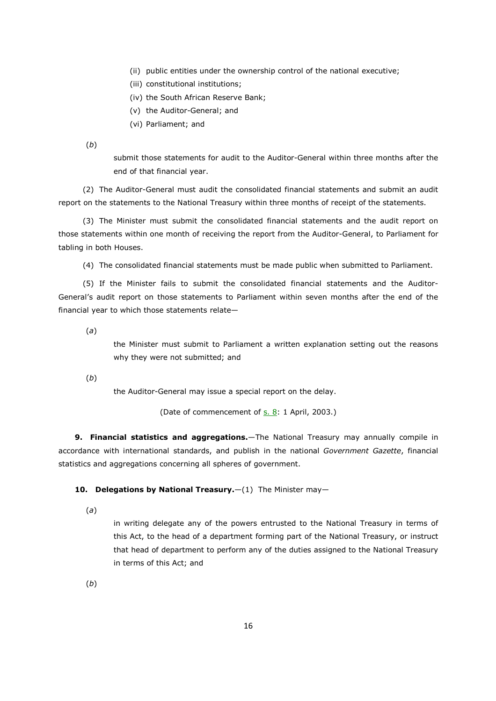- (ii) public entities under the ownership control of the national executive;
- (iii) constitutional institutions;
- (iv) the South African Reserve Bank;
- (v) the Auditor-General; and
- (vi) Parliament; and

(*b*)

submit those statements for audit to the Auditor-General within three months after the end of that financial year.

(2) The Auditor-General must audit the consolidated financial statements and submit an audit report on the statements to the National Treasury within three months of receipt of the statements.

(3) The Minister must submit the consolidated financial statements and the audit report on those statements within one month of receiving the report from the Auditor-General, to Parliament for tabling in both Houses.

(4) The consolidated financial statements must be made public when submitted to Parliament.

(5) If the Minister fails to submit the consolidated financial statements and the Auditor-General's audit report on those statements to Parliament within seven months after the end of the financial year to which those statements relate—

(*a*)

the Minister must submit to Parliament a written explanation setting out the reasons why they were not submitted; and

(*b*)

the Auditor-General may issue a special report on the delay.

(Date of commencement of s. 8: 1 April, 2003.)

**9. Financial statistics and aggregations.**—The National Treasury may annually compile in accordance with international standards, and publish in the national *Government Gazette*, financial statistics and aggregations concerning all spheres of government.

# **10. Delegations by National Treasury.** - (1) The Minister may-

(*a*)

in writing delegate any of the powers entrusted to the National Treasury in terms of this Act, to the head of a department forming part of the National Treasury, or instruct that head of department to perform any of the duties assigned to the National Treasury in terms of this Act; and

(*b*)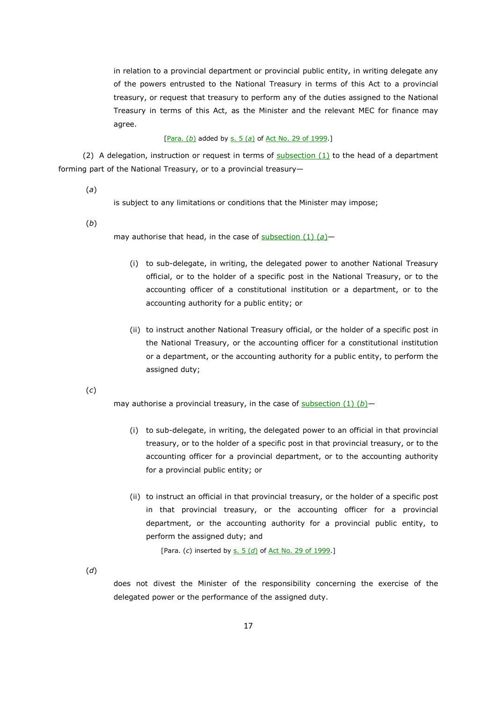in relation to a provincial department or provincial public entity, in writing delegate any of the powers entrusted to the National Treasury in terms of this Act to a provincial treasury, or request that treasury to perform any of the duties assigned to the National Treasury in terms of this Act, as the Minister and the relevant MEC for finance may agree.

#### [Para. (*b*) added by s. 5 (*a*) of Act No. 29 of 1999.]

(2) A delegation, instruction or request in terms of  $subsection (1)$  to the head of a department forming part of the National Treasury, or to a provincial treasury—

(*a*)

is subject to any limitations or conditions that the Minister may impose;

(*b*)

may authorise that head, in the case of subsection (1) (*a*)—

- (i) to sub-delegate, in writing, the delegated power to another National Treasury official, or to the holder of a specific post in the National Treasury, or to the accounting officer of a constitutional institution or a department, or to the accounting authority for a public entity; or
- (ii) to instruct another National Treasury official, or the holder of a specific post in the National Treasury, or the accounting officer for a constitutional institution or a department, or the accounting authority for a public entity, to perform the assigned duty;

(*c*)

may authorise a provincial treasury, in the case of subsection (1) (*b*)—

- (i) to sub-delegate, in writing, the delegated power to an official in that provincial treasury, or to the holder of a specific post in that provincial treasury, or to the accounting officer for a provincial department, or to the accounting authority for a provincial public entity; or
- (ii) to instruct an official in that provincial treasury, or the holder of a specific post in that provincial treasury, or the accounting officer for a provincial department, or the accounting authority for a provincial public entity, to perform the assigned duty; and

[Para. (*c*) inserted by s. 5 (*d*) of Act No. 29 of 1999.]

(*d*)

does not divest the Minister of the responsibility concerning the exercise of the delegated power or the performance of the assigned duty.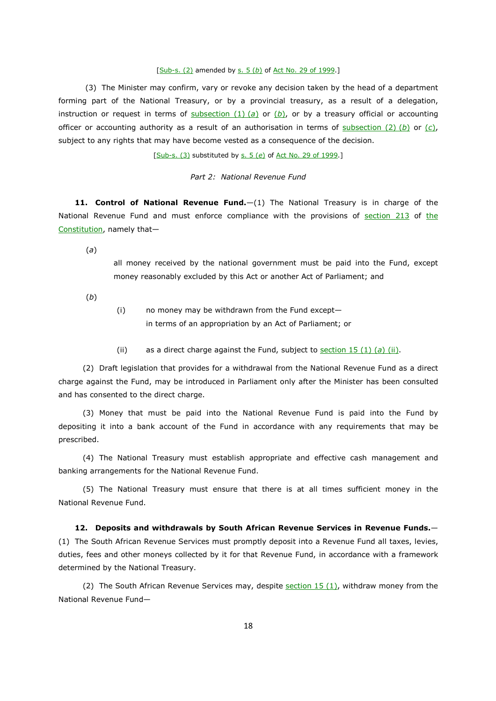#### [Sub-s. (2) amended by s. 5 (*b*) of Act No. 29 of 1999.]

 (3) The Minister may confirm, vary or revoke any decision taken by the head of a department forming part of the National Treasury, or by a provincial treasury, as a result of a delegation, instruction or request in terms of subsection (1) (*a*) or (*b*), or by a treasury official or accounting officer or accounting authority as a result of an authorisation in terms of subsection (2) (*b*) or (*c*), subject to any rights that may have become vested as a consequence of the decision.

[Sub-s. (3) substituted by s. 5 (*e*) of Act No. 29 of 1999.]

## *Part 2: National Revenue Fund*

**11. Control of National Revenue Fund.**—(1) The National Treasury is in charge of the National Revenue Fund and must enforce compliance with the provisions of section 213 of the Constitution, namely that—

(*a*)

all money received by the national government must be paid into the Fund, except money reasonably excluded by this Act or another Act of Parliament; and

(*b*)

- (i) no money may be withdrawn from the Fund except in terms of an appropriation by an Act of Parliament; or
- (ii) as a direct charge against the Fund, subject to section 15 (1) (*a*) (ii).

(2) Draft legislation that provides for a withdrawal from the National Revenue Fund as a direct charge against the Fund, may be introduced in Parliament only after the Minister has been consulted and has consented to the direct charge.

(3) Money that must be paid into the National Revenue Fund is paid into the Fund by depositing it into a bank account of the Fund in accordance with any requirements that may be prescribed.

(4) The National Treasury must establish appropriate and effective cash management and banking arrangements for the National Revenue Fund.

(5) The National Treasury must ensure that there is at all times sufficient money in the National Revenue Fund.

**12. Deposits and withdrawals by South African Revenue Services in Revenue Funds.**— (1) The South African Revenue Services must promptly deposit into a Revenue Fund all taxes, levies, duties, fees and other moneys collected by it for that Revenue Fund, in accordance with a framework determined by the National Treasury.

(2) The South African Revenue Services may, despite section  $15$  (1), withdraw money from the National Revenue Fund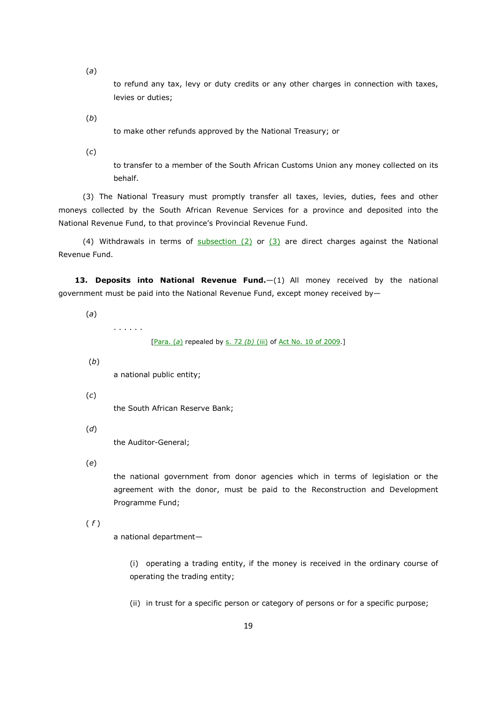(*a*)

to refund any tax, levy or duty credits or any other charges in connection with taxes, levies or duties;

(*b*)

to make other refunds approved by the National Treasury; or

(*c*)

to transfer to a member of the South African Customs Union any money collected on its behalf.

(3) The National Treasury must promptly transfer all taxes, levies, duties, fees and other moneys collected by the South African Revenue Services for a province and deposited into the National Revenue Fund, to that province's Provincial Revenue Fund.

(4) Withdrawals in terms of  $subsection$  (2) or  $(3)$  are direct charges against the National Revenue Fund.

**13. Deposits into National Revenue Fund.**—(1) All money received by the national government must be paid into the National Revenue Fund, except money received by—

(*a*)

. . . . . .

[Para. (*a*) repealed by s. 72 *(b)* (iii) of Act No. 10 of 2009.]

(*b*)

a national public entity;

(*c*)

the South African Reserve Bank;

(*d*)

the Auditor-General;

(*e*)

the national government from donor agencies which in terms of legislation or the agreement with the donor, must be paid to the Reconstruction and Development Programme Fund;

# ( *f* )

a national department—

(i) operating a trading entity, if the money is received in the ordinary course of operating the trading entity;

(ii) in trust for a specific person or category of persons or for a specific purpose;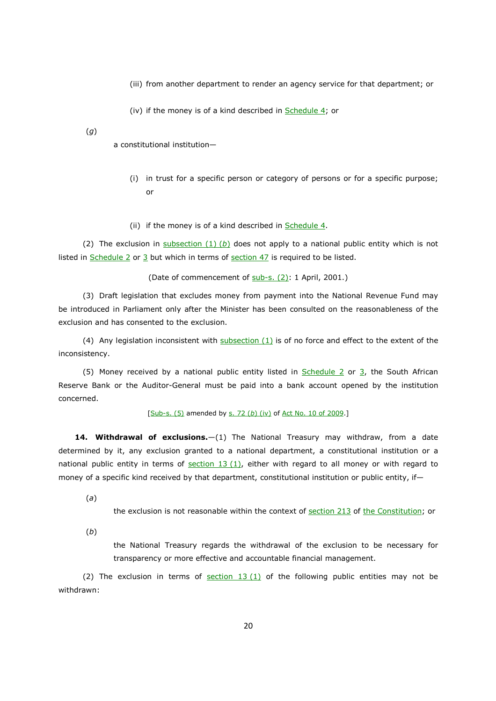- (iii) from another department to render an agency service for that department; or
- (iv) if the money is of a kind described in  $S$ chedule 4; or

(*g*)

a constitutional institution—

- (i) in trust for a specific person or category of persons or for a specific purpose; or
- (ii) if the money is of a kind described in  $S$ chedule 4.

(2) The exclusion in subsection (1) (*b*) does not apply to a national public entity which is not listed in Schedule 2 or  $3$  but which in terms of section  $47$  is required to be listed.

(Date of commencement of sub-s. (2): 1 April, 2001.)

(3) Draft legislation that excludes money from payment into the National Revenue Fund may be introduced in Parliament only after the Minister has been consulted on the reasonableness of the exclusion and has consented to the exclusion.

(4) Any legislation inconsistent with subsection  $(1)$  is of no force and effect to the extent of the inconsistency.

(5) Money received by a national public entity listed in Schedule 2 or 3, the South African Reserve Bank or the Auditor-General must be paid into a bank account opened by the institution concerned.

[Sub-s. (5) amended by s. 72 (b) (iv) of Act No. 10 of 2009.]

**14. Withdrawal of exclusions.**—(1) The National Treasury may withdraw, from a date determined by it, any exclusion granted to a national department, a constitutional institution or a national public entity in terms of section  $13 (1)$ , either with regard to all money or with regard to money of a specific kind received by that department, constitutional institution or public entity, if-

(*a*)

the exclusion is not reasonable within the context of section 213 of the Constitution; or

(*b*)

the National Treasury regards the withdrawal of the exclusion to be necessary for transparency or more effective and accountable financial management.

(2) The exclusion in terms of  $section 13 (1)$  of the following public entities may not be withdrawn: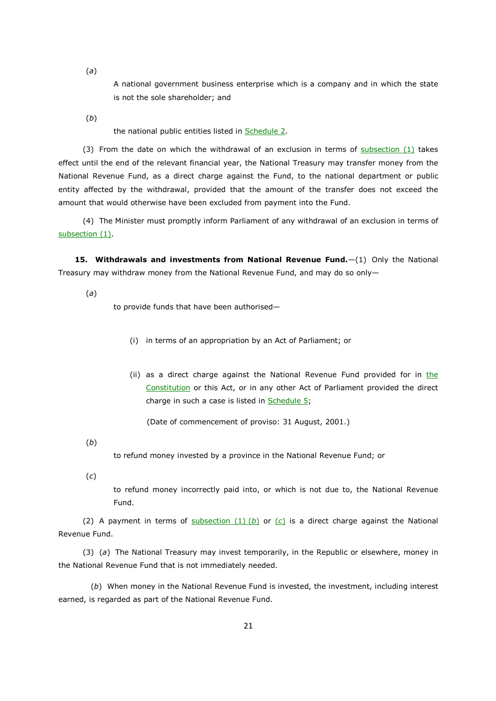(*a*)

A national government business enterprise which is a company and in which the state is not the sole shareholder; and

(*b*)

the national public entities listed in Schedule 2.

(3) From the date on which the withdrawal of an exclusion in terms of subsection  $(1)$  takes effect until the end of the relevant financial year, the National Treasury may transfer money from the National Revenue Fund, as a direct charge against the Fund, to the national department or public entity affected by the withdrawal, provided that the amount of the transfer does not exceed the amount that would otherwise have been excluded from payment into the Fund.

(4) The Minister must promptly inform Parliament of any withdrawal of an exclusion in terms of subsection (1).

**15. Withdrawals and investments from National Revenue Fund.**—(1) Only the National Treasury may withdraw money from the National Revenue Fund, and may do so only—

(*a*)

to provide funds that have been authorised—

- (i) in terms of an appropriation by an Act of Parliament; or
- (ii) as a direct charge against the National Revenue Fund provided for in the Constitution or this Act, or in any other Act of Parliament provided the direct charge in such a case is listed in Schedule 5;

(Date of commencement of proviso: 31 August, 2001.)

(*b*)

to refund money invested by a province in the National Revenue Fund; or

(*c*)

to refund money incorrectly paid into, or which is not due to, the National Revenue Fund.

(2) A payment in terms of subsection  $(1)$  (b) or  $(c)$  is a direct charge against the National Revenue Fund.

(3) (*a*) The National Treasury may invest temporarily, in the Republic or elsewhere, money in the National Revenue Fund that is not immediately needed.

(*b*) When money in the National Revenue Fund is invested, the investment, including interest earned, is regarded as part of the National Revenue Fund.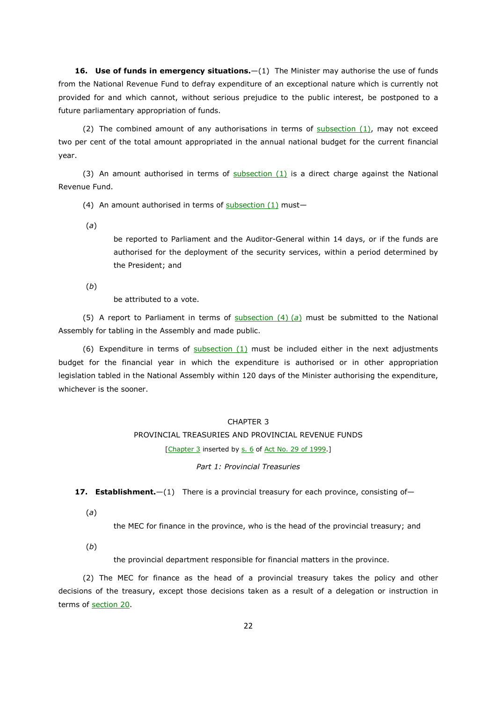**16. Use of funds in emergency situations.**—(1) The Minister may authorise the use of funds from the National Revenue Fund to defray expenditure of an exceptional nature which is currently not provided for and which cannot, without serious prejudice to the public interest, be postponed to a future parliamentary appropriation of funds.

(2) The combined amount of any authorisations in terms of  $subsection (1)$ , may not exceed two per cent of the total amount appropriated in the annual national budget for the current financial year.

(3) An amount authorised in terms of  $subsection (1)$  is a direct charge against the National Revenue Fund.

(4) An amount authorised in terms of  $subsection (1)$  must-

(*a*)

be reported to Parliament and the Auditor-General within 14 days, or if the funds are authorised for the deployment of the security services, within a period determined by the President; and

(*b*)

be attributed to a vote.

(5) A report to Parliament in terms of subsection (4) (*a*) must be submitted to the National Assembly for tabling in the Assembly and made public.

(6) Expenditure in terms of  $subsection (1)$  must be included either in the next adjustments budget for the financial year in which the expenditure is authorised or in other appropriation legislation tabled in the National Assembly within 120 days of the Minister authorising the expenditure, whichever is the sooner.

## CHAPTER 3

# PROVINCIAL TREASURIES AND PROVINCIAL REVENUE FUNDS

[Chapter 3 inserted by s. 6 of Act No. 29 of 1999.]

*Part 1: Provincial Treasuries* 

**17. Establishment.**—(1) There is a provincial treasury for each province, consisting of—

(*a*)

the MEC for finance in the province, who is the head of the provincial treasury; and

(*b*)

the provincial department responsible for financial matters in the province.

(2) The MEC for finance as the head of a provincial treasury takes the policy and other decisions of the treasury, except those decisions taken as a result of a delegation or instruction in terms of section 20.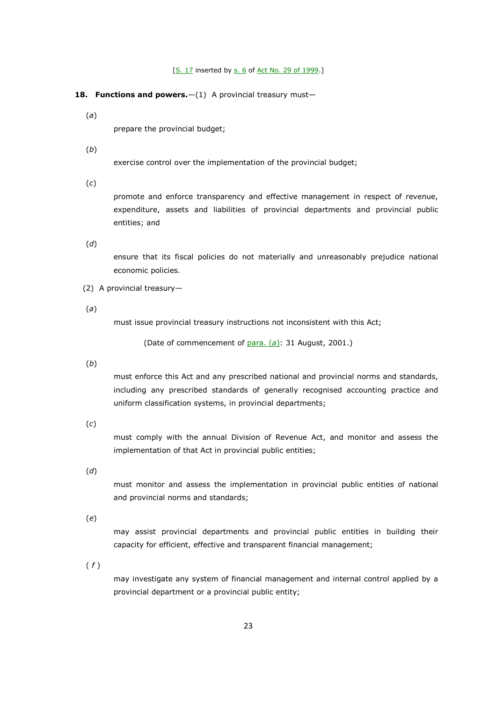[S. 17 inserted by s. 6 of Act No. 29 of 1999.]

#### 18. Functions and powers.-(1) A provincial treasury must-

(*a*)

prepare the provincial budget;

(*b*)

exercise control over the implementation of the provincial budget;

(*c*)

promote and enforce transparency and effective management in respect of revenue, expenditure, assets and liabilities of provincial departments and provincial public entities; and

(*d*)

ensure that its fiscal policies do not materially and unreasonably prejudice national economic policies.

(2) A provincial treasury—

(*a*)

must issue provincial treasury instructions not inconsistent with this Act;

(Date of commencement of para. (*a*): 31 August, 2001.)

(*b*)

must enforce this Act and any prescribed national and provincial norms and standards, including any prescribed standards of generally recognised accounting practice and uniform classification systems, in provincial departments;

(*c*)

must comply with the annual Division of Revenue Act, and monitor and assess the implementation of that Act in provincial public entities;

(*d*)

must monitor and assess the implementation in provincial public entities of national and provincial norms and standards;

(*e*)

may assist provincial departments and provincial public entities in building their capacity for efficient, effective and transparent financial management;

( *f* )

may investigate any system of financial management and internal control applied by a provincial department or a provincial public entity;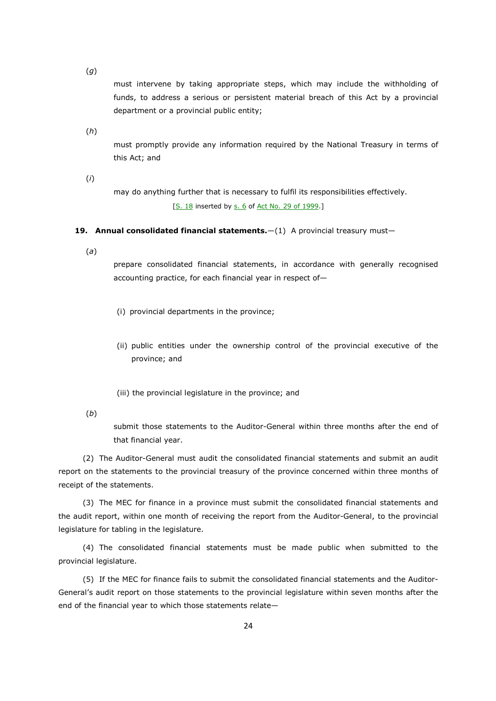(*g*)

must intervene by taking appropriate steps, which may include the withholding of funds, to address a serious or persistent material breach of this Act by a provincial department or a provincial public entity;

(*h*)

must promptly provide any information required by the National Treasury in terms of this Act; and

(*i*)

may do anything further that is necessary to fulfil its responsibilities effectively. [S. 18 inserted by s. 6 of Act No. 29 of 1999.]

#### **19. Annual consolidated financial statements.**—(1) A provincial treasury must—

(*a*)

prepare consolidated financial statements, in accordance with generally recognised accounting practice, for each financial year in respect of—

- (i) provincial departments in the province;
- (ii) public entities under the ownership control of the provincial executive of the province; and
- (iii) the provincial legislature in the province; and
- (*b*)

submit those statements to the Auditor-General within three months after the end of that financial year.

(2) The Auditor-General must audit the consolidated financial statements and submit an audit report on the statements to the provincial treasury of the province concerned within three months of receipt of the statements.

(3) The MEC for finance in a province must submit the consolidated financial statements and the audit report, within one month of receiving the report from the Auditor-General, to the provincial legislature for tabling in the legislature.

(4) The consolidated financial statements must be made public when submitted to the provincial legislature.

(5) If the MEC for finance fails to submit the consolidated financial statements and the Auditor-General's audit report on those statements to the provincial legislature within seven months after the end of the financial year to which those statements relate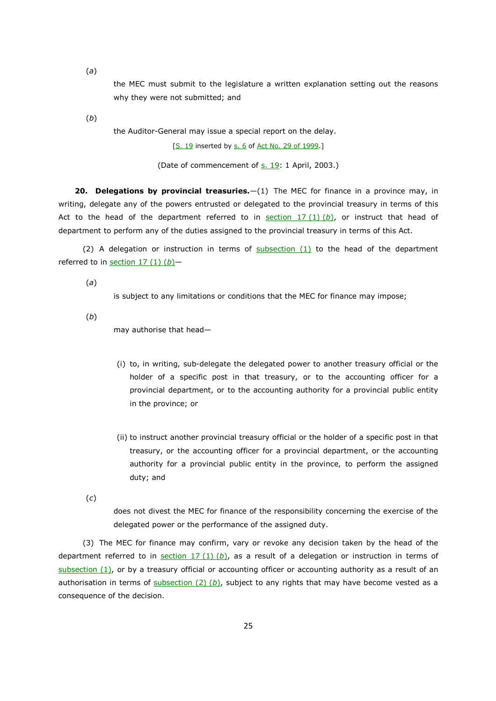(*a*)

the MEC must submit to the legislature a written explanation setting out the reasons why they were not submitted; and

(*b*)

the Auditor-General may issue a special report on the delay.

[S. 19 inserted by s. 6 of Act No. 29 of 1999.]

(Date of commencement of s. 19: 1 April, 2003.)

**20. Delegations by provincial treasuries.**—(1) The MEC for finance in a province may, in writing, delegate any of the powers entrusted or delegated to the provincial treasury in terms of this Act to the head of the department referred to in section 17 (1) (*b*), or instruct that head of department to perform any of the duties assigned to the provincial treasury in terms of this Act.

(2) A delegation or instruction in terms of  $subsection (1)$  to the head of the department referred to in section 17 (1) (*b*)—

(*a*)

is subject to any limitations or conditions that the MEC for finance may impose;

(*b*)

may authorise that head—

- (i) to, in writing, sub-delegate the delegated power to another treasury official or the holder of a specific post in that treasury, or to the accounting officer for a provincial department, or to the accounting authority for a provincial public entity in the province; or
- (ii) to instruct another provincial treasury official or the holder of a specific post in that treasury, or the accounting officer for a provincial department, or the accounting authority for a provincial public entity in the province, to perform the assigned duty; and
- (*c*)

does not divest the MEC for finance of the responsibility concerning the exercise of the delegated power or the performance of the assigned duty.

(3) The MEC for finance may confirm, vary or revoke any decision taken by the head of the department referred to in section 17 (1) (*b*), as a result of a delegation or instruction in terms of subsection (1), or by a treasury official or accounting officer or accounting authority as a result of an authorisation in terms of  $\frac{\text{subsection}(2)(b)}{\text{object}}$  subject to any rights that may have become vested as a consequence of the decision.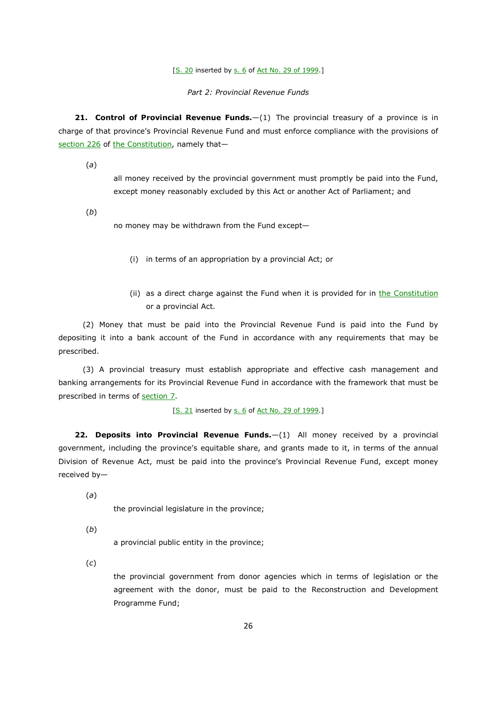[S. 20 inserted by s. 6 of Act No. 29 of 1999.]

*Part 2: Provincial Revenue Funds* 

21. Control of Provincial Revenue Funds.-(1) The provincial treasury of a province is in charge of that province's Provincial Revenue Fund and must enforce compliance with the provisions of section 226 of the Constitution, namely that—

(*a*)

all money received by the provincial government must promptly be paid into the Fund, except money reasonably excluded by this Act or another Act of Parliament; and

(*b*)

no money may be withdrawn from the Fund except—

- (i) in terms of an appropriation by a provincial Act; or
- (ii) as a direct charge against the Fund when it is provided for in the Constitution or a provincial Act.

(2) Money that must be paid into the Provincial Revenue Fund is paid into the Fund by depositing it into a bank account of the Fund in accordance with any requirements that may be prescribed.

(3) A provincial treasury must establish appropriate and effective cash management and banking arrangements for its Provincial Revenue Fund in accordance with the framework that must be prescribed in terms of section 7.

[S. 21 inserted by s. 6 of Act No. 29 of 1999.]

**22. Deposits into Provincial Revenue Funds.**—(1) All money received by a provincial government, including the province's equitable share, and grants made to it, in terms of the annual Division of Revenue Act, must be paid into the province's Provincial Revenue Fund, except money received by—

(*a*)

the provincial legislature in the province;

(*b*)

a provincial public entity in the province;

(*c*)

the provincial government from donor agencies which in terms of legislation or the agreement with the donor, must be paid to the Reconstruction and Development Programme Fund;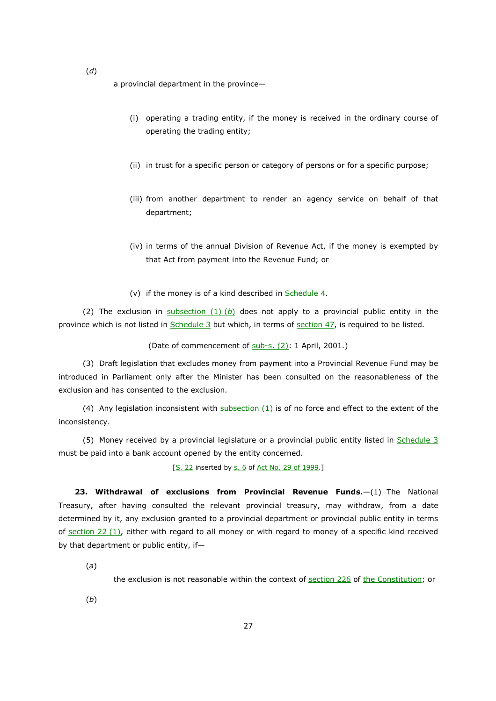a provincial department in the province—

- (i) operating a trading entity, if the money is received in the ordinary course of operating the trading entity;
- (ii) in trust for a specific person or category of persons or for a specific purpose;
- (iii) from another department to render an agency service on behalf of that department;
- (iv) in terms of the annual Division of Revenue Act, if the money is exempted by that Act from payment into the Revenue Fund; or
- (v) if the money is of a kind described in Schedule 4.

(2) The exclusion in subsection  $(1)$  (b) does not apply to a provincial public entity in the province which is not listed in Schedule 3 but which, in terms of section 47, is required to be listed.

(Date of commencement of sub-s. (2): 1 April, 2001.)

(3) Draft legislation that excludes money from payment into a Provincial Revenue Fund may be introduced in Parliament only after the Minister has been consulted on the reasonableness of the exclusion and has consented to the exclusion.

(4) Any legislation inconsistent with subsection (1) is of no force and effect to the extent of the inconsistency.

(5) Money received by a provincial legislature or a provincial public entity listed in Schedule 3 must be paid into a bank account opened by the entity concerned.

[S. 22 inserted by s. 6 of Act No. 29 of 1999.]

**23. Withdrawal of exclusions from Provincial Revenue Funds.**—(1) The National Treasury, after having consulted the relevant provincial treasury, may withdraw, from a date determined by it, any exclusion granted to a provincial department or provincial public entity in terms of section 22 (1), either with regard to all money or with regard to money of a specific kind received by that department or public entity, if—

(*a*)

the exclusion is not reasonable within the context of section 226 of the Constitution; or

(*b*)

(*d*)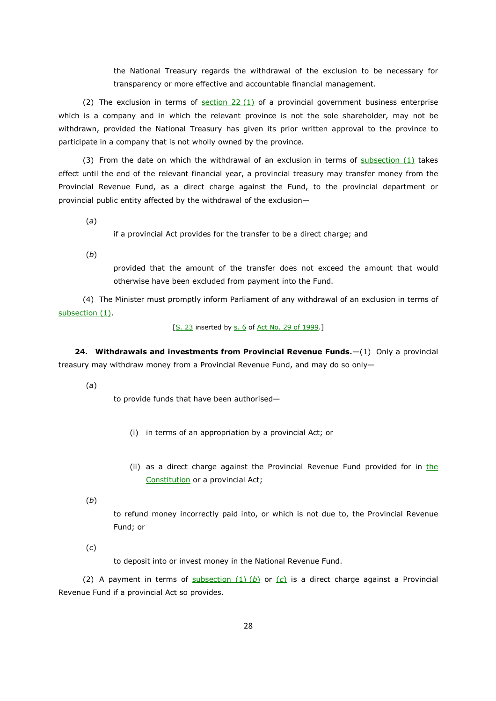the National Treasury regards the withdrawal of the exclusion to be necessary for transparency or more effective and accountable financial management.

(2) The exclusion in terms of  $section 22 (1)$  of a provincial government business enterprise which is a company and in which the relevant province is not the sole shareholder, may not be withdrawn, provided the National Treasury has given its prior written approval to the province to participate in a company that is not wholly owned by the province.

(3) From the date on which the withdrawal of an exclusion in terms of subsection (1) takes effect until the end of the relevant financial year, a provincial treasury may transfer money from the Provincial Revenue Fund, as a direct charge against the Fund, to the provincial department or provincial public entity affected by the withdrawal of the exclusion—

(*a*)

if a provincial Act provides for the transfer to be a direct charge; and

(*b*)

provided that the amount of the transfer does not exceed the amount that would otherwise have been excluded from payment into the Fund.

(4) The Minister must promptly inform Parliament of any withdrawal of an exclusion in terms of subsection (1).

[S. 23 inserted by s. 6 of Act No. 29 of 1999.]

**24. Withdrawals and investments from Provincial Revenue Funds.**—(1) Only a provincial treasury may withdraw money from a Provincial Revenue Fund, and may do so only—

(*a*)

to provide funds that have been authorised—

- (i) in terms of an appropriation by a provincial Act; or
- (ii) as a direct charge against the Provincial Revenue Fund provided for in the Constitution or a provincial Act;
- (*b*)

to refund money incorrectly paid into, or which is not due to, the Provincial Revenue Fund; or

(*c*)

to deposit into or invest money in the National Revenue Fund.

(2) A payment in terms of subsection  $(1)$  (b) or  $(c)$  is a direct charge against a Provincial Revenue Fund if a provincial Act so provides.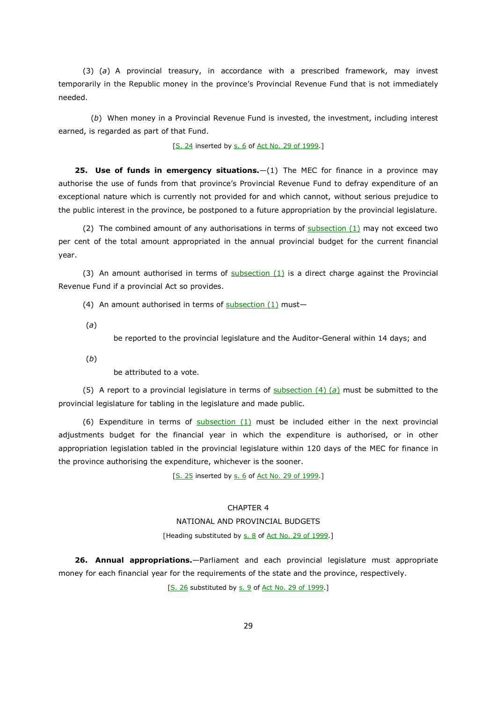(3) (*a*) A provincial treasury, in accordance with a prescribed framework, may invest temporarily in the Republic money in the province's Provincial Revenue Fund that is not immediately needed.

(*b*) When money in a Provincial Revenue Fund is invested, the investment, including interest earned, is regarded as part of that Fund.

[S. 24 inserted by s. 6 of Act No. 29 of 1999.]

**25. Use of funds in emergency situations.**—(1) The MEC for finance in a province may authorise the use of funds from that province's Provincial Revenue Fund to defray expenditure of an exceptional nature which is currently not provided for and which cannot, without serious prejudice to the public interest in the province, be postponed to a future appropriation by the provincial legislature.

(2) The combined amount of any authorisations in terms of  $subsection(1)$  may not exceed two per cent of the total amount appropriated in the annual provincial budget for the current financial year.

(3) An amount authorised in terms of  $subsection (1)$  is a direct charge against the Provincial Revenue Fund if a provincial Act so provides.

(4) An amount authorised in terms of  $subsection (1)$  must-

(*a*)

be reported to the provincial legislature and the Auditor-General within 14 days; and

(*b*)

be attributed to a vote.

(5) A report to a provincial legislature in terms of subsection (4) (*a*) must be submitted to the provincial legislature for tabling in the legislature and made public.

(6) Expenditure in terms of subsection (1) must be included either in the next provincial adjustments budget for the financial year in which the expenditure is authorised, or in other appropriation legislation tabled in the provincial legislature within 120 days of the MEC for finance in the province authorising the expenditure, whichever is the sooner.

[S. 25 inserted by s. 6 of Act No. 29 of 1999.]

## CHAPTER 4

#### NATIONAL AND PROVINCIAL BUDGETS

### [Heading substituted by s. 8 of Act No. 29 of 1999.]

**26. Annual appropriations.**—Parliament and each provincial legislature must appropriate money for each financial year for the requirements of the state and the province, respectively.

[S. 26 substituted by s. 9 of Act No. 29 of 1999.]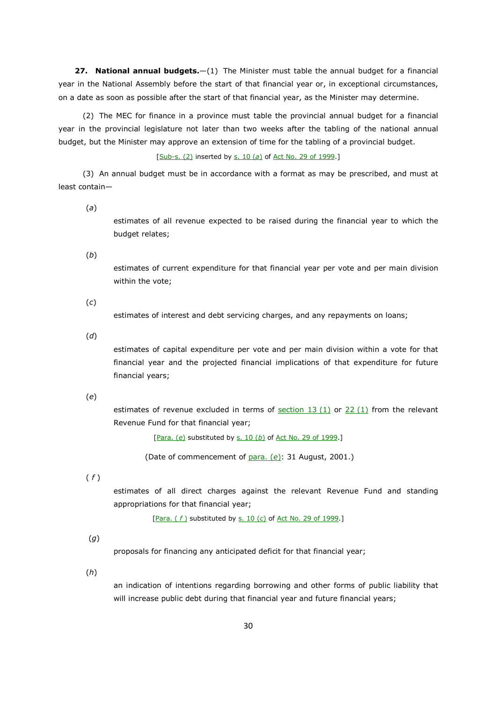**27. National annual budgets.**—(1) The Minister must table the annual budget for a financial year in the National Assembly before the start of that financial year or, in exceptional circumstances, on a date as soon as possible after the start of that financial year, as the Minister may determine.

(2) The MEC for finance in a province must table the provincial annual budget for a financial year in the provincial legislature not later than two weeks after the tabling of the national annual budget, but the Minister may approve an extension of time for the tabling of a provincial budget.

#### [Sub-s. (2) inserted by s. 10 (*a*) of Act No. 29 of 1999.]

(3) An annual budget must be in accordance with a format as may be prescribed, and must at least contain—

(*a*)

estimates of all revenue expected to be raised during the financial year to which the budget relates;

(*b*)

estimates of current expenditure for that financial year per vote and per main division within the vote;

(*c*)

estimates of interest and debt servicing charges, and any repayments on loans;

(*d*)

estimates of capital expenditure per vote and per main division within a vote for that financial year and the projected financial implications of that expenditure for future financial years;

(*e*)

estimates of revenue excluded in terms of  $section 13 (1)$  or  $22 (1)$  from the relevant Revenue Fund for that financial year;

[Para. (*e*) substituted by s. 10 (*b*) of Act No. 29 of 1999.]

(Date of commencement of para. (*e*): 31 August, 2001.)

( *f* )

estimates of all direct charges against the relevant Revenue Fund and standing appropriations for that financial year;

[Para. ( *f* ) substituted by s. 10 (*c*) of Act No. 29 of 1999.]

(*g*)

proposals for financing any anticipated deficit for that financial year;

(*h*)

an indication of intentions regarding borrowing and other forms of public liability that will increase public debt during that financial year and future financial years;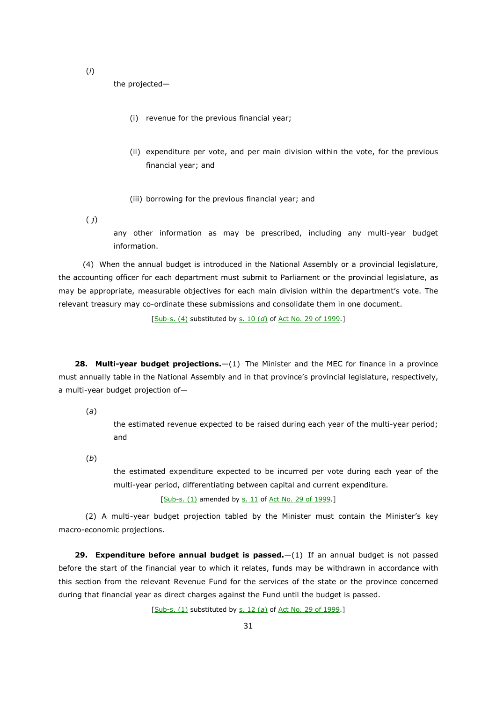(*i*)

the projected—

- (i) revenue for the previous financial year;
- (ii) expenditure per vote, and per main division within the vote, for the previous financial year; and
- (iii) borrowing for the previous financial year; and

( *j*)

any other information as may be prescribed, including any multi-year budget information.

(4) When the annual budget is introduced in the National Assembly or a provincial legislature, the accounting officer for each department must submit to Parliament or the provincial legislature, as may be appropriate, measurable objectives for each main division within the department's vote. The relevant treasury may co-ordinate these submissions and consolidate them in one document.

[Sub-s. (4) substituted by s. 10 (d) of Act No. 29 of 1999.]

**28. Multi-year budget projections.**—(1) The Minister and the MEC for finance in a province must annually table in the National Assembly and in that province's provincial legislature, respectively, a multi-year budget projection of—

(*a*)

the estimated revenue expected to be raised during each year of the multi-year period; and

(*b*)

the estimated expenditure expected to be incurred per vote during each year of the multi-year period, differentiating between capital and current expenditure.

[Sub-s. (1) amended by s. 11 of Act No. 29 of 1999.]

 (2) A multi-year budget projection tabled by the Minister must contain the Minister's key macro-economic projections.

**29. Expenditure before annual budget is passed.**  $-(1)$  If an annual budget is not passed before the start of the financial year to which it relates, funds may be withdrawn in accordance with this section from the relevant Revenue Fund for the services of the state or the province concerned during that financial year as direct charges against the Fund until the budget is passed.

[Sub-s. (1) substituted by s. 12 (*a*) of Act No. 29 of 1999.]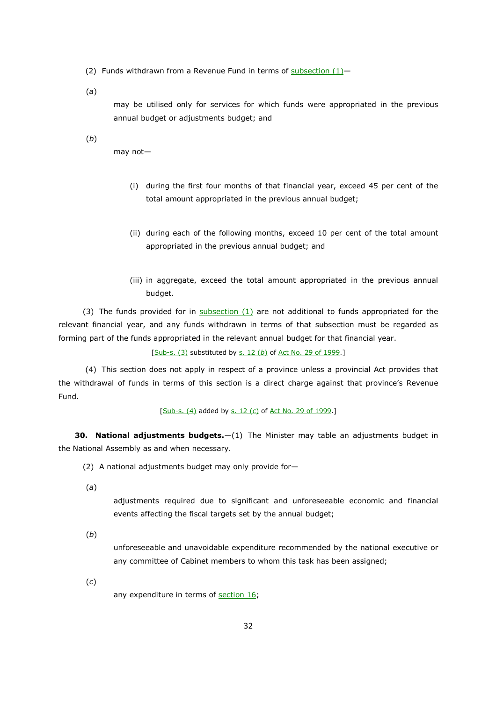(2) Funds withdrawn from a Revenue Fund in terms of subsection  $(1)$ -

(*a*)

may be utilised only for services for which funds were appropriated in the previous annual budget or adjustments budget; and

(*b*)

may not—

- (i) during the first four months of that financial year, exceed 45 per cent of the total amount appropriated in the previous annual budget;
- (ii) during each of the following months, exceed 10 per cent of the total amount appropriated in the previous annual budget; and
- (iii) in aggregate, exceed the total amount appropriated in the previous annual budget.

(3) The funds provided for in  $subsection (1)$  are not additional to funds appropriated for the relevant financial year, and any funds withdrawn in terms of that subsection must be regarded as forming part of the funds appropriated in the relevant annual budget for that financial year.

[Sub-s. (3) substituted by s. 12 (b) of Act No. 29 of 1999.]

 (4) This section does not apply in respect of a province unless a provincial Act provides that the withdrawal of funds in terms of this section is a direct charge against that province's Revenue Fund.

[Sub-s. (4) added by s. 12 (*c*) of Act No. 29 of 1999.]

**30. National adjustments budgets.**—(1) The Minister may table an adjustments budget in the National Assembly as and when necessary.

(2) A national adjustments budget may only provide for—

(*a*)

adjustments required due to significant and unforeseeable economic and financial events affecting the fiscal targets set by the annual budget;

(*b*)

unforeseeable and unavoidable expenditure recommended by the national executive or any committee of Cabinet members to whom this task has been assigned;

(*c*)

any expenditure in terms of section 16;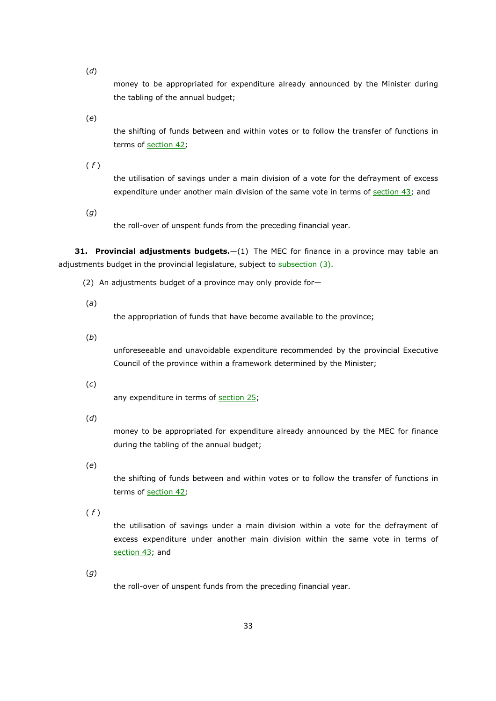(*d*)

money to be appropriated for expenditure already announced by the Minister during the tabling of the annual budget;

(*e*)

the shifting of funds between and within votes or to follow the transfer of functions in terms of section 42;

( *f* )

the utilisation of savings under a main division of a vote for the defrayment of excess expenditure under another main division of the same vote in terms of section 43; and

(*g*)

the roll-over of unspent funds from the preceding financial year.

**31. Provincial adjustments budgets.**—(1) The MEC for finance in a province may table an adjustments budget in the provincial legislature, subject to subsection (3).

(2) An adjustments budget of a province may only provide for—

(*a*)

the appropriation of funds that have become available to the province;

(*b*)

unforeseeable and unavoidable expenditure recommended by the provincial Executive Council of the province within a framework determined by the Minister;

(*c*)

any expenditure in terms of section 25;

(*d*)

money to be appropriated for expenditure already announced by the MEC for finance during the tabling of the annual budget;

(*e*)

the shifting of funds between and within votes or to follow the transfer of functions in terms of section 42;

( *f* )

the utilisation of savings under a main division within a vote for the defrayment of excess expenditure under another main division within the same vote in terms of section 43; and

(*g*)

the roll-over of unspent funds from the preceding financial year.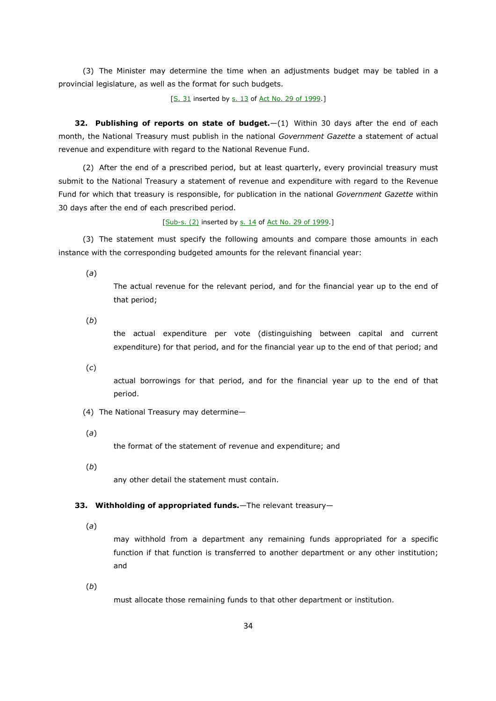(3) The Minister may determine the time when an adjustments budget may be tabled in a provincial legislature, as well as the format for such budgets.

[S. 31 inserted by s. 13 of Act No. 29 of 1999.]

**32. Publishing of reports on state of budget.**—(1) Within 30 days after the end of each month, the National Treasury must publish in the national *Government Gazette* a statement of actual revenue and expenditure with regard to the National Revenue Fund.

(2) After the end of a prescribed period, but at least quarterly, every provincial treasury must submit to the National Treasury a statement of revenue and expenditure with regard to the Revenue Fund for which that treasury is responsible, for publication in the national *Government Gazette* within 30 days after the end of each prescribed period.

[Sub-s. (2) inserted by s. 14 of Act No. 29 of 1999.]

(3) The statement must specify the following amounts and compare those amounts in each instance with the corresponding budgeted amounts for the relevant financial year:

(*a*)

The actual revenue for the relevant period, and for the financial year up to the end of that period;

(*b*)

the actual expenditure per vote (distinguishing between capital and current expenditure) for that period, and for the financial year up to the end of that period; and

(*c*)

actual borrowings for that period, and for the financial year up to the end of that period.

- (4) The National Treasury may determine—
- (*a*)

the format of the statement of revenue and expenditure; and

(*b*)

any other detail the statement must contain.

# **33. Withholding of appropriated funds.**—The relevant treasury—

(*a*)

may withhold from a department any remaining funds appropriated for a specific function if that function is transferred to another department or any other institution; and

(*b*)

must allocate those remaining funds to that other department or institution.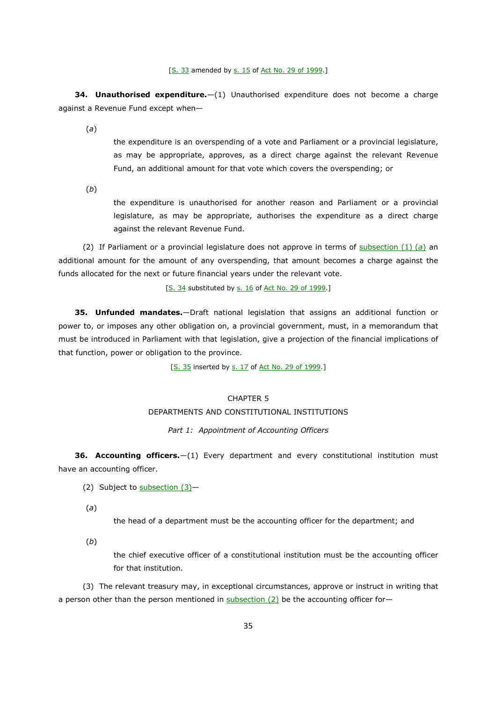[S. 33 amended by s. 15 of Act No. 29 of 1999.]

**34. Unauthorised expenditure.**—(1) Unauthorised expenditure does not become a charge against a Revenue Fund except when—

(*a*)

the expenditure is an overspending of a vote and Parliament or a provincial legislature, as may be appropriate, approves, as a direct charge against the relevant Revenue Fund, an additional amount for that vote which covers the overspending; or

(*b*)

the expenditure is unauthorised for another reason and Parliament or a provincial legislature, as may be appropriate, authorises the expenditure as a direct charge against the relevant Revenue Fund.

(2) If Parliament or a provincial legislature does not approve in terms of subsection (1) (*a*) an additional amount for the amount of any overspending, that amount becomes a charge against the funds allocated for the next or future financial years under the relevant vote.

[S. 34 substituted by s. 16 of Act No. 29 of 1999.]

**35. Unfunded mandates.**—Draft national legislation that assigns an additional function or power to, or imposes any other obligation on, a provincial government, must, in a memorandum that must be introduced in Parliament with that legislation, give a projection of the financial implications of that function, power or obligation to the province.

[S. 35 inserted by s. 17 of Act No. 29 of 1999.]

# CHAPTER 5 DEPARTMENTS AND CONSTITUTIONAL INSTITUTIONS

## *Part 1: Appointment of Accounting Officers*

**36. Accounting officers.**—(1) Every department and every constitutional institution must have an accounting officer.

(2) Subject to  $\frac{\text{subsection}(3)}{}$ 

(*a*)

the head of a department must be the accounting officer for the department; and

(*b*)

the chief executive officer of a constitutional institution must be the accounting officer for that institution.

(3) The relevant treasury may, in exceptional circumstances, approve or instruct in writing that a person other than the person mentioned in subsection  $(2)$  be the accounting officer for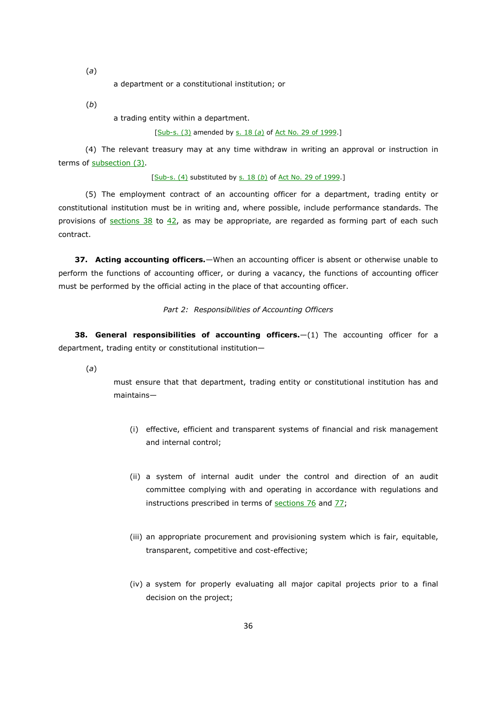(*a*)

a department or a constitutional institution; or

(*b*)

a trading entity within a department.

[Sub-s. (3) amended by s. 18 (*a*) of Act No. 29 of 1999.]

 (4) The relevant treasury may at any time withdraw in writing an approval or instruction in terms of subsection (3).

[Sub-s. (4) substituted by s. 18 (b) of Act No. 29 of 1999.]

 (5) The employment contract of an accounting officer for a department, trading entity or constitutional institution must be in writing and, where possible, include performance standards. The provisions of sections  $38$  to  $42$ , as may be appropriate, are regarded as forming part of each such contract.

**37. Acting accounting officers.**—When an accounting officer is absent or otherwise unable to perform the functions of accounting officer, or during a vacancy, the functions of accounting officer must be performed by the official acting in the place of that accounting officer.

#### *Part 2: Responsibilities of Accounting Officers*

**38. General responsibilities of accounting officers.**—(1) The accounting officer for a department, trading entity or constitutional institution—

(*a*)

must ensure that that department, trading entity or constitutional institution has and maintains—

- (i) effective, efficient and transparent systems of financial and risk management and internal control;
- (ii) a system of internal audit under the control and direction of an audit committee complying with and operating in accordance with regulations and instructions prescribed in terms of sections 76 and 77;
- (iii) an appropriate procurement and provisioning system which is fair, equitable, transparent, competitive and cost-effective;
- (iv) a system for properly evaluating all major capital projects prior to a final decision on the project;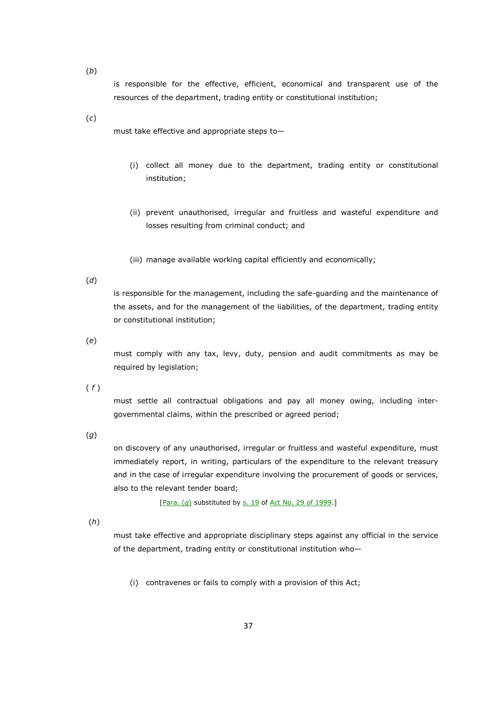(*b*)

is responsible for the effective, efficient, economical and transparent use of the resources of the department, trading entity or constitutional institution;

(*c*)

must take effective and appropriate steps to—

- (i) collect all money due to the department, trading entity or constitutional institution;
- (ii) prevent unauthorised, irregular and fruitless and wasteful expenditure and losses resulting from criminal conduct; and
- (iii) manage available working capital efficiently and economically;

#### (*d*)

is responsible for the management, including the safe-guarding and the maintenance of the assets, and for the management of the liabilities, of the department, trading entity or constitutional institution;

(*e*)

must comply with any tax, levy, duty, pension and audit commitments as may be required by legislation;

( *f* )

must settle all contractual obligations and pay all money owing, including intergovernmental claims, within the prescribed or agreed period;

(*g*)

on discovery of any unauthorised, irregular or fruitless and wasteful expenditure, must immediately report, in writing, particulars of the expenditure to the relevant treasury and in the case of irregular expenditure involving the procurement of goods or services, also to the relevant tender board;

[Para. (*g*) substituted by s. 19 of Act No. 29 of 1999.]

(*h*)

must take effective and appropriate disciplinary steps against any official in the service of the department, trading entity or constitutional institution who—

(i) contravenes or fails to comply with a provision of this Act;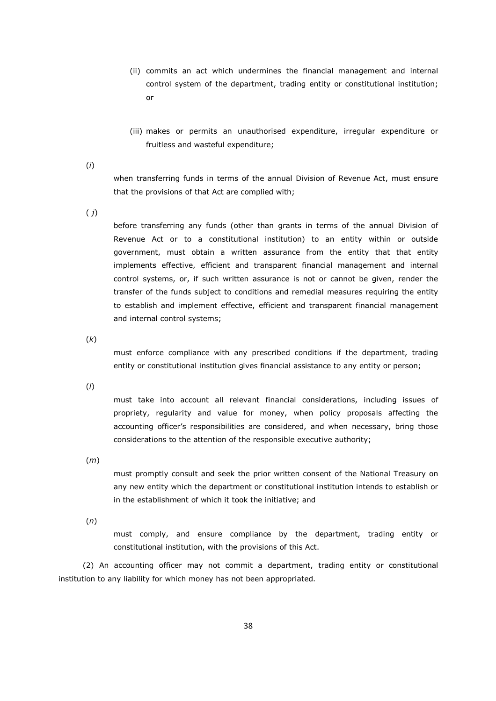- (ii) commits an act which undermines the financial management and internal control system of the department, trading entity or constitutional institution; or
- (iii) makes or permits an unauthorised expenditure, irregular expenditure or fruitless and wasteful expenditure;
- (*i*)

when transferring funds in terms of the annual Division of Revenue Act, must ensure that the provisions of that Act are complied with;

( *j*)

before transferring any funds (other than grants in terms of the annual Division of Revenue Act or to a constitutional institution) to an entity within or outside government, must obtain a written assurance from the entity that that entity implements effective, efficient and transparent financial management and internal control systems, or, if such written assurance is not or cannot be given, render the transfer of the funds subject to conditions and remedial measures requiring the entity to establish and implement effective, efficient and transparent financial management and internal control systems;

(*k*)

must enforce compliance with any prescribed conditions if the department, trading entity or constitutional institution gives financial assistance to any entity or person;

(*l*)

must take into account all relevant financial considerations, including issues of propriety, regularity and value for money, when policy proposals affecting the accounting officer's responsibilities are considered, and when necessary, bring those considerations to the attention of the responsible executive authority;

(*m*)

must promptly consult and seek the prior written consent of the National Treasury on any new entity which the department or constitutional institution intends to establish or in the establishment of which it took the initiative; and

(*n*)

must comply, and ensure compliance by the department, trading entity or constitutional institution, with the provisions of this Act.

(2) An accounting officer may not commit a department, trading entity or constitutional institution to any liability for which money has not been appropriated.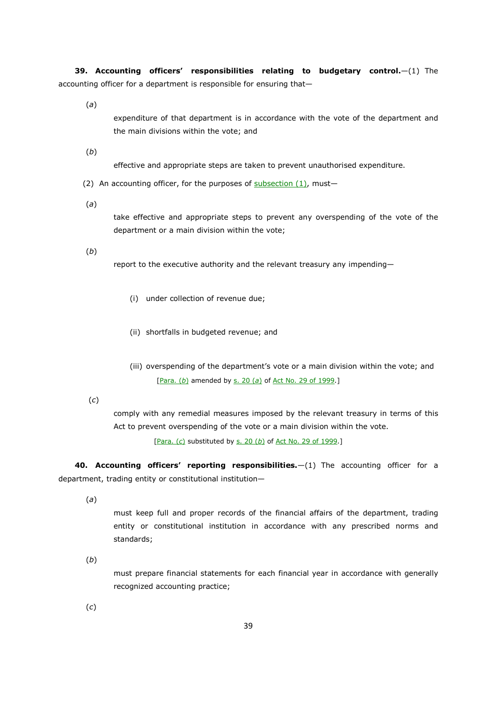**39. Accounting officers' responsibilities relating to budgetary control.**—(1) The accounting officer for a department is responsible for ensuring that—

(*a*)

expenditure of that department is in accordance with the vote of the department and the main divisions within the vote; and

(*b*)

effective and appropriate steps are taken to prevent unauthorised expenditure.

(2) An accounting officer, for the purposes of  $subsection (1)$ , must-

(*a*)

take effective and appropriate steps to prevent any overspending of the vote of the department or a main division within the vote;

(*b*)

report to the executive authority and the relevant treasury any impending—

- (i) under collection of revenue due;
- (ii) shortfalls in budgeted revenue; and
- (iii) overspending of the department's vote or a main division within the vote; and [Para. (*b*) amended by s. 20 (*a*) of Act No. 29 of 1999.]

(*c*)

comply with any remedial measures imposed by the relevant treasury in terms of this Act to prevent overspending of the vote or a main division within the vote.

[Para. (*c*) substituted by s. 20 (*b*) of Act No. 29 of 1999.]

**40. Accounting officers' reporting responsibilities.**—(1) The accounting officer for a department, trading entity or constitutional institution—

(*a*)

must keep full and proper records of the financial affairs of the department, trading entity or constitutional institution in accordance with any prescribed norms and standards;

(*b*)

must prepare financial statements for each financial year in accordance with generally recognized accounting practice;

(*c*)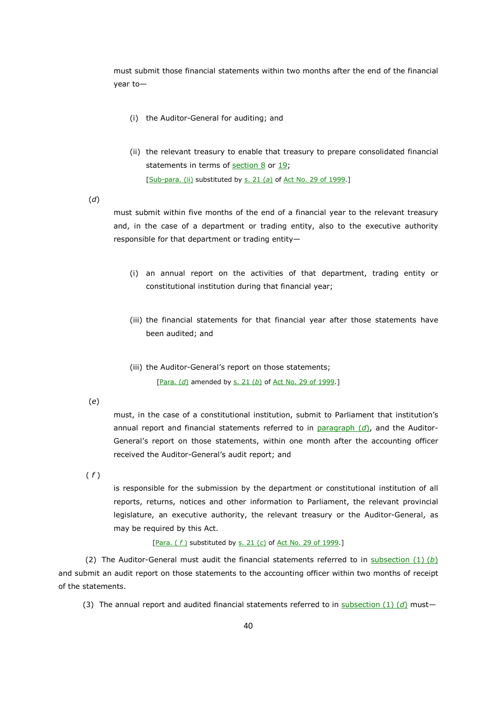must submit those financial statements within two months after the end of the financial year to—

- (i) the Auditor-General for auditing; and
- (ii) the relevant treasury to enable that treasury to prepare consolidated financial statements in terms of  $section 8$  or 19; [Sub-para. (ii) substituted by s. 21 (*a*) of Act No. 29 of 1999.]

(*d*)

must submit within five months of the end of a financial year to the relevant treasury and, in the case of a department or trading entity, also to the executive authority responsible for that department or trading entity—

- (i) an annual report on the activities of that department, trading entity or constitutional institution during that financial year;
- (iii) the financial statements for that financial year after those statements have been audited; and
- (iii) the Auditor-General's report on those statements; [Para. (d) amended by s. 21 (b) of Act No. 29 of 1999.]

(*e*)

must, in the case of a constitutional institution, submit to Parliament that institution's annual report and financial statements referred to in paragraph (d), and the Auditor-General's report on those statements, within one month after the accounting officer received the Auditor-General's audit report; and

( *f* )

is responsible for the submission by the department or constitutional institution of all reports, returns, notices and other information to Parliament, the relevant provincial legislature, an executive authority, the relevant treasury or the Auditor-General, as may be required by this Act.

[Para. ( *f* ) substituted by s. 21 (*c*) of Act No. 29 of 1999.]

 (2) The Auditor-General must audit the financial statements referred to in subsection (1) (*b*) and submit an audit report on those statements to the accounting officer within two months of receipt of the statements.

(3) The annual report and audited financial statements referred to in subsection  $(1)$   $(d)$  must-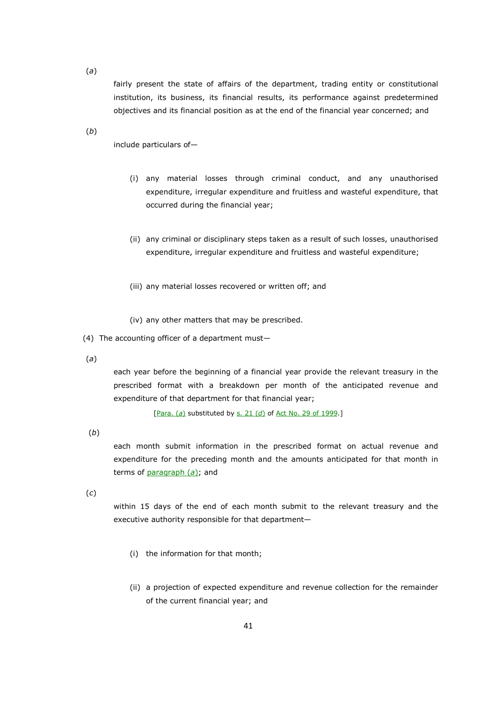(*a*)

fairly present the state of affairs of the department, trading entity or constitutional institution, its business, its financial results, its performance against predetermined objectives and its financial position as at the end of the financial year concerned; and

(*b*)

include particulars of—

- (i) any material losses through criminal conduct, and any unauthorised expenditure, irregular expenditure and fruitless and wasteful expenditure, that occurred during the financial year;
- (ii) any criminal or disciplinary steps taken as a result of such losses, unauthorised expenditure, irregular expenditure and fruitless and wasteful expenditure;
- (iii) any material losses recovered or written off; and
- (iv) any other matters that may be prescribed.
- (4) The accounting officer of a department must—
- (*a*)

each year before the beginning of a financial year provide the relevant treasury in the prescribed format with a breakdown per month of the anticipated revenue and expenditure of that department for that financial year;

[Para. (*a*) substituted by s. 21 (*d*) of Act No. 29 of 1999.]

(*b*)

each month submit information in the prescribed format on actual revenue and expenditure for the preceding month and the amounts anticipated for that month in terms of paragraph (*a*); and

(*c*)

within 15 days of the end of each month submit to the relevant treasury and the executive authority responsible for that department—

- (i) the information for that month;
- (ii) a projection of expected expenditure and revenue collection for the remainder of the current financial year; and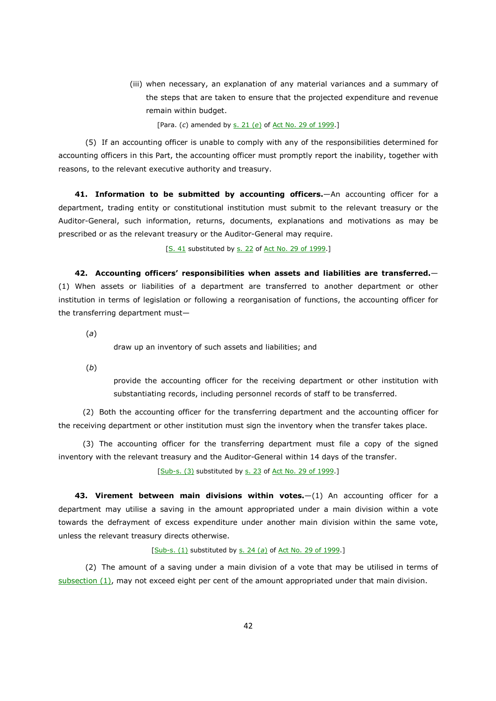(iii) when necessary, an explanation of any material variances and a summary of the steps that are taken to ensure that the projected expenditure and revenue remain within budget.

[Para. (*c*) amended by s. 21 (*e*) of Act No. 29 of 1999.]

 (5) If an accounting officer is unable to comply with any of the responsibilities determined for accounting officers in this Part, the accounting officer must promptly report the inability, together with reasons, to the relevant executive authority and treasury.

**41. Information to be submitted by accounting officers.**—An accounting officer for a department, trading entity or constitutional institution must submit to the relevant treasury or the Auditor-General, such information, returns, documents, explanations and motivations as may be prescribed or as the relevant treasury or the Auditor-General may require.

[S. 41 substituted by s. 22 of Act No. 29 of 1999.]

**42. Accounting officers' responsibilities when assets and liabilities are transferred.**— (1) When assets or liabilities of a department are transferred to another department or other institution in terms of legislation or following a reorganisation of functions, the accounting officer for the transferring department must—

(*a*)

draw up an inventory of such assets and liabilities; and

(*b*)

provide the accounting officer for the receiving department or other institution with substantiating records, including personnel records of staff to be transferred.

(2) Both the accounting officer for the transferring department and the accounting officer for the receiving department or other institution must sign the inventory when the transfer takes place.

(3) The accounting officer for the transferring department must file a copy of the signed inventory with the relevant treasury and the Auditor-General within 14 days of the transfer.

[Sub-s. (3) substituted by s. 23 of Act No. 29 of 1999.]

**43. Virement between main divisions within votes.**—(1) An accounting officer for a department may utilise a saving in the amount appropriated under a main division within a vote towards the defrayment of excess expenditure under another main division within the same vote, unless the relevant treasury directs otherwise.

## [Sub-s. (1) substituted by s. 24 (a) of Act No. 29 of 1999.]

 (2) The amount of a saving under a main division of a vote that may be utilised in terms of  $subsection (1)$ , may not exceed eight per cent of the amount appropriated under that main division.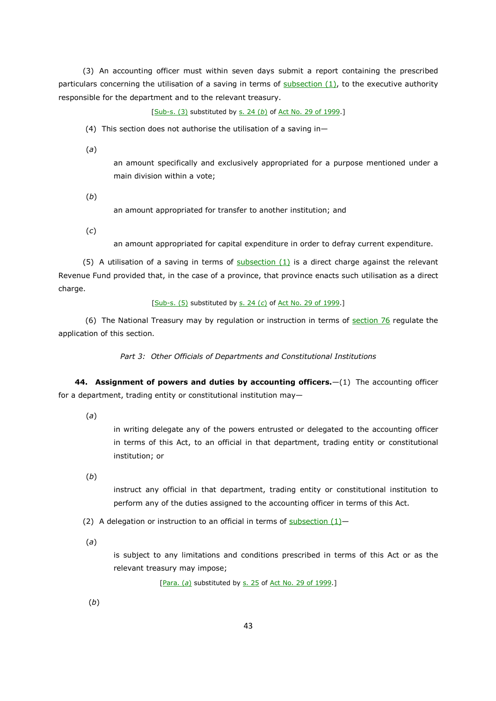(3) An accounting officer must within seven days submit a report containing the prescribed particulars concerning the utilisation of a saving in terms of  $subsection(1)$ , to the executive authority responsible for the department and to the relevant treasury.

[Sub-s. (3) substituted by s. 24 (*b*) of Act No. 29 of 1999.]

(4) This section does not authorise the utilisation of a saving in—

(*a*)

an amount specifically and exclusively appropriated for a purpose mentioned under a main division within a vote;

(*b*)

an amount appropriated for transfer to another institution; and

(*c*)

an amount appropriated for capital expenditure in order to defray current expenditure.

(5) A utilisation of a saving in terms of subsection  $(1)$  is a direct charge against the relevant Revenue Fund provided that, in the case of a province, that province enacts such utilisation as a direct charge.

[Sub-s. (5) substituted by s. 24 (*c*) of Act No. 29 of 1999.]

(6) The National Treasury may by regulation or instruction in terms of section 76 regulate the application of this section.

*Part 3: Other Officials of Departments and Constitutional Institutions* 

**44. Assignment of powers and duties by accounting officers.**—(1) The accounting officer for a department, trading entity or constitutional institution may—

(*a*)

in writing delegate any of the powers entrusted or delegated to the accounting officer in terms of this Act, to an official in that department, trading entity or constitutional institution; or

(*b*)

instruct any official in that department, trading entity or constitutional institution to perform any of the duties assigned to the accounting officer in terms of this Act.

(2) A delegation or instruction to an official in terms of subsection  $(1)$ -

(*a*)

is subject to any limitations and conditions prescribed in terms of this Act or as the relevant treasury may impose;

[Para. (a) substituted by s. 25 of Act No. 29 of 1999.]

(*b*)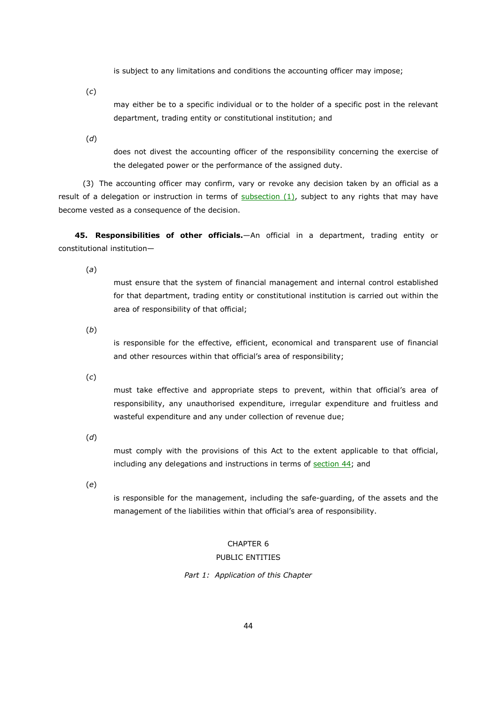is subject to any limitations and conditions the accounting officer may impose;

(*c*)

may either be to a specific individual or to the holder of a specific post in the relevant department, trading entity or constitutional institution; and

(*d*)

does not divest the accounting officer of the responsibility concerning the exercise of the delegated power or the performance of the assigned duty.

(3) The accounting officer may confirm, vary or revoke any decision taken by an official as a result of a delegation or instruction in terms of subsection (1), subject to any rights that may have become vested as a consequence of the decision.

**45. Responsibilities of other officials.**—An official in a department, trading entity or constitutional institution—

(*a*)

must ensure that the system of financial management and internal control established for that department, trading entity or constitutional institution is carried out within the area of responsibility of that official;

(*b*)

is responsible for the effective, efficient, economical and transparent use of financial and other resources within that official's area of responsibility;

(*c*)

must take effective and appropriate steps to prevent, within that official's area of responsibility, any unauthorised expenditure, irregular expenditure and fruitless and wasteful expenditure and any under collection of revenue due;

(*d*)

must comply with the provisions of this Act to the extent applicable to that official, including any delegations and instructions in terms of section 44; and

(*e*)

is responsible for the management, including the safe-guarding, of the assets and the management of the liabilities within that official's area of responsibility.

# CHAPTER 6

# PUBLIC ENTITIES

*Part 1: Application of this Chapter*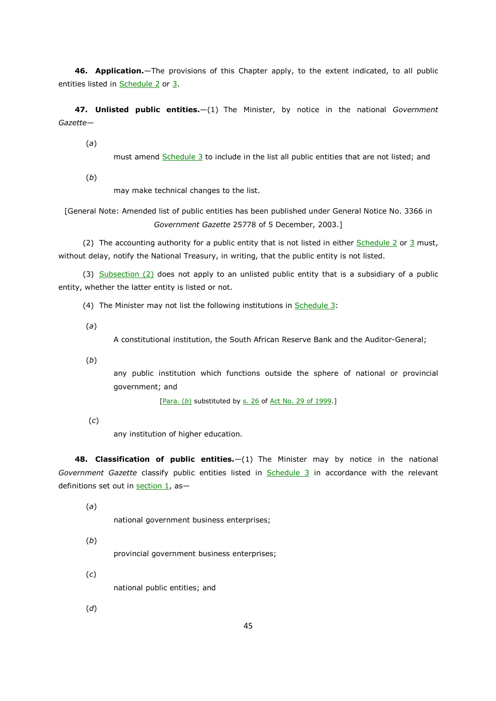**46. Application.**—The provisions of this Chapter apply, to the extent indicated, to all public entities listed in Schedule 2 or 3.

**47. Unlisted public entities.**—(1) The Minister, by notice in the national *Government Gazette*—

(*a*)

must amend Schedule 3 to include in the list all public entities that are not listed; and

(*b*)

may make technical changes to the list.

[General Note: Amended list of public entities has been published under General Notice No. 3366 in *Government Gazette* 25778 of 5 December, 2003.]

(2) The accounting authority for a public entity that is not listed in either Schedule 2 or 3 must, without delay, notify the National Treasury, in writing, that the public entity is not listed.

(3) Subsection (2) does not apply to an unlisted public entity that is a subsidiary of a public entity, whether the latter entity is listed or not.

(4) The Minister may not list the following institutions in Schedule 3:

(*a*)

A constitutional institution, the South African Reserve Bank and the Auditor-General;

(*b*)

any public institution which functions outside the sphere of national or provincial government; and

[Para. (b) substituted by s. 26 of Act No. 29 of 1999.]

(*c*)

any institution of higher education.

**48. Classification of public entities.**—(1) The Minister may by notice in the national *Government Gazette* classify public entities listed in Schedule 3 in accordance with the relevant definitions set out in section 1, as—

(*a*)

national government business enterprises;

(*b*)

provincial government business enterprises;

national public entities; and

(*d*)

(*c*)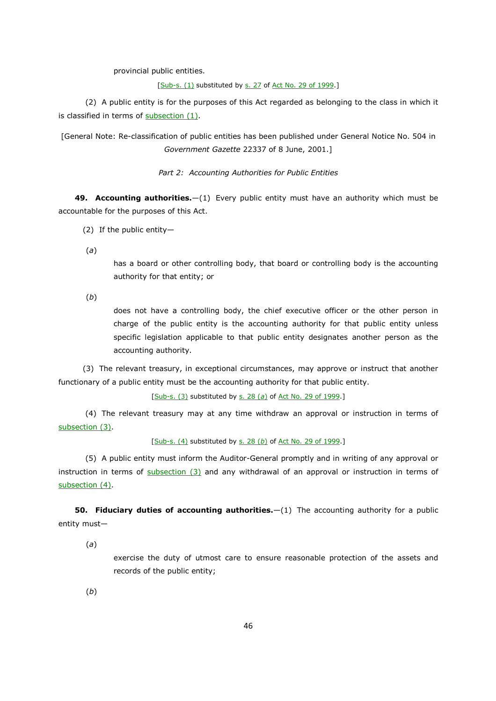provincial public entities.

[Sub-s. (1) substituted by s. 27 of Act No. 29 of 1999.]

 (2) A public entity is for the purposes of this Act regarded as belonging to the class in which it is classified in terms of subsection (1).

[General Note: Re-classification of public entities has been published under General Notice No. 504 in *Government Gazette* 22337 of 8 June, 2001.]

*Part 2: Accounting Authorities for Public Entities*

**49. Accounting authorities.**—(1) Every public entity must have an authority which must be accountable for the purposes of this Act.

- (2) If the public entity—
- (*a*)

has a board or other controlling body, that board or controlling body is the accounting authority for that entity; or

(*b*)

does not have a controlling body, the chief executive officer or the other person in charge of the public entity is the accounting authority for that public entity unless specific legislation applicable to that public entity designates another person as the accounting authority.

(3) The relevant treasury, in exceptional circumstances, may approve or instruct that another functionary of a public entity must be the accounting authority for that public entity.

[Sub-s. (3) substituted by s. 28 (*a*) of Act No. 29 of 1999.]

 (4) The relevant treasury may at any time withdraw an approval or instruction in terms of subsection (3).

[Sub-s. (4) substituted by s. 28 (b) of Act No. 29 of 1999.]

 (5) A public entity must inform the Auditor-General promptly and in writing of any approval or instruction in terms of subsection (3) and any withdrawal of an approval or instruction in terms of subsection (4).

**50. Fiduciary duties of accounting authorities.**—(1) The accounting authority for a public entity must—

(*a*)

exercise the duty of utmost care to ensure reasonable protection of the assets and records of the public entity;

(*b*)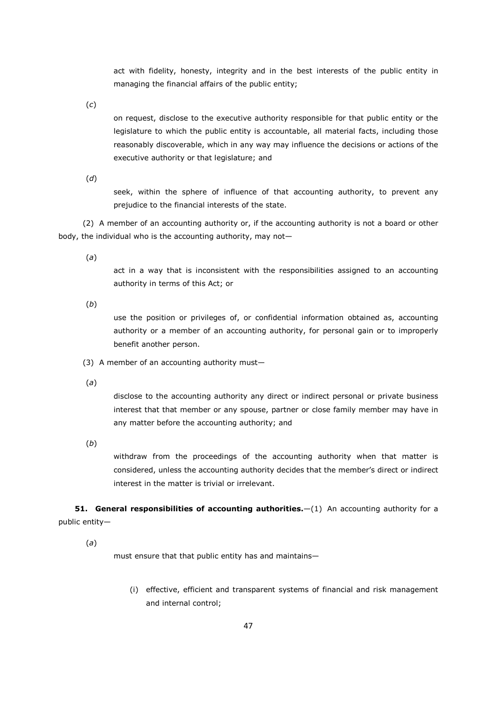act with fidelity, honesty, integrity and in the best interests of the public entity in managing the financial affairs of the public entity;

(*c*)

on request, disclose to the executive authority responsible for that public entity or the legislature to which the public entity is accountable, all material facts, including those reasonably discoverable, which in any way may influence the decisions or actions of the executive authority or that legislature; and

(*d*)

seek, within the sphere of influence of that accounting authority, to prevent any prejudice to the financial interests of the state.

(2) A member of an accounting authority or, if the accounting authority is not a board or other body, the individual who is the accounting authority, may not—

(*a*)

act in a way that is inconsistent with the responsibilities assigned to an accounting authority in terms of this Act; or

(*b*)

use the position or privileges of, or confidential information obtained as, accounting authority or a member of an accounting authority, for personal gain or to improperly benefit another person.

(3) A member of an accounting authority must—

(*a*)

disclose to the accounting authority any direct or indirect personal or private business interest that that member or any spouse, partner or close family member may have in any matter before the accounting authority; and

(*b*)

withdraw from the proceedings of the accounting authority when that matter is considered, unless the accounting authority decides that the member's direct or indirect interest in the matter is trivial or irrelevant.

**51. General responsibilities of accounting authorities.**—(1) An accounting authority for a public entity—

(*a*)

must ensure that that public entity has and maintains—

(i) effective, efficient and transparent systems of financial and risk management and internal control;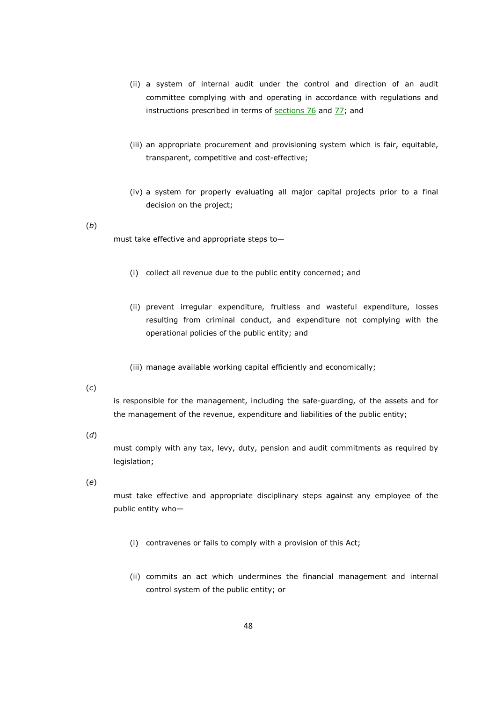- (ii) a system of internal audit under the control and direction of an audit committee complying with and operating in accordance with regulations and instructions prescribed in terms of  $set$  sections  $76$  and  $77$ ; and
- (iii) an appropriate procurement and provisioning system which is fair, equitable, transparent, competitive and cost-effective;
- (iv) a system for properly evaluating all major capital projects prior to a final decision on the project;

#### (*b*)

must take effective and appropriate steps to—

- (i) collect all revenue due to the public entity concerned; and
- (ii) prevent irregular expenditure, fruitless and wasteful expenditure, losses resulting from criminal conduct, and expenditure not complying with the operational policies of the public entity; and
- (iii) manage available working capital efficiently and economically;

## (*c*)

is responsible for the management, including the safe-guarding, of the assets and for the management of the revenue, expenditure and liabilities of the public entity;

# (*d*)

must comply with any tax, levy, duty, pension and audit commitments as required by legislation;

## (*e*)

must take effective and appropriate disciplinary steps against any employee of the public entity who—

- (i) contravenes or fails to comply with a provision of this Act;
- (ii) commits an act which undermines the financial management and internal control system of the public entity; or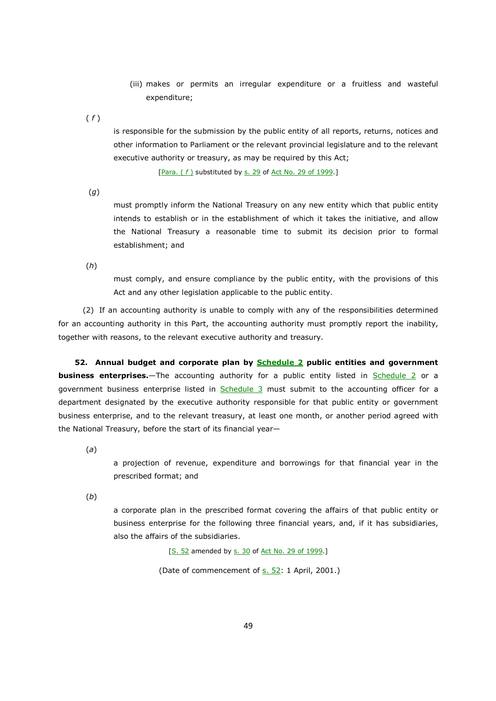- (iii) makes or permits an irregular expenditure or a fruitless and wasteful expenditure;
- ( *f* )

is responsible for the submission by the public entity of all reports, returns, notices and other information to Parliament or the relevant provincial legislature and to the relevant executive authority or treasury, as may be required by this Act;

[Para. (f) substituted by s. 29 of Act No. 29 of 1999.]

(*g*)

must promptly inform the National Treasury on any new entity which that public entity intends to establish or in the establishment of which it takes the initiative, and allow the National Treasury a reasonable time to submit its decision prior to formal establishment; and

(*h*)

must comply, and ensure compliance by the public entity, with the provisions of this Act and any other legislation applicable to the public entity.

(2) If an accounting authority is unable to comply with any of the responsibilities determined for an accounting authority in this Part, the accounting authority must promptly report the inability, together with reasons, to the relevant executive authority and treasury.

**52. Annual budget and corporate plan by Schedule 2 public entities and government business enterprises.**—The accounting authority for a public entity listed in Schedule 2 or a government business enterprise listed in Schedule 3 must submit to the accounting officer for a department designated by the executive authority responsible for that public entity or government business enterprise, and to the relevant treasury, at least one month, or another period agreed with the National Treasury, before the start of its financial year—

(*a*)

a projection of revenue, expenditure and borrowings for that financial year in the prescribed format; and

(*b*)

a corporate plan in the prescribed format covering the affairs of that public entity or business enterprise for the following three financial years, and, if it has subsidiaries, also the affairs of the subsidiaries.

[S. 52 amended by s. 30 of Act No. 29 of 1999.]

(Date of commencement of s. 52: 1 April, 2001.)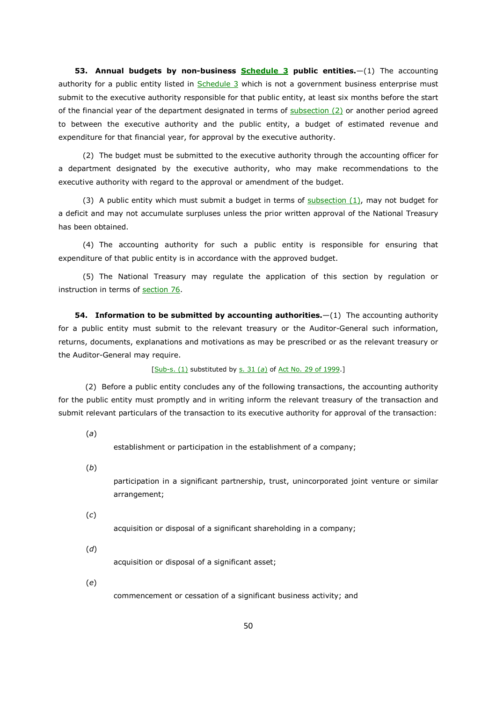**53. Annual budgets by non-business Schedule 3 public entities.**—(1) The accounting authority for a public entity listed in Schedule 3 which is not a government business enterprise must submit to the executive authority responsible for that public entity, at least six months before the start of the financial year of the department designated in terms of  $\frac{\text{subsection}(2)}{\text{subsection}(2)}$  or another period agreed to between the executive authority and the public entity, a budget of estimated revenue and expenditure for that financial year, for approval by the executive authority.

(2) The budget must be submitted to the executive authority through the accounting officer for a department designated by the executive authority, who may make recommendations to the executive authority with regard to the approval or amendment of the budget.

(3) A public entity which must submit a budget in terms of  $subsection(1)$ , may not budget for a deficit and may not accumulate surpluses unless the prior written approval of the National Treasury has been obtained.

(4) The accounting authority for such a public entity is responsible for ensuring that expenditure of that public entity is in accordance with the approved budget.

(5) The National Treasury may regulate the application of this section by regulation or instruction in terms of section 76.

**54. Information to be submitted by accounting authorities.**  $-(1)$  The accounting authority for a public entity must submit to the relevant treasury or the Auditor-General such information, returns, documents, explanations and motivations as may be prescribed or as the relevant treasury or the Auditor-General may require.

#### [Sub-s. (1) substituted by s. 31 (*a*) of Act No. 29 of 1999.]

 (2) Before a public entity concludes any of the following transactions, the accounting authority for the public entity must promptly and in writing inform the relevant treasury of the transaction and submit relevant particulars of the transaction to its executive authority for approval of the transaction:

(*a*)

establishment or participation in the establishment of a company;

(*b*)

participation in a significant partnership, trust, unincorporated joint venture or similar arrangement;

(*c*)

acquisition or disposal of a significant shareholding in a company;

(*d*)

acquisition or disposal of a significant asset;

(*e*)

commencement or cessation of a significant business activity; and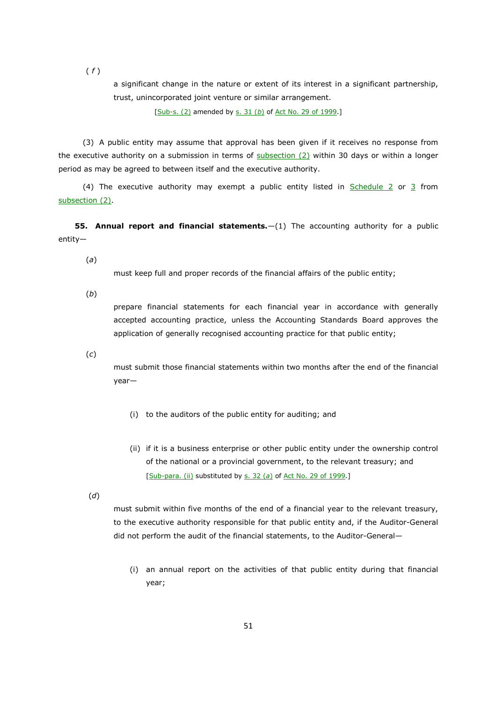( *f* )

a significant change in the nature or extent of its interest in a significant partnership, trust, unincorporated joint venture or similar arrangement.

[Sub-s. (2) amended by s. 31 (*b*) of Act No. 29 of 1999.]

(3) A public entity may assume that approval has been given if it receives no response from the executive authority on a submission in terms of  $subsection (2)$  within 30 days or within a longer period as may be agreed to between itself and the executive authority.

(4) The executive authority may exempt a public entity listed in  $Schedule 2 or 3 from$ subsection (2).

**55. Annual report and financial statements.**—(1) The accounting authority for a public entity—

(*a*)

must keep full and proper records of the financial affairs of the public entity;

(*b*)

prepare financial statements for each financial year in accordance with generally accepted accounting practice, unless the Accounting Standards Board approves the application of generally recognised accounting practice for that public entity;

(*c*)

must submit those financial statements within two months after the end of the financial year—

- (i) to the auditors of the public entity for auditing; and
- (ii) if it is a business enterprise or other public entity under the ownership control of the national or a provincial government, to the relevant treasury; and [Sub-para. (ii) substituted by s. 32 (*a*) of Act No. 29 of 1999.]

(*d*)

must submit within five months of the end of a financial year to the relevant treasury, to the executive authority responsible for that public entity and, if the Auditor-General did not perform the audit of the financial statements, to the Auditor-General—

(i) an annual report on the activities of that public entity during that financial year;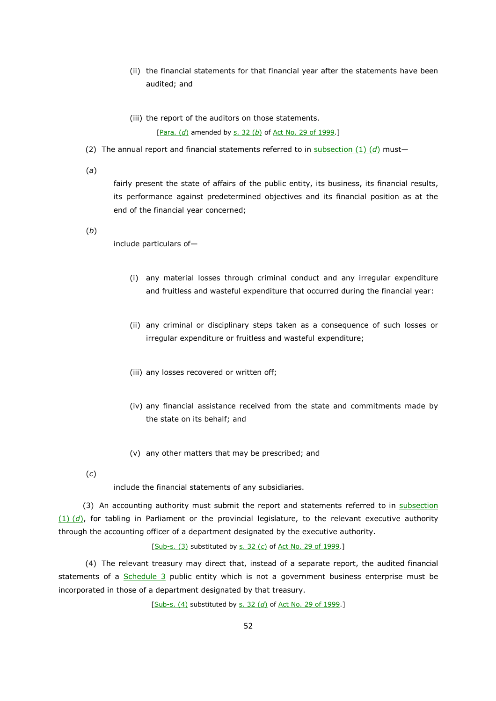- (ii) the financial statements for that financial year after the statements have been audited; and
- (iii) the report of the auditors on those statements. [Para. (d) amended by s. 32 (b) of Act No. 29 of 1999.]
- (2) The annual report and financial statements referred to in subsection  $(1)$   $(d)$  must-

(*a*)

fairly present the state of affairs of the public entity, its business, its financial results, its performance against predetermined objectives and its financial position as at the end of the financial year concerned;

(*b*)

include particulars of—

- (i) any material losses through criminal conduct and any irregular expenditure and fruitless and wasteful expenditure that occurred during the financial year:
- (ii) any criminal or disciplinary steps taken as a consequence of such losses or irregular expenditure or fruitless and wasteful expenditure;
- (iii) any losses recovered or written off;
- (iv) any financial assistance received from the state and commitments made by the state on its behalf; and
- (v) any other matters that may be prescribed; and
- (*c*)

include the financial statements of any subsidiaries.

(3) An accounting authority must submit the report and statements referred to in subsection (1) (*d*), for tabling in Parliament or the provincial legislature, to the relevant executive authority through the accounting officer of a department designated by the executive authority.

[Sub-s. (3) substituted by s. 32 (*c*) of Act No. 29 of 1999.]

 (4) The relevant treasury may direct that, instead of a separate report, the audited financial statements of a Schedule 3 public entity which is not a government business enterprise must be incorporated in those of a department designated by that treasury.

[Sub-s. (4) substituted by s. 32 (*d*) of Act No. 29 of 1999.]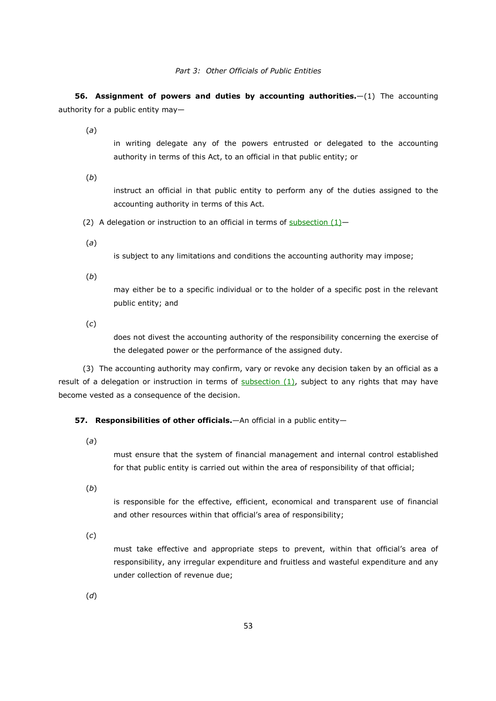**56. Assignment of powers and duties by accounting authorities.**—(1) The accounting authority for a public entity may—

(*a*)

in writing delegate any of the powers entrusted or delegated to the accounting authority in terms of this Act, to an official in that public entity; or

(*b*)

instruct an official in that public entity to perform any of the duties assigned to the accounting authority in terms of this Act.

(2) A delegation or instruction to an official in terms of subsection  $(1)$ -

(*a*)

is subject to any limitations and conditions the accounting authority may impose;

(*b*)

may either be to a specific individual or to the holder of a specific post in the relevant public entity; and

(*c*)

does not divest the accounting authority of the responsibility concerning the exercise of the delegated power or the performance of the assigned duty.

(3) The accounting authority may confirm, vary or revoke any decision taken by an official as a result of a delegation or instruction in terms of  $subsection (1)$ , subject to any rights that may have become vested as a consequence of the decision.

#### **57. Responsibilities of other officials.**—An official in a public entity—

(*a*)

must ensure that the system of financial management and internal control established for that public entity is carried out within the area of responsibility of that official;

(*b*)

is responsible for the effective, efficient, economical and transparent use of financial and other resources within that official's area of responsibility;

(*c*)

must take effective and appropriate steps to prevent, within that official's area of responsibility, any irregular expenditure and fruitless and wasteful expenditure and any under collection of revenue due;

(*d*)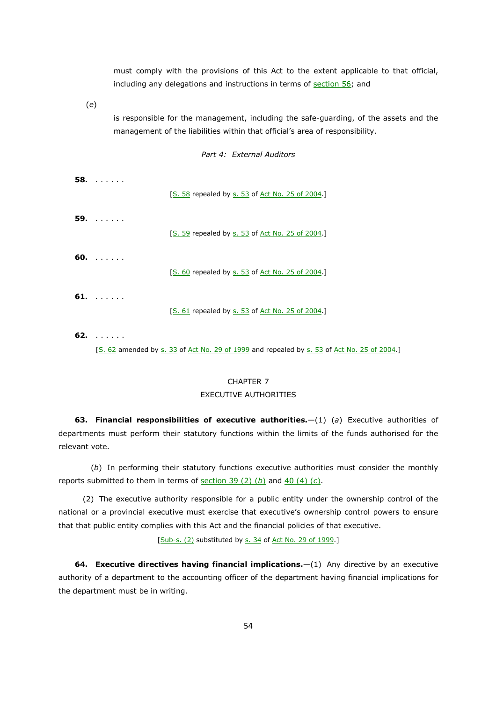must comply with the provisions of this Act to the extent applicable to that official, including any delegations and instructions in terms of section 56; and

(*e*)

is responsible for the management, including the safe-guarding, of the assets and the management of the liabilities within that official's area of responsibility.

*Part 4: External Auditors* 

|    | $58.$          | [S. 58 repealed by s. 53 of Act No. 25 of 2004.] |
|----|----------------|--------------------------------------------------|
|    | $59.$ $\ldots$ | [S. 59 repealed by s. 53 of Act No. 25 of 2004.] |
|    | 60. $\ldots$   | [S. 60 repealed by s. 53 of Act No. 25 of 2004.] |
|    | $61. \ldots.$  | [S. 61 repealed by s. 53 of Act No. 25 of 2004.] |
| C3 |                |                                                  |

**62.** . . . . . .

[S. 62 amended by s. 33 of Act No. 29 of 1999 and repealed by s. 53 of Act No. 25 of 2004.]

# CHAPTER 7

#### EXECUTIVE AUTHORITIES

**63. Financial responsibilities of executive authorities.**—(1) (*a*) Executive authorities of departments must perform their statutory functions within the limits of the funds authorised for the relevant vote.

(*b*) In performing their statutory functions executive authorities must consider the monthly reports submitted to them in terms of section 39 (2) (*b*) and 40 (4) (*c*).

(2) The executive authority responsible for a public entity under the ownership control of the national or a provincial executive must exercise that executive's ownership control powers to ensure that that public entity complies with this Act and the financial policies of that executive.

[Sub-s. (2) substituted by s. 34 of Act No. 29 of 1999.]

**64. Executive directives having financial implications.**—(1) Any directive by an executive authority of a department to the accounting officer of the department having financial implications for the department must be in writing.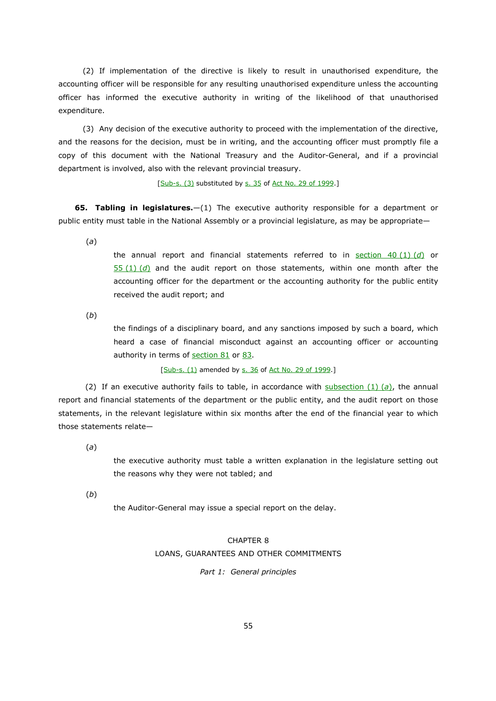(2) If implementation of the directive is likely to result in unauthorised expenditure, the accounting officer will be responsible for any resulting unauthorised expenditure unless the accounting officer has informed the executive authority in writing of the likelihood of that unauthorised expenditure.

(3) Any decision of the executive authority to proceed with the implementation of the directive, and the reasons for the decision, must be in writing, and the accounting officer must promptly file a copy of this document with the National Treasury and the Auditor-General, and if a provincial department is involved, also with the relevant provincial treasury.

[Sub-s. (3) substituted by s. 35 of Act No. 29 of 1999.]

**65. Tabling in legislatures.**—(1) The executive authority responsible for a department or public entity must table in the National Assembly or a provincial legislature, as may be appropriate—

(*a*)

the annual report and financial statements referred to in section 40 (1) (*d*) or 55 (1) (*d*) and the audit report on those statements, within one month after the accounting officer for the department or the accounting authority for the public entity received the audit report; and

(*b*)

the findings of a disciplinary board, and any sanctions imposed by such a board, which heard a case of financial misconduct against an accounting officer or accounting authority in terms of section 81 or 83.

[Sub-s. (1) amended by s. 36 of Act No. 29 of 1999.]

 (2) If an executive authority fails to table, in accordance with subsection (1) (*a*), the annual report and financial statements of the department or the public entity, and the audit report on those statements, in the relevant legislature within six months after the end of the financial year to which those statements relate—

(*a*)

the executive authority must table a written explanation in the legislature setting out the reasons why they were not tabled; and

(*b*)

the Auditor-General may issue a special report on the delay.

# CHAPTER 8 LOANS, GUARANTEES AND OTHER COMMITMENTS

*Part 1: General principles*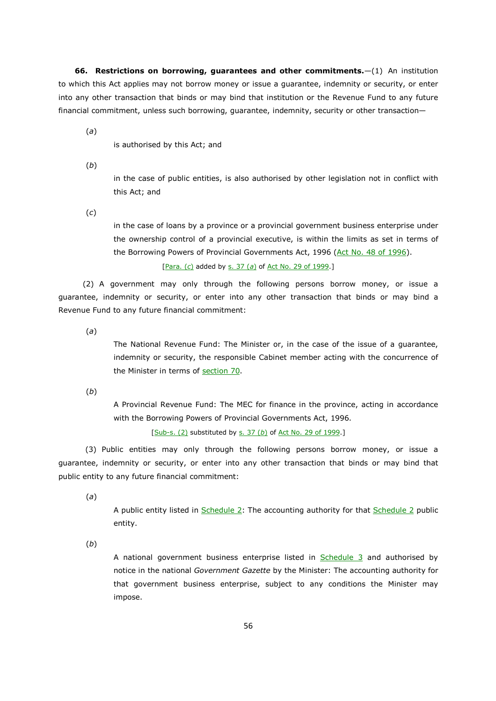**66. Restrictions on borrowing, guarantees and other commitments.**—(1) An institution to which this Act applies may not borrow money or issue a guarantee, indemnity or security, or enter into any other transaction that binds or may bind that institution or the Revenue Fund to any future financial commitment, unless such borrowing, guarantee, indemnity, security or other transaction—

(*a*)

is authorised by this Act; and

(*b*)

in the case of public entities, is also authorised by other legislation not in conflict with this Act; and

(*c*)

in the case of loans by a province or a provincial government business enterprise under the ownership control of a provincial executive, is within the limits as set in terms of the Borrowing Powers of Provincial Governments Act, 1996 (Act No. 48 of 1996).

[Para. (*c*) added by s. 37 (*a*) of Act No. 29 of 1999.]

(2) A government may only through the following persons borrow money, or issue a guarantee, indemnity or security, or enter into any other transaction that binds or may bind a Revenue Fund to any future financial commitment:

(*a*)

The National Revenue Fund: The Minister or, in the case of the issue of a guarantee, indemnity or security, the responsible Cabinet member acting with the concurrence of the Minister in terms of section 70.

(*b*)

A Provincial Revenue Fund: The MEC for finance in the province, acting in accordance with the Borrowing Powers of Provincial Governments Act, 1996.

[Sub-s. (2) substituted by s. 37 (*b*) of Act No. 29 of 1999.]

 (3) Public entities may only through the following persons borrow money, or issue a guarantee, indemnity or security, or enter into any other transaction that binds or may bind that public entity to any future financial commitment:

(*a*)

A public entity listed in Schedule 2: The accounting authority for that Schedule 2 public entity.

(*b*)

A national government business enterprise listed in Schedule 3 and authorised by notice in the national *Government Gazette* by the Minister: The accounting authority for that government business enterprise, subject to any conditions the Minister may impose.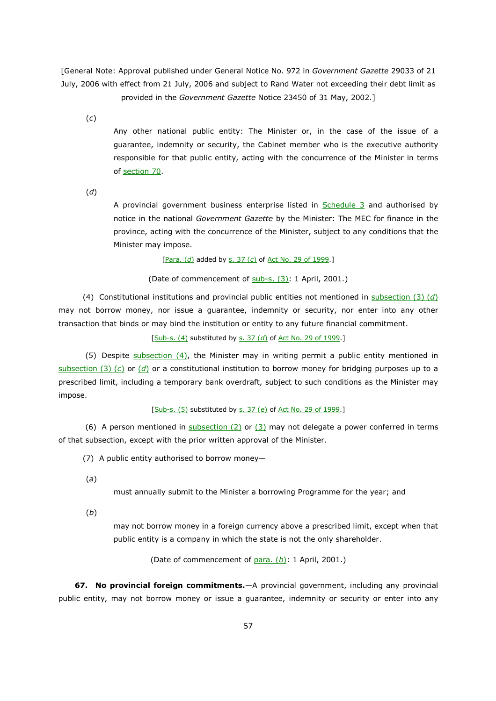[General Note: Approval published under General Notice No. 972 in *Government Gazette* 29033 of 21 July, 2006 with effect from 21 July, 2006 and subject to Rand Water not exceeding their debt limit as provided in the *Government Gazette* Notice 23450 of 31 May, 2002.]

(*c*)

Any other national public entity: The Minister or, in the case of the issue of a guarantee, indemnity or security, the Cabinet member who is the executive authority responsible for that public entity, acting with the concurrence of the Minister in terms of section 70.

(*d*)

A provincial government business enterprise listed in  $S$ chedule  $3$  and authorised by notice in the national *Government Gazette* by the Minister: The MEC for finance in the province, acting with the concurrence of the Minister, subject to any conditions that the Minister may impose.

[Para. (*d*) added by s. 37 (*c*) of Act No. 29 of 1999.]

(Date of commencement of sub-s. (3): 1 April, 2001.)

(4) Constitutional institutions and provincial public entities not mentioned in subsection (3) (*d*) may not borrow money, nor issue a guarantee, indemnity or security, nor enter into any other transaction that binds or may bind the institution or entity to any future financial commitment.

[Sub-s. (4) substituted by s. 37 (*d*) of Act No. 29 of 1999.]

(5) Despite subsection (4), the Minister may in writing permit a public entity mentioned in subsection (3) (*c*) or (*d*) or a constitutional institution to borrow money for bridging purposes up to a prescribed limit, including a temporary bank overdraft, subject to such conditions as the Minister may impose.

[Sub-s. (5) substituted by s. 37 (*e*) of Act No. 29 of 1999.]

(6) A person mentioned in  $subsection (2)$  or (3) may not delegate a power conferred in terms of that subsection, except with the prior written approval of the Minister.

(7) A public entity authorised to borrow money—

(*a*)

must annually submit to the Minister a borrowing Programme for the year; and

(*b*)

may not borrow money in a foreign currency above a prescribed limit, except when that public entity is a company in which the state is not the only shareholder.

(Date of commencement of para. (*b*): 1 April, 2001.)

**67. No provincial foreign commitments.**—A provincial government, including any provincial public entity, may not borrow money or issue a guarantee, indemnity or security or enter into any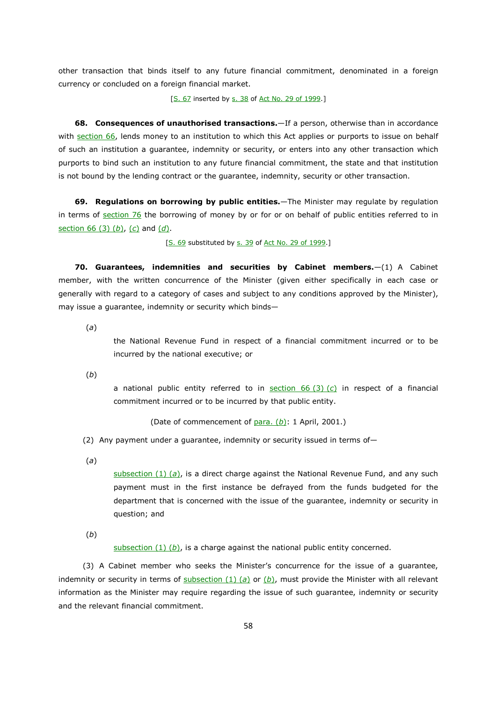other transaction that binds itself to any future financial commitment, denominated in a foreign currency or concluded on a foreign financial market.

[S. 67 inserted by s. 38 of Act No. 29 of 1999.]

**68. Consequences of unauthorised transactions.**—If a person, otherwise than in accordance with section 66, lends money to an institution to which this Act applies or purports to issue on behalf of such an institution a guarantee, indemnity or security, or enters into any other transaction which purports to bind such an institution to any future financial commitment, the state and that institution is not bound by the lending contract or the guarantee, indemnity, security or other transaction.

**69. Regulations on borrowing by public entities.**—The Minister may regulate by regulation in terms of section 76 the borrowing of money by or for or on behalf of public entities referred to in section 66 (3) (*b*), (*c*) and (*d*).

[S. 69 substituted by s. 39 of Act No. 29 of 1999.]

**70. Guarantees, indemnities and securities by Cabinet members.**—(1) A Cabinet member, with the written concurrence of the Minister (given either specifically in each case or generally with regard to a category of cases and subject to any conditions approved by the Minister), may issue a guarantee, indemnity or security which binds—

(*a*)

the National Revenue Fund in respect of a financial commitment incurred or to be incurred by the national executive; or

(*b*)

a national public entity referred to in section 66 (3) (*c*) in respect of a financial commitment incurred or to be incurred by that public entity.

(Date of commencement of para. (*b*): 1 April, 2001.)

(2) Any payment under a guarantee, indemnity or security issued in terms of—

(*a*)

subsection (1) (*a*), is a direct charge against the National Revenue Fund, and any such payment must in the first instance be defrayed from the funds budgeted for the department that is concerned with the issue of the guarantee, indemnity or security in question; and

(*b*)

subsection  $(1)$   $(b)$ , is a charge against the national public entity concerned.

(3) A Cabinet member who seeks the Minister's concurrence for the issue of a guarantee, indemnity or security in terms of subsection (1) (*a*) or (*b*), must provide the Minister with all relevant information as the Minister may require regarding the issue of such guarantee, indemnity or security and the relevant financial commitment.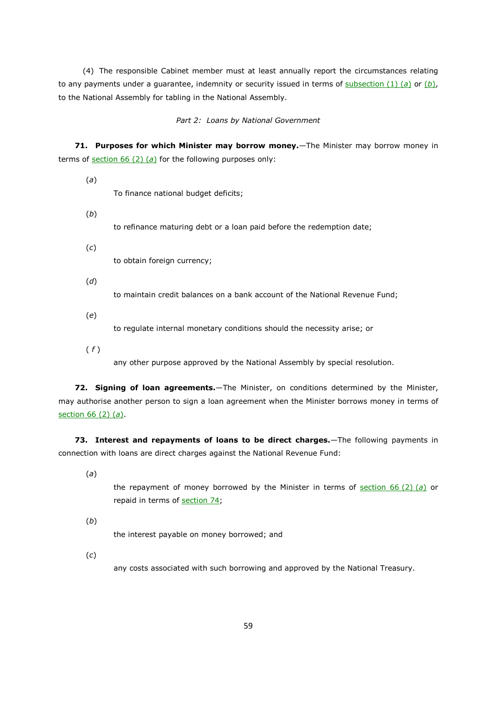(4) The responsible Cabinet member must at least annually report the circumstances relating to any payments under a guarantee, indemnity or security issued in terms of subsection  $(1)$   $(a)$  or  $(b)$ , to the National Assembly for tabling in the National Assembly.

#### *Part 2: Loans by National Government*

**71. Purposes for which Minister may borrow money.**—The Minister may borrow money in terms of  $section 66 (2) (a)$  for the following purposes only:

(*a*)

To finance national budget deficits;

(*b*)

to refinance maturing debt or a loan paid before the redemption date;

(*c*)

to obtain foreign currency;

(*d*)

to maintain credit balances on a bank account of the National Revenue Fund;

(*e*)

to regulate internal monetary conditions should the necessity arise; or

( *f* )

any other purpose approved by the National Assembly by special resolution.

**72. Signing of loan agreements.**—The Minister, on conditions determined by the Minister, may authorise another person to sign a loan agreement when the Minister borrows money in terms of section 66 (2) (*a*).

**73. Interest and repayments of loans to be direct charges.**—The following payments in connection with loans are direct charges against the National Revenue Fund:

(*a*)

the repayment of money borrowed by the Minister in terms of section 66 (2) (*a*) or repaid in terms of section 74;

(*b*)

the interest payable on money borrowed; and

(*c*)

any costs associated with such borrowing and approved by the National Treasury.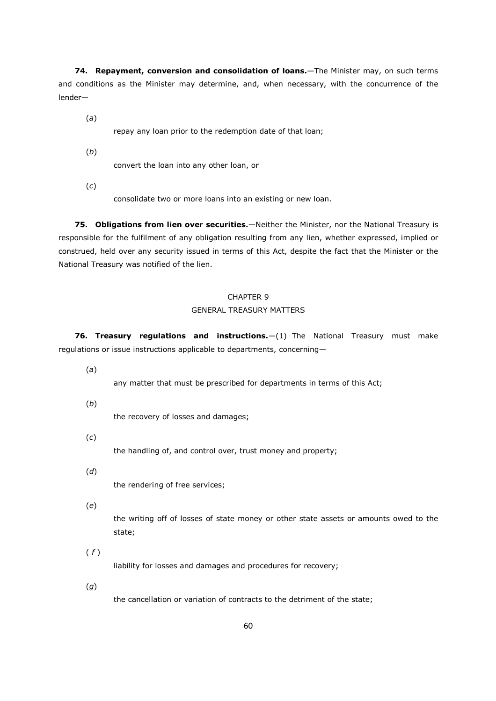**74. Repayment, conversion and consolidation of loans.**—The Minister may, on such terms and conditions as the Minister may determine, and, when necessary, with the concurrence of the lender—

(*a*)

repay any loan prior to the redemption date of that loan;

(*b*)

convert the loan into any other loan, or

(*c*)

consolidate two or more loans into an existing or new loan.

**75. Obligations from lien over securities.**—Neither the Minister, nor the National Treasury is responsible for the fulfilment of any obligation resulting from any lien, whether expressed, implied or construed, held over any security issued in terms of this Act, despite the fact that the Minister or the National Treasury was notified of the lien.

# CHAPTER 9

#### GENERAL TREASURY MATTERS

**76. Treasury regulations and instructions.**—(1) The National Treasury must make regulations or issue instructions applicable to departments, concerning—

(*a*)

any matter that must be prescribed for departments in terms of this Act;

(*b*)

the recovery of losses and damages;

(*c*)

the handling of, and control over, trust money and property;

(*d*) the rendering of free services;

(*e*)

the writing off of losses of state money or other state assets or amounts owed to the state;

( *f* )

liability for losses and damages and procedures for recovery;

(*g*)

the cancellation or variation of contracts to the detriment of the state;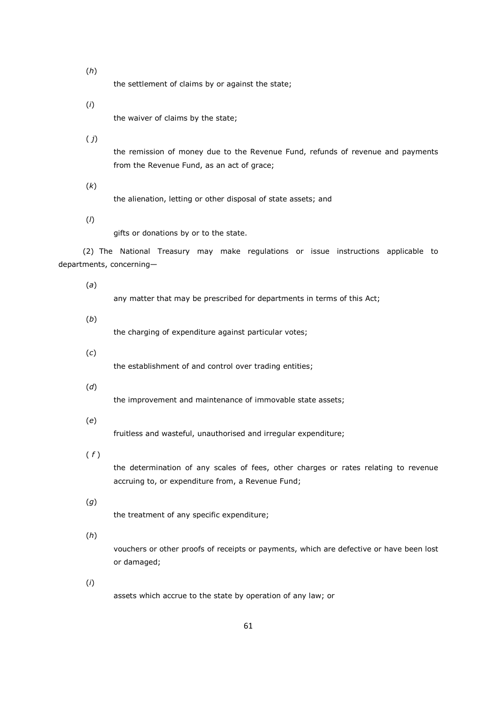(*h*)

the settlement of claims by or against the state;

(*i*)

the waiver of claims by the state;

( *j*)

the remission of money due to the Revenue Fund, refunds of revenue and payments from the Revenue Fund, as an act of grace;

(*k*)

the alienation, letting or other disposal of state assets; and

(*l*)

gifts or donations by or to the state.

(2) The National Treasury may make regulations or issue instructions applicable to departments, concerning—

(*a*)

any matter that may be prescribed for departments in terms of this Act;

(*b*)

the charging of expenditure against particular votes;

(*c*)

the establishment of and control over trading entities;

(*d*)

the improvement and maintenance of immovable state assets;

(*e*)

fruitless and wasteful, unauthorised and irregular expenditure;

( *f* )

the determination of any scales of fees, other charges or rates relating to revenue accruing to, or expenditure from, a Revenue Fund;

- (*g*) the treatment of any specific expenditure;
- (*h*)

vouchers or other proofs of receipts or payments, which are defective or have been lost or damaged;

(*i*)

assets which accrue to the state by operation of any law; or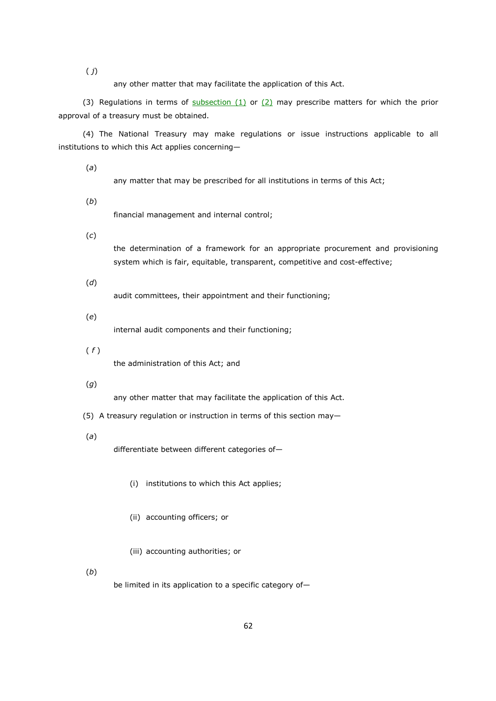( *j*)

any other matter that may facilitate the application of this Act.

(3) Regulations in terms of subsection  $(1)$  or  $(2)$  may prescribe matters for which the prior approval of a treasury must be obtained.

(4) The National Treasury may make regulations or issue instructions applicable to all institutions to which this Act applies concerning—

(*a*)

any matter that may be prescribed for all institutions in terms of this Act;

(*b*)

financial management and internal control;

(*c*)

the determination of a framework for an appropriate procurement and provisioning system which is fair, equitable, transparent, competitive and cost-effective;

(*d*)

audit committees, their appointment and their functioning;

(*e*)

internal audit components and their functioning;

( *f* )

the administration of this Act; and

# (*g*)

any other matter that may facilitate the application of this Act.

- (5) A treasury regulation or instruction in terms of this section may—
- (*a*)

differentiate between different categories of—

- (i) institutions to which this Act applies;
- (ii) accounting officers; or
- (iii) accounting authorities; or

(*b*)

be limited in its application to a specific category of—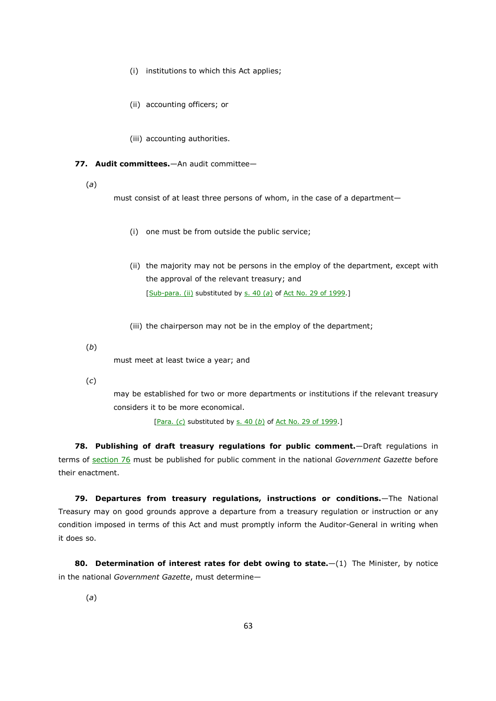- (i) institutions to which this Act applies;
- (ii) accounting officers; or
- (iii) accounting authorities.

#### **77. Audit committees.**—An audit committee—

(*a*)

must consist of at least three persons of whom, in the case of a department—

- (i) one must be from outside the public service;
- (ii) the majority may not be persons in the employ of the department, except with the approval of the relevant treasury; and [Sub-para. (ii) substituted by s. 40 (*a*) of Act No. 29 of 1999.]
- (iii) the chairperson may not be in the employ of the department;

(*b*)

must meet at least twice a year; and

(*c*)

may be established for two or more departments or institutions if the relevant treasury considers it to be more economical.

[Para. (*c*) substituted by s. 40 (*b*) of Act No. 29 of 1999.]

**78. Publishing of draft treasury regulations for public comment.**—Draft regulations in terms of section 76 must be published for public comment in the national *Government Gazette* before their enactment.

**79. Departures from treasury regulations, instructions or conditions.**—The National Treasury may on good grounds approve a departure from a treasury regulation or instruction or any condition imposed in terms of this Act and must promptly inform the Auditor-General in writing when it does so.

**80. Determination of interest rates for debt owing to state.**—(1) The Minister, by notice in the national *Government Gazette*, must determine—

(*a*)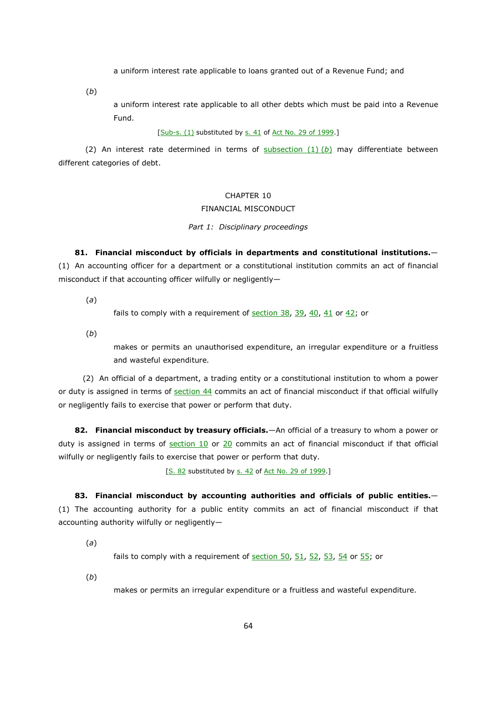a uniform interest rate applicable to loans granted out of a Revenue Fund; and

(*b*)

a uniform interest rate applicable to all other debts which must be paid into a Revenue Fund.

#### [Sub-s. (1) substituted by s. 41 of Act No. 29 of 1999.]

 (2) An interest rate determined in terms of subsection (1) (*b*) may differentiate between different categories of debt.

# CHAPTER 10

# FINANCIAL MISCONDUCT

#### *Part 1: Disciplinary proceedings*

**81. Financial misconduct by officials in departments and constitutional institutions.**— (1) An accounting officer for a department or a constitutional institution commits an act of financial misconduct if that accounting officer wilfully or negligently—

(*a*)

fails to comply with a requirement of section  $38$ ,  $39$ ,  $40$ ,  $41$  or  $42$ ; or

(*b*)

makes or permits an unauthorised expenditure, an irregular expenditure or a fruitless and wasteful expenditure.

(2) An official of a department, a trading entity or a constitutional institution to whom a power or duty is assigned in terms of section 44 commits an act of financial misconduct if that official wilfully or negligently fails to exercise that power or perform that duty.

**82. Financial misconduct by treasury officials.**—An official of a treasury to whom a power or duty is assigned in terms of section 10 or 20 commits an act of financial misconduct if that official wilfully or negligently fails to exercise that power or perform that duty.

[S. 82 substituted by s. 42 of Act No. 29 of 1999.]

**83. Financial misconduct by accounting authorities and officials of public entities.**— (1) The accounting authority for a public entity commits an act of financial misconduct if that accounting authority wilfully or negligently—

(*a*)

fails to comply with a requirement of section  $50$ ,  $51$ ,  $52$ ,  $53$ ,  $54$  or  $55$ ; or

(*b*)

makes or permits an irregular expenditure or a fruitless and wasteful expenditure.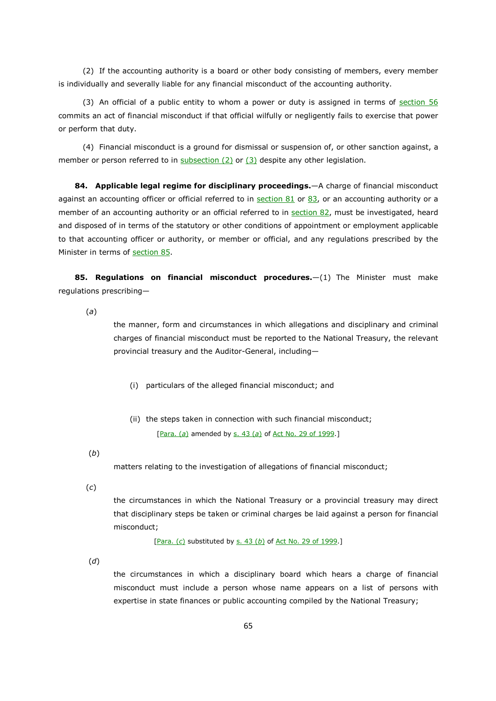(2) If the accounting authority is a board or other body consisting of members, every member is individually and severally liable for any financial misconduct of the accounting authority.

(3) An official of a public entity to whom a power or duty is assigned in terms of  $section 56$ commits an act of financial misconduct if that official wilfully or negligently fails to exercise that power or perform that duty.

(4) Financial misconduct is a ground for dismissal or suspension of, or other sanction against, a member or person referred to in  $subsection (2)$  or  $(3)$  despite any other legislation.

**84. Applicable legal regime for disciplinary proceedings.**—A charge of financial misconduct against an accounting officer or official referred to in section  $81$  or  $83$ , or an accounting authority or a member of an accounting authority or an official referred to in section 82, must be investigated, heard and disposed of in terms of the statutory or other conditions of appointment or employment applicable to that accounting officer or authority, or member or official, and any regulations prescribed by the Minister in terms of section 85.

**85. Regulations on financial misconduct procedures.**—(1) The Minister must make regulations prescribing—

(*a*)

the manner, form and circumstances in which allegations and disciplinary and criminal charges of financial misconduct must be reported to the National Treasury, the relevant provincial treasury and the Auditor-General, including—

- (i) particulars of the alleged financial misconduct; and
- (ii) the steps taken in connection with such financial misconduct; [Para. (*a*) amended by s. 43 (*a*) of Act No. 29 of 1999.]

(*b*)

matters relating to the investigation of allegations of financial misconduct;

(*c*)

the circumstances in which the National Treasury or a provincial treasury may direct that disciplinary steps be taken or criminal charges be laid against a person for financial misconduct;

[Para. (*c*) substituted by s. 43 (*b*) of Act No. 29 of 1999.]

(*d*)

the circumstances in which a disciplinary board which hears a charge of financial misconduct must include a person whose name appears on a list of persons with expertise in state finances or public accounting compiled by the National Treasury;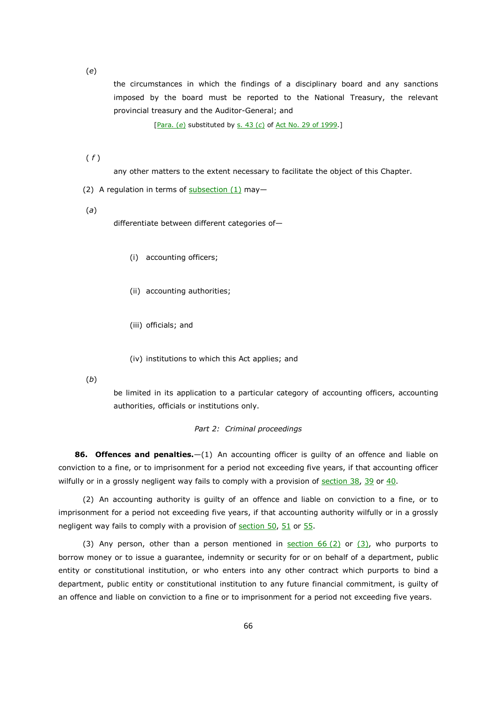(*e*)

the circumstances in which the findings of a disciplinary board and any sanctions imposed by the board must be reported to the National Treasury, the relevant provincial treasury and the Auditor-General; and

[Para. (*e*) substituted by s. 43 (*c*) of Act No. 29 of 1999.]

( *f* )

any other matters to the extent necessary to facilitate the object of this Chapter.

(2) A regulation in terms of  $subsection (1)$  may-

(*a*)

differentiate between different categories of—

- (i) accounting officers;
- (ii) accounting authorities;
- (iii) officials; and
- (iv) institutions to which this Act applies; and

(*b*)

be limited in its application to a particular category of accounting officers, accounting authorities, officials or institutions only.

#### *Part 2: Criminal proceedings*

**86. Offences and penalties.**—(1) An accounting officer is guilty of an offence and liable on conviction to a fine, or to imprisonment for a period not exceeding five years, if that accounting officer wilfully or in a grossly negligent way fails to comply with a provision of section 38, 39 or 40.

(2) An accounting authority is guilty of an offence and liable on conviction to a fine, or to imprisonment for a period not exceeding five years, if that accounting authority wilfully or in a grossly negligent way fails to comply with a provision of section 50, 51 or 55.

(3) Any person, other than a person mentioned in section  $66(2)$  or  $(3)$ , who purports to borrow money or to issue a guarantee, indemnity or security for or on behalf of a department, public entity or constitutional institution, or who enters into any other contract which purports to bind a department, public entity or constitutional institution to any future financial commitment, is guilty of an offence and liable on conviction to a fine or to imprisonment for a period not exceeding five years.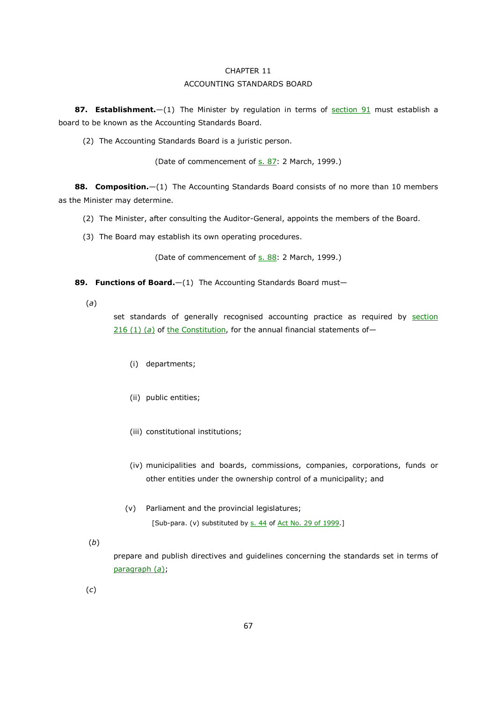# CHAPTER 11 ACCOUNTING STANDARDS BOARD

**87. Establishment.**—(1) The Minister by regulation in terms of section 91 must establish a board to be known as the Accounting Standards Board.

(2) The Accounting Standards Board is a juristic person.

(Date of commencement of s. 87: 2 March, 1999.)

**88. Composition.**—(1) The Accounting Standards Board consists of no more than 10 members as the Minister may determine.

(2) The Minister, after consulting the Auditor-General, appoints the members of the Board.

(3) The Board may establish its own operating procedures.

(Date of commencement of s. 88: 2 March, 1999.)

**89. Functions of Board.**—(1) The Accounting Standards Board must—

(*a*)

set standards of generally recognised accounting practice as required by section 216 (1) (a) of the Constitution, for the annual financial statements of-

- (i) departments;
- (ii) public entities;
- (iii) constitutional institutions;
- (iv) municipalities and boards, commissions, companies, corporations, funds or other entities under the ownership control of a municipality; and
- (v) Parliament and the provincial legislatures;

[Sub-para. (v) substituted by s. 44 of Act No. 29 of 1999.]

(*b*)

prepare and publish directives and guidelines concerning the standards set in terms of paragraph (*a*);

(*c*)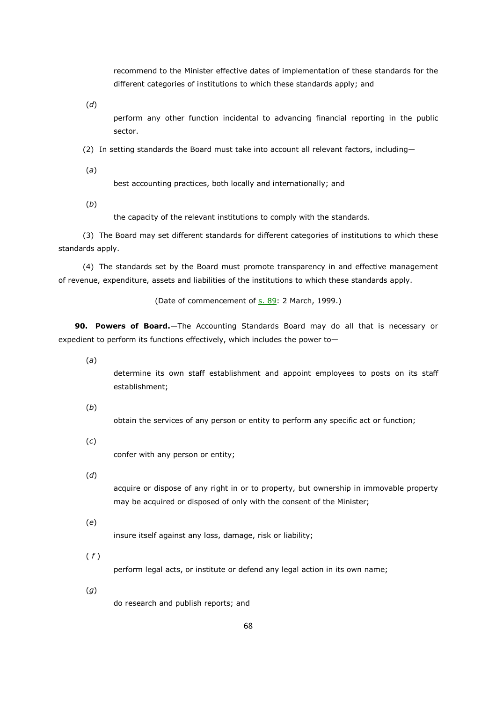recommend to the Minister effective dates of implementation of these standards for the different categories of institutions to which these standards apply; and

(*d*)

perform any other function incidental to advancing financial reporting in the public sector.

(2) In setting standards the Board must take into account all relevant factors, including—

(*a*)

best accounting practices, both locally and internationally; and

(*b*)

the capacity of the relevant institutions to comply with the standards.

(3) The Board may set different standards for different categories of institutions to which these standards apply.

(4) The standards set by the Board must promote transparency in and effective management of revenue, expenditure, assets and liabilities of the institutions to which these standards apply.

(Date of commencement of s. 89: 2 March, 1999.)

**90. Powers of Board.**—The Accounting Standards Board may do all that is necessary or expedient to perform its functions effectively, which includes the power to—

(*a*)

determine its own staff establishment and appoint employees to posts on its staff establishment;

(*b*)

obtain the services of any person or entity to perform any specific act or function;

(*c*)

confer with any person or entity;

(*d*)

acquire or dispose of any right in or to property, but ownership in immovable property may be acquired or disposed of only with the consent of the Minister;

(*e*)

insure itself against any loss, damage, risk or liability;

( *f* )

perform legal acts, or institute or defend any legal action in its own name;

(*g*)

do research and publish reports; and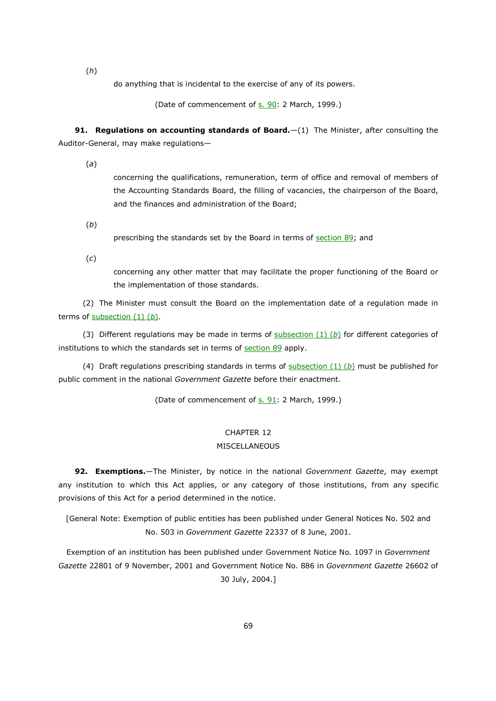(*h*)

do anything that is incidental to the exercise of any of its powers.

(Date of commencement of s. 90: 2 March, 1999.)

**91. Regulations on accounting standards of Board.**—(1) The Minister, after consulting the Auditor-General, may make regulations—

(*a*)

concerning the qualifications, remuneration, term of office and removal of members of the Accounting Standards Board, the filling of vacancies, the chairperson of the Board, and the finances and administration of the Board;

(*b*)

prescribing the standards set by the Board in terms of section 89; and

(*c*)

concerning any other matter that may facilitate the proper functioning of the Board or the implementation of those standards.

(2) The Minister must consult the Board on the implementation date of a regulation made in terms of subsection (1) (*b*).

(3) Different regulations may be made in terms of subsection (1) (*b*) for different categories of institutions to which the standards set in terms of section 89 apply.

(4) Draft regulations prescribing standards in terms of subsection (1) (*b*) must be published for public comment in the national *Government Gazette* before their enactment.

(Date of commencement of s. 91: 2 March, 1999.)

# CHAPTER 12

#### **MISCELLANEOUS**

**92. Exemptions.**—The Minister, by notice in the national *Government Gazette*, may exempt any institution to which this Act applies, or any category of those institutions, from any specific provisions of this Act for a period determined in the notice.

[General Note: Exemption of public entities has been published under General Notices No. 502 and No. 503 in *Government Gazette* 22337 of 8 June, 2001.

Exemption of an institution has been published under Government Notice No. 1097 in *Government Gazette* 22801 of 9 November, 2001 and Government Notice No. 886 in *Government Gazette* 26602 of 30 July, 2004.]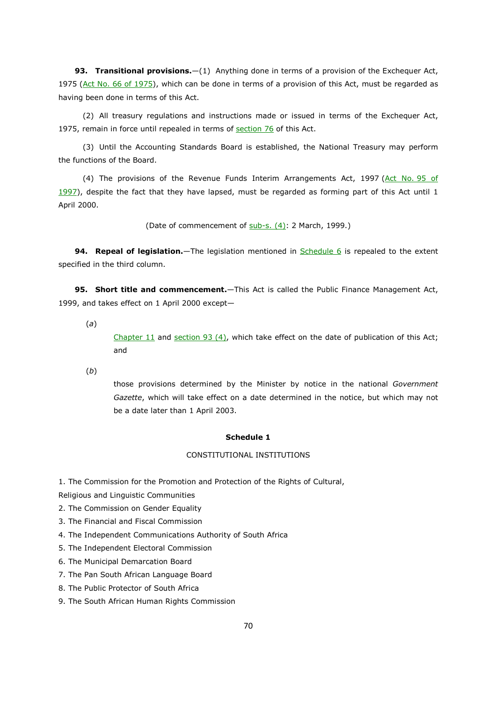93. Transitional provisions. - (1) Anything done in terms of a provision of the Exchequer Act, 1975 (Act No. 66 of 1975), which can be done in terms of a provision of this Act, must be regarded as having been done in terms of this Act.

(2) All treasury regulations and instructions made or issued in terms of the Exchequer Act, 1975, remain in force until repealed in terms of section 76 of this Act.

(3) Until the Accounting Standards Board is established, the National Treasury may perform the functions of the Board.

(4) The provisions of the Revenue Funds Interim Arrangements Act, 1997 (Act No. 95 of 1997), despite the fact that they have lapsed, must be regarded as forming part of this Act until 1 April 2000.

(Date of commencement of  $sub-s.$   $(4)$ : 2 March, 1999.)

**94. Repeal of legislation.**—The legislation mentioned in **Schedule 6** is repealed to the extent specified in the third column.

**95. Short title and commencement.**—This Act is called the Public Finance Management Act, 1999, and takes effect on 1 April 2000 except—

(*a*)

Chapter 11 and section 93 (4), which take effect on the date of publication of this Act; and

(*b*)

those provisions determined by the Minister by notice in the national *Government Gazette*, which will take effect on a date determined in the notice, but which may not be a date later than 1 April 2003.

#### **Schedule 1**

#### CONSTITUTIONAL INSTITUTIONS

1. The Commission for the Promotion and Protection of the Rights of Cultural,

Religious and Linguistic Communities

- 2. The Commission on Gender Equality
- 3. The Financial and Fiscal Commission
- 4. The Independent Communications Authority of South Africa
- 5. The Independent Electoral Commission
- 6. The Municipal Demarcation Board
- 7. The Pan South African Language Board
- 8. The Public Protector of South Africa
- 9. The South African Human Rights Commission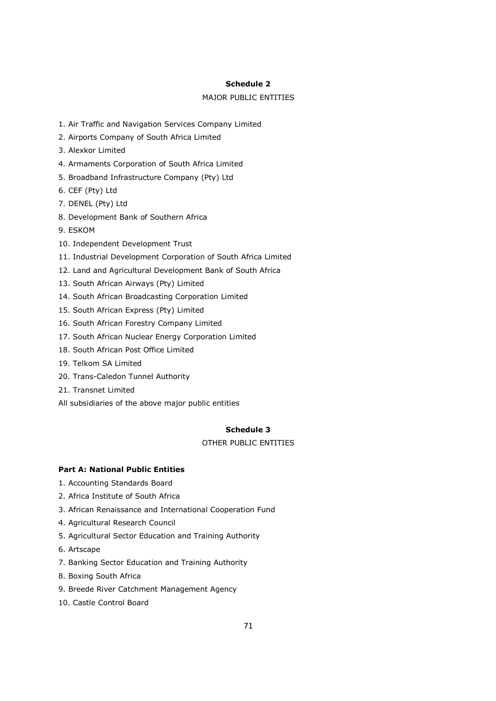#### **Schedule 2**

# MAJOR PUBLIC ENTITIES

- 1. Air Traffic and Navigation Services Company Limited
- 2. Airports Company of South Africa Limited
- 3. Alexkor Limited
- 4. Armaments Corporation of South Africa Limited
- 5. Broadband Infrastructure Company (Pty) Ltd
- 6. CEF (Pty) Ltd
- 7. DENEL (Pty) Ltd
- 8. Development Bank of Southern Africa
- 9. ESKOM
- 10. Independent Development Trust
- 11. Industrial Development Corporation of South Africa Limited
- 12. Land and Agricultural Development Bank of South Africa
- 13. South African Airways (Pty) Limited
- 14. South African Broadcasting Corporation Limited
- 15. South African Express (Pty) Limited
- 16. South African Forestry Company Limited
- 17. South African Nuclear Energy Corporation Limited
- 18. South African Post Office Limited
- 19. Telkom SA Limited
- 20. Trans-Caledon Tunnel Authority
- 21. Transnet Limited
- All subsidiaries of the above major public entities

#### **Schedule 3**

# OTHER PUBLIC ENTITIES

# **Part A: National Public Entities**

- 1. Accounting Standards Board
- 2. Africa Institute of South Africa
- 3. African Renaissance and International Cooperation Fund
- 4. Agricultural Research Council
- 5. Agricultural Sector Education and Training Authority
- 6. Artscape
- 7. Banking Sector Education and Training Authority
- 8. Boxing South Africa
- 9. Breede River Catchment Management Agency
- 10. Castle Control Board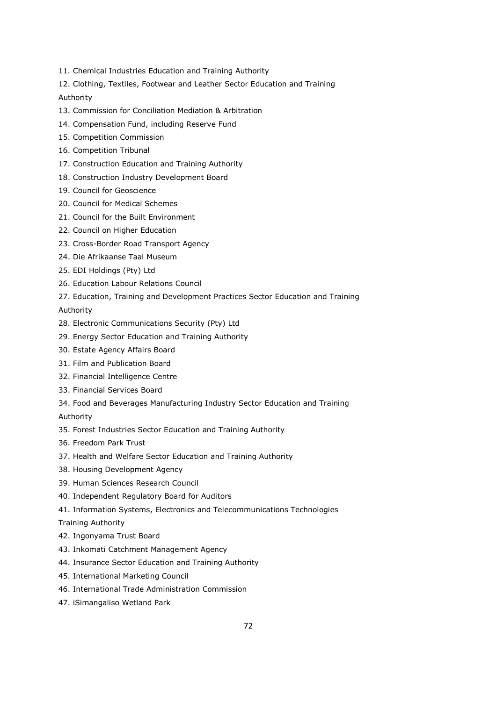- 11. Chemical Industries Education and Training Authority
- 12. Clothing, Textiles, Footwear and Leather Sector Education and Training

Authority

- 13. Commission for Conciliation Mediation & Arbitration
- 14. Compensation Fund, including Reserve Fund
- 15. Competition Commission
- 16. Competition Tribunal
- 17. Construction Education and Training Authority
- 18. Construction Industry Development Board
- 19. Council for Geoscience
- 20. Council for Medical Schemes
- 21. Council for the Built Environment
- 22. Council on Higher Education
- 23. Cross-Border Road Transport Agency
- 24. Die Afrikaanse Taal Museum
- 25. EDI Holdings (Pty) Ltd
- 26. Education Labour Relations Council
- 27. Education, Training and Development Practices Sector Education and Training Authority
- 28. Electronic Communications Security (Pty) Ltd
- 29. Energy Sector Education and Training Authority
- 30. Estate Agency Affairs Board
- 31. Film and Publication Board
- 32. Financial Intelligence Centre
- 33. Financial Services Board
- 34. Food and Beverages Manufacturing Industry Sector Education and Training

Authority

- 35. Forest Industries Sector Education and Training Authority
- 36. Freedom Park Trust
- 37. Health and Welfare Sector Education and Training Authority
- 38. Housing Development Agency
- 39. Human Sciences Research Council
- 40. Independent Regulatory Board for Auditors
- 41. Information Systems, Electronics and Telecommunications Technologies

Training Authority

- 42. Ingonyama Trust Board
- 43. Inkomati Catchment Management Agency
- 44. Insurance Sector Education and Training Authority
- 45. International Marketing Council
- 46. International Trade Administration Commission
- 47. iSimangaliso Wetland Park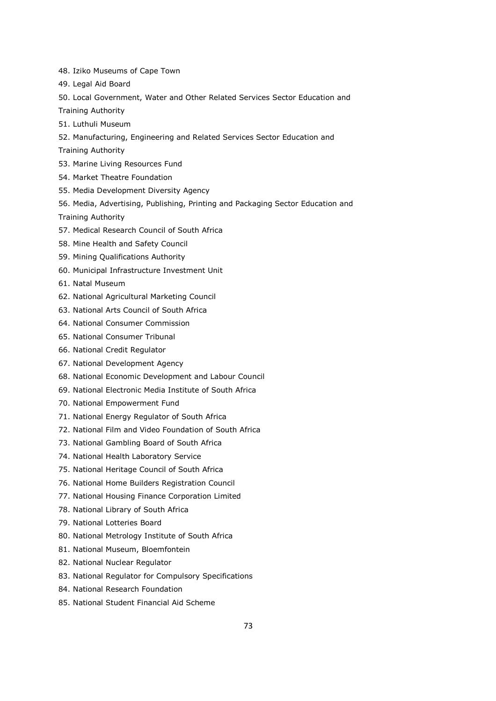- 48. Iziko Museums of Cape Town
- 49. Legal Aid Board
- 50. Local Government, Water and Other Related Services Sector Education and
- Training Authority
- 51. Luthuli Museum
- 52. Manufacturing, Engineering and Related Services Sector Education and

Training Authority

- 53. Marine Living Resources Fund
- 54. Market Theatre Foundation
- 55. Media Development Diversity Agency
- 56. Media, Advertising, Publishing, Printing and Packaging Sector Education and

Training Authority

- 57. Medical Research Council of South Africa
- 58. Mine Health and Safety Council
- 59. Mining Qualifications Authority
- 60. Municipal Infrastructure Investment Unit
- 61. Natal Museum
- 62. National Agricultural Marketing Council
- 63. National Arts Council of South Africa
- 64. National Consumer Commission
- 65. National Consumer Tribunal
- 66. National Credit Regulator
- 67. National Development Agency
- 68. National Economic Development and Labour Council
- 69. National Electronic Media Institute of South Africa
- 70. National Empowerment Fund
- 71. National Energy Regulator of South Africa
- 72. National Film and Video Foundation of South Africa
- 73. National Gambling Board of South Africa
- 74. National Health Laboratory Service
- 75. National Heritage Council of South Africa
- 76. National Home Builders Registration Council
- 77. National Housing Finance Corporation Limited
- 78. National Library of South Africa
- 79. National Lotteries Board
- 80. National Metrology Institute of South Africa
- 81. National Museum, Bloemfontein
- 82. National Nuclear Regulator
- 83. National Regulator for Compulsory Specifications
- 84. National Research Foundation
- 85. National Student Financial Aid Scheme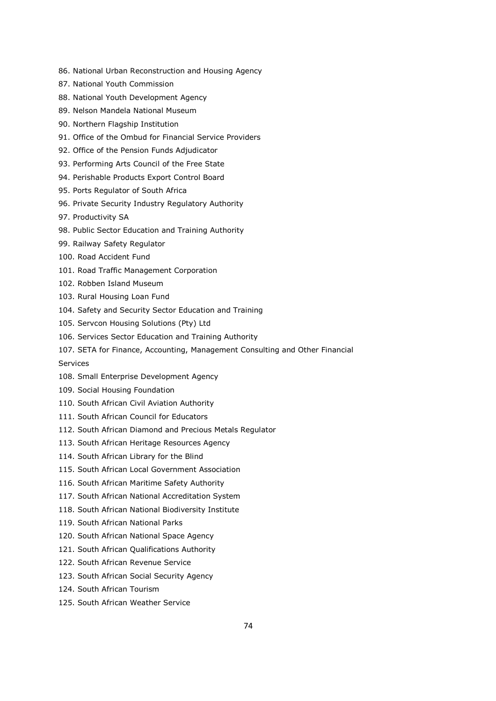- 86. National Urban Reconstruction and Housing Agency
- 87. National Youth Commission
- 88. National Youth Development Agency
- 89. Nelson Mandela National Museum
- 90. Northern Flagship Institution
- 91. Office of the Ombud for Financial Service Providers
- 92. Office of the Pension Funds Adjudicator
- 93. Performing Arts Council of the Free State
- 94. Perishable Products Export Control Board
- 95. Ports Regulator of South Africa
- 96. Private Security Industry Regulatory Authority
- 97. Productivity SA
- 98. Public Sector Education and Training Authority
- 99. Railway Safety Regulator
- 100. Road Accident Fund
- 101. Road Traffic Management Corporation
- 102. Robben Island Museum
- 103. Rural Housing Loan Fund
- 104. Safety and Security Sector Education and Training
- 105. Servcon Housing Solutions (Pty) Ltd
- 106. Services Sector Education and Training Authority
- 107. SETA for Finance, Accounting, Management Consulting and Other Financial
- Services
- 108. Small Enterprise Development Agency
- 109. Social Housing Foundation
- 110. South African Civil Aviation Authority
- 111. South African Council for Educators
- 112. South African Diamond and Precious Metals Regulator
- 113. South African Heritage Resources Agency
- 114. South African Library for the Blind
- 115. South African Local Government Association
- 116. South African Maritime Safety Authority
- 117. South African National Accreditation System
- 118. South African National Biodiversity Institute
- 119. South African National Parks
- 120. South African National Space Agency
- 121. South African Qualifications Authority
- 122. South African Revenue Service
- 123. South African Social Security Agency
- 124. South African Tourism
- 125. South African Weather Service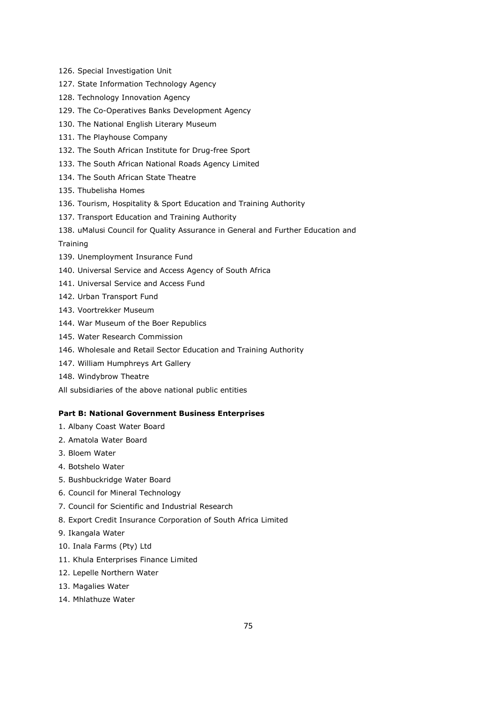- 126. Special Investigation Unit
- 127. State Information Technology Agency
- 128. Technology Innovation Agency
- 129. The Co-Operatives Banks Development Agency
- 130. The National English Literary Museum
- 131. The Playhouse Company
- 132. The South African Institute for Drug-free Sport
- 133. The South African National Roads Agency Limited
- 134. The South African State Theatre
- 135. Thubelisha Homes
- 136. Tourism, Hospitality & Sport Education and Training Authority
- 137. Transport Education and Training Authority
- 138. uMalusi Council for Quality Assurance in General and Further Education and

#### **Training**

- 139. Unemployment Insurance Fund
- 140. Universal Service and Access Agency of South Africa
- 141. Universal Service and Access Fund
- 142. Urban Transport Fund
- 143. Voortrekker Museum
- 144. War Museum of the Boer Republics
- 145. Water Research Commission
- 146. Wholesale and Retail Sector Education and Training Authority
- 147. William Humphreys Art Gallery
- 148. Windybrow Theatre
- All subsidiaries of the above national public entities

### **Part B: National Government Business Enterprises**

- 1. Albany Coast Water Board
- 2. Amatola Water Board
- 3. Bloem Water
- 4. Botshelo Water
- 5. Bushbuckridge Water Board
- 6. Council for Mineral Technology
- 7. Council for Scientific and Industrial Research
- 8. Export Credit Insurance Corporation of South Africa Limited
- 9. Ikangala Water
- 10. Inala Farms (Pty) Ltd
- 11. Khula Enterprises Finance Limited
- 12. Lepelle Northern Water
- 13. Magalies Water
- 14. Mhlathuze Water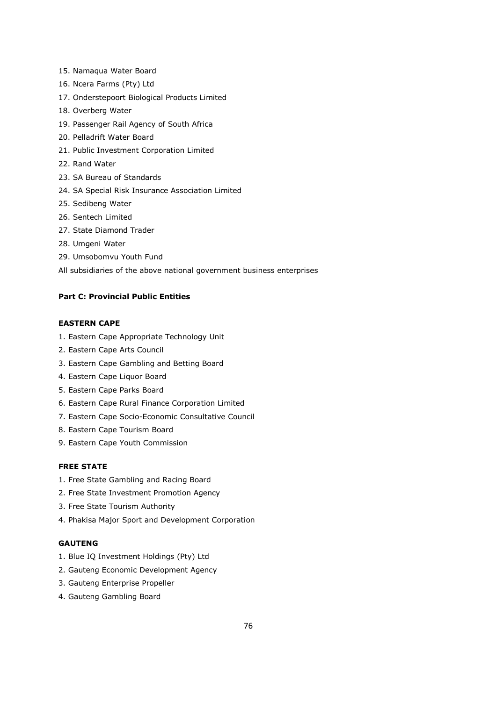- 15. Namaqua Water Board
- 16. Ncera Farms (Pty) Ltd
- 17. Onderstepoort Biological Products Limited
- 18. Overberg Water
- 19. Passenger Rail Agency of South Africa
- 20. Pelladrift Water Board
- 21. Public Investment Corporation Limited
- 22. Rand Water
- 23. SA Bureau of Standards
- 24. SA Special Risk Insurance Association Limited
- 25. Sedibeng Water
- 26. Sentech Limited
- 27. State Diamond Trader
- 28. Umgeni Water
- 29. Umsobomvu Youth Fund
- All subsidiaries of the above national government business enterprises

## **Part C: Provincial Public Entities**

# **EASTERN CAPE**

- 1. Eastern Cape Appropriate Technology Unit
- 2. Eastern Cape Arts Council
- 3. Eastern Cape Gambling and Betting Board
- 4. Eastern Cape Liquor Board
- 5. Eastern Cape Parks Board
- 6. Eastern Cape Rural Finance Corporation Limited
- 7. Eastern Cape Socio-Economic Consultative Council
- 8. Eastern Cape Tourism Board
- 9. Eastern Cape Youth Commission

# **FREE STATE**

- 1. Free State Gambling and Racing Board
- 2. Free State Investment Promotion Agency
- 3. Free State Tourism Authority
- 4. Phakisa Major Sport and Development Corporation

# **GAUTENG**

- 1. Blue IQ Investment Holdings (Pty) Ltd
- 2. Gauteng Economic Development Agency
- 3. Gauteng Enterprise Propeller
- 4. Gauteng Gambling Board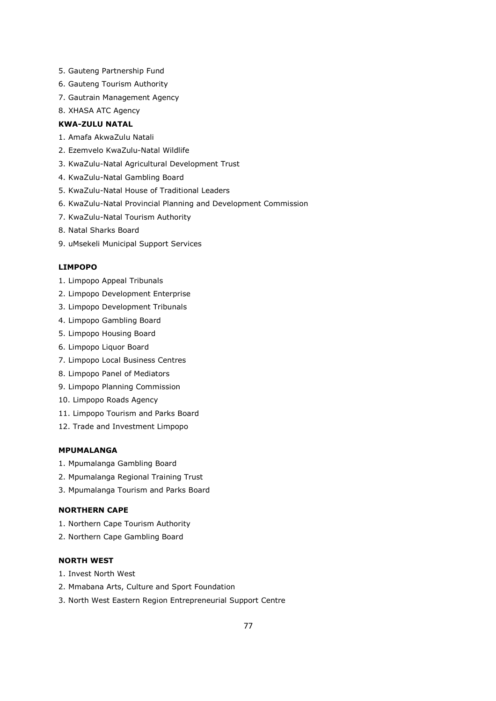- 5. Gauteng Partnership Fund
- 6. Gauteng Tourism Authority
- 7. Gautrain Management Agency
- 8. XHASA ATC Agency

# **KWA-ZULU NATAL**

- 1. Amafa AkwaZulu Natali
- 2. Ezemvelo KwaZulu-Natal Wildlife
- 3. KwaZulu-Natal Agricultural Development Trust
- 4. KwaZulu-Natal Gambling Board
- 5. KwaZulu-Natal House of Traditional Leaders
- 6. KwaZulu-Natal Provincial Planning and Development Commission
- 7. KwaZulu-Natal Tourism Authority
- 8. Natal Sharks Board
- 9. uMsekeli Municipal Support Services

#### **LIMPOPO**

- 1. Limpopo Appeal Tribunals
- 2. Limpopo Development Enterprise
- 3. Limpopo Development Tribunals
- 4. Limpopo Gambling Board
- 5. Limpopo Housing Board
- 6. Limpopo Liquor Board
- 7. Limpopo Local Business Centres
- 8. Limpopo Panel of Mediators
- 9. Limpopo Planning Commission
- 10. Limpopo Roads Agency
- 11. Limpopo Tourism and Parks Board
- 12. Trade and Investment Limpopo

# **MPUMALANGA**

- 1. Mpumalanga Gambling Board
- 2. Mpumalanga Regional Training Trust
- 3. Mpumalanga Tourism and Parks Board

## **NORTHERN CAPE**

- 1. Northern Cape Tourism Authority
- 2. Northern Cape Gambling Board

# **NORTH WEST**

- 1. Invest North West
- 2. Mmabana Arts, Culture and Sport Foundation
- 3. North West Eastern Region Entrepreneurial Support Centre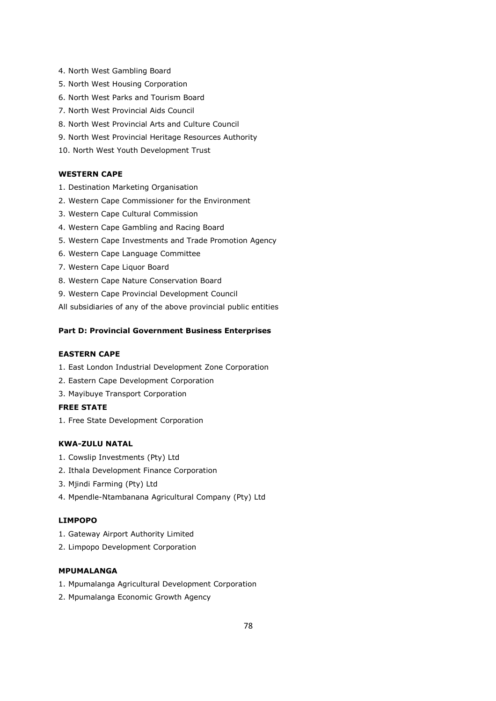- 4. North West Gambling Board
- 5. North West Housing Corporation
- 6. North West Parks and Tourism Board
- 7. North West Provincial Aids Council
- 8. North West Provincial Arts and Culture Council
- 9. North West Provincial Heritage Resources Authority
- 10. North West Youth Development Trust

## **WESTERN CAPE**

- 1. Destination Marketing Organisation
- 2. Western Cape Commissioner for the Environment
- 3. Western Cape Cultural Commission
- 4. Western Cape Gambling and Racing Board
- 5. Western Cape Investments and Trade Promotion Agency
- 6. Western Cape Language Committee
- 7. Western Cape Liquor Board
- 8. Western Cape Nature Conservation Board
- 9. Western Cape Provincial Development Council

All subsidiaries of any of the above provincial public entities

#### **Part D: Provincial Government Business Enterprises**

### **EASTERN CAPE**

- 1. East London Industrial Development Zone Corporation
- 2. Eastern Cape Development Corporation
- 3. Mayibuye Transport Corporation

# **FREE STATE**

1. Free State Development Corporation

## **KWA-ZULU NATAL**

- 1. Cowslip Investments (Pty) Ltd
- 2. Ithala Development Finance Corporation
- 3. Mjindi Farming (Pty) Ltd
- 4. Mpendle-Ntambanana Agricultural Company (Pty) Ltd

#### **LIMPOPO**

- 1. Gateway Airport Authority Limited
- 2. Limpopo Development Corporation

# **MPUMALANGA**

- 1. Mpumalanga Agricultural Development Corporation
- 2. Mpumalanga Economic Growth Agency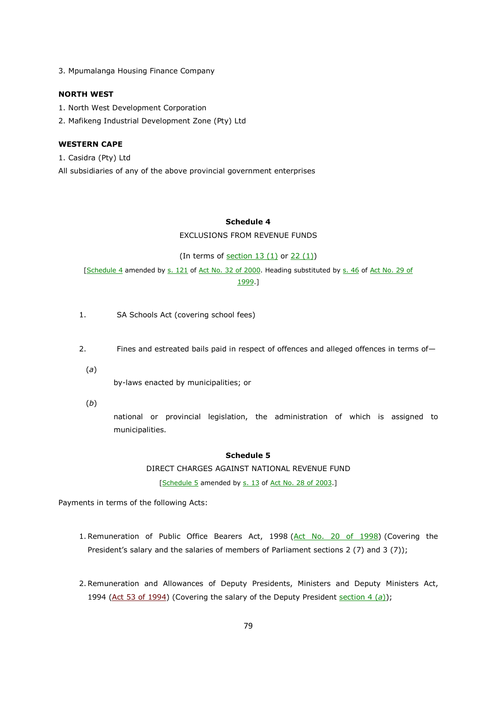3. Mpumalanga Housing Finance Company

### **NORTH WEST**

- 1. North West Development Corporation
- 2. Mafikeng Industrial Development Zone (Pty) Ltd

#### **WESTERN CAPE**

1. Casidra (Pty) Ltd

All subsidiaries of any of the above provincial government enterprises

## **Schedule 4**

EXCLUSIONS FROM REVENUE FUNDS

(In terms of  $section 13 (1)$  or  $22 (1)$ )

[Schedule 4 amended by s. 121 of Act No. 32 of 2000. Heading substituted by s. 46 of Act No. 29 of 1999.]

- 1. SA Schools Act (covering school fees)
- 2. Fines and estreated bails paid in respect of offences and alleged offences in terms of—
- (*a*)

by-laws enacted by municipalities; or

(*b*)

national or provincial legislation, the administration of which is assigned to municipalities.

### **Schedule 5**

DIRECT CHARGES AGAINST NATIONAL REVENUE FUND

[Schedule 5 amended by s. 13 of Act No. 28 of 2003.]

Payments in terms of the following Acts:

- 1. Remuneration of Public Office Bearers Act, 1998 (Act No. 20 of 1998) (Covering the President's salary and the salaries of members of Parliament sections 2 (7) and 3 (7));
- 2. Remuneration and Allowances of Deputy Presidents, Ministers and Deputy Ministers Act, 1994 (Act 53 of 1994) (Covering the salary of the Deputy President section 4 (a));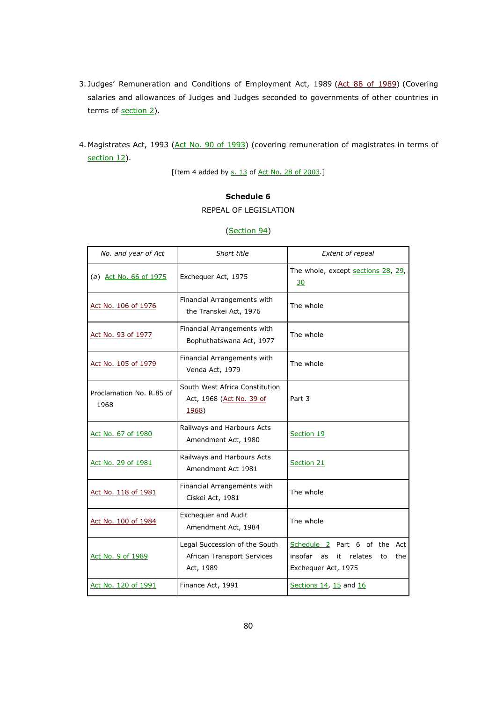- 3. Judges' Remuneration and Conditions of Employment Act, 1989 (Act 88 of 1989) (Covering salaries and allowances of Judges and Judges seconded to governments of other countries in terms of section 2).
- 4. Magistrates Act, 1993 (Act No. 90 of 1993) (covering remuneration of magistrates in terms of section 12).

[Item 4 added by s. 13 of Act No. 28 of 2003.]

# **Schedule 6**

### REPEAL OF LEGISLATION

| No. and year of Act              | Short title                                                                 | <b>Extent of repeal</b>                                                                            |
|----------------------------------|-----------------------------------------------------------------------------|----------------------------------------------------------------------------------------------------|
| (a) Act No. 66 of 1975           | Exchequer Act, 1975                                                         | The whole, except sections 28, 29,<br><u>30</u>                                                    |
| Act No. 106 of 1976              | Financial Arrangements with<br>the Transkei Act, 1976                       | The whole                                                                                          |
| Act No. 93 of 1977               | Financial Arrangements with<br>Bophuthatswana Act, 1977                     | The whole                                                                                          |
| Act No. 105 of 1979              | Financial Arrangements with<br>Venda Act, 1979                              | The whole                                                                                          |
| Proclamation No. R.85 of<br>1968 | South West Africa Constitution<br>Act, 1968 (Act No. 39 of<br><u>1968</u> ) | Part 3                                                                                             |
| Act No. 67 of 1980               | Railways and Harbours Acts<br>Amendment Act, 1980                           | Section 19                                                                                         |
| Act No. 29 of 1981               | Railways and Harbours Acts<br>Amendment Act 1981                            | Section 21                                                                                         |
| Act No. 118 of 1981              | Financial Arrangements with<br>Ciskei Act, 1981                             | The whole                                                                                          |
| Act No. 100 of 1984              | Exchequer and Audit<br>Amendment Act, 1984                                  | The whole                                                                                          |
| Act No. 9 of 1989                | Legal Succession of the South<br>African Transport Services<br>Act, 1989    | Schedule 2 Part 6 of the Act<br>insofar<br>relates<br>as<br>it<br>to<br>the<br>Exchequer Act, 1975 |
| Act No. 120 of 1991              | Finance Act, 1991                                                           | Sections 14, 15 and 16                                                                             |

#### (Section 94)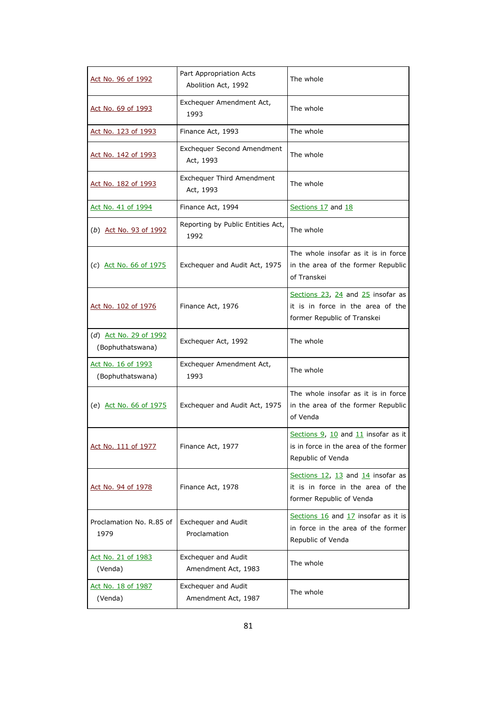| Act No. 96 of 1992                         | Part Appropriation Acts<br>Abolition Act, 1992 | The whole                                                                                                    |
|--------------------------------------------|------------------------------------------------|--------------------------------------------------------------------------------------------------------------|
| Act No. 69 of 1993                         | Exchequer Amendment Act,<br>1993               | The whole                                                                                                    |
| Act No. 123 of 1993                        | Finance Act, 1993                              | The whole                                                                                                    |
| Act No. 142 of 1993                        | <b>Exchequer Second Amendment</b><br>Act, 1993 | The whole                                                                                                    |
| Act No. 182 of 1993                        | <b>Exchequer Third Amendment</b><br>Act, 1993  | The whole                                                                                                    |
| Act No. 41 of 1994                         | Finance Act, 1994                              | Sections 17 and 18                                                                                           |
| (b) Act No. 93 of 1992                     | Reporting by Public Entities Act,<br>1992      | The whole                                                                                                    |
| (c) Act No. 66 of $1975$                   | Exchequer and Audit Act, 1975                  | The whole insofar as it is in force<br>in the area of the former Republic<br>of Transkei                     |
| <u>Act No. 102 of 1976</u>                 | Finance Act, 1976                              | Sections $23$ , $24$ and $25$ insofar as<br>it is in force in the area of the<br>former Republic of Transkei |
| (d) Act No. 29 of 1992<br>(Bophuthatswana) | Exchequer Act, 1992                            | The whole                                                                                                    |
| Act No. 16 of 1993<br>(Bophuthatswana)     | Exchequer Amendment Act,<br>1993               | The whole                                                                                                    |
| (e) Act No. 66 of 1975                     | Exchequer and Audit Act, 1975                  | The whole insofar as it is in force<br>in the area of the former Republic<br>of Venda                        |
| Act No. 111 of 1977                        | Finance Act, 1977                              | Sections 9, 10 and 11 insofar as it<br>is in force in the area of the former<br>Republic of Venda            |
| <u>Act No. 94 of 1978</u>                  | Finance Act, 1978                              | Sections $12$ , $13$ and $14$ insofar as<br>it is in force in the area of the<br>former Republic of Venda    |
| Proclamation No. R.85 of<br>1979           | Exchequer and Audit<br>Proclamation            | Sections 16 and 17 insofar as it is<br>in force in the area of the former<br>Republic of Venda               |
| Act No. 21 of 1983<br>(Venda)              | Exchequer and Audit<br>Amendment Act, 1983     | The whole                                                                                                    |
| Act No. 18 of 1987<br>(Venda)              | Exchequer and Audit<br>Amendment Act, 1987     | The whole                                                                                                    |